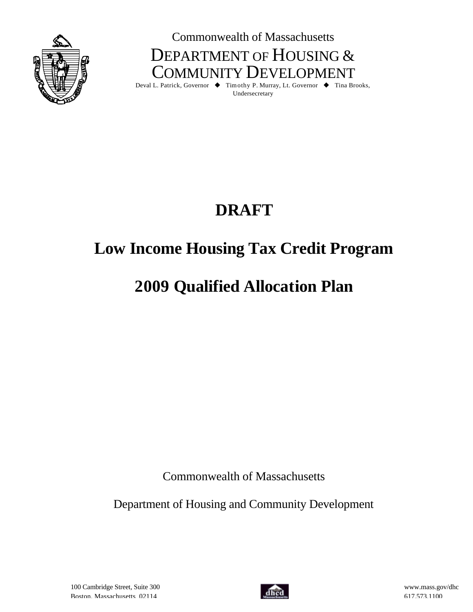



Deval L. Patrick, Governor ♦ Timothy P. Murray, Lt. Governor ♦ Tina Brooks, Undersecretary

# **DRAFT**

# **Low Income Housing Tax Credit Program**

## **2009 Qualified Allocation Plan**

Commonwealth of Massachusetts

Department of Housing and Community Development

100 Cambridge Street, Suite 300 www.mass.gov/dhc Boston, Massachusetts 02114 617.573.1100

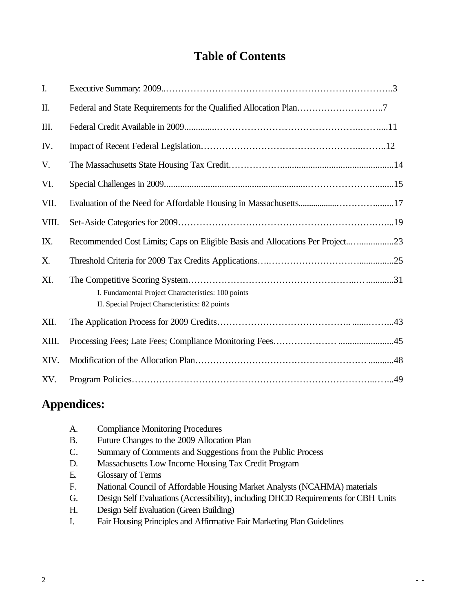## **Table of Contents**

| I.    |                                                                                                      |
|-------|------------------------------------------------------------------------------------------------------|
| Π.    |                                                                                                      |
| Ш.    |                                                                                                      |
| IV.   |                                                                                                      |
| V.    |                                                                                                      |
| VI.   |                                                                                                      |
| VII.  |                                                                                                      |
| VIII. |                                                                                                      |
| IX.   | Recommended Cost Limits; Caps on Eligible Basis and Allocations Per Project23                        |
| X.    |                                                                                                      |
| XI.   | I. Fundamental Project Characteristics: 100 points<br>II. Special Project Characteristics: 82 points |
| XII.  |                                                                                                      |
| XIII. |                                                                                                      |
| XIV.  |                                                                                                      |
| XV.   |                                                                                                      |

## **Appendices:**

| A. | <b>Compliance Monitoring Procedures</b>                                            |
|----|------------------------------------------------------------------------------------|
| B. | Future Changes to the 2009 Allocation Plan                                         |
| C. | Summary of Comments and Suggestions from the Public Process                        |
| D. | Massachusetts Low Income Housing Tax Credit Program                                |
| Е. | Glossary of Terms                                                                  |
| F. | National Council of Affordable Housing Market Analysts (NCAHMA) materials          |
| G. | Design Self Evaluations (Accessibility), including DHCD Requirements for CBH Units |
| Н. | Design Self Evaluation (Green Building)                                            |
| I. | Fair Housing Principles and Affirmative Fair Marketing Plan Guidelines             |
|    |                                                                                    |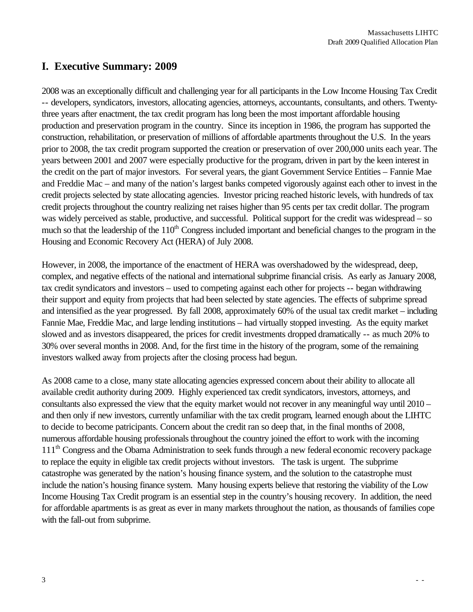## **I. Executive Summary: 2009**

2008 was an exceptionally difficult and challenging year for all participants in the Low Income Housing Tax Credit -- developers, syndicators, investors, allocating agencies, attorneys, accountants, consultants, and others. Twentythree years after enactment, the tax credit program has long been the most important affordable housing production and preservation program in the country. Since its inception in 1986, the program has supported the construction, rehabilitation, or preservation of millions of affordable apartments throughout the U.S. In the years prior to 2008, the tax credit program supported the creation or preservation of over 200,000 units each year. The years between 2001 and 2007 were especially productive for the program, driven in part by the keen interest in the credit on the part of major investors. For several years, the giant Government Service Entities – Fannie Mae and Freddie Mac – and many of the nation's largest banks competed vigorously against each other to invest in the credit projects selected by state allocating agencies. Investor pricing reached historic levels, with hundreds of tax credit projects throughout the country realizing net raises higher than 95 cents per tax credit dollar. The program was widely perceived as stable, productive, and successful. Political support for the credit was widespread – so much so that the leadership of the 110<sup>th</sup> Congress included important and beneficial changes to the program in the Housing and Economic Recovery Act (HERA) of July 2008.

However, in 2008, the importance of the enactment of HERA was overshadowed by the widespread, deep, complex, and negative effects of the national and international subprime financial crisis. As early as January 2008, tax credit syndicators and investors – used to competing against each other for projects -- began withdrawing their support and equity from projects that had been selected by state agencies. The effects of subprime spread and intensified as the year progressed. By fall 2008, approximately 60% of the usual tax credit market – including Fannie Mae, Freddie Mac, and large lending institutions – had virtually stopped investing. As the equity market slowed and as investors disappeared, the prices for credit investments dropped dramatically -- as much 20% to 30% over several months in 2008. And, for the first time in the history of the program, some of the remaining investors walked away from projects after the closing process had begun.

As 2008 came to a close, many state allocating agencies expressed concern about their ability to allocate all available credit authority during 2009. Highly experienced tax credit syndicators, investors, attorneys, and consultants also expressed the view that the equity market would not recover in any meaningful way until 2010 – and then only if new investors, currently unfamiliar with the tax credit program, learned enough about the LIHTC to decide to become patricipants. Concern about the credit ran so deep that, in the final months of 2008, numerous affordable housing professionals throughout the country joined the effort to work with the incoming 111<sup>th</sup> Congress and the Obama Administration to seek funds through a new federal economic recovery package to replace the equity in eligible tax credit projects without investors. The task is urgent. The subprime catastrophe was generated by the nation's housing finance system, and the solution to the catastrophe must include the nation's housing finance system. Many housing experts believe that restoring the viability of the Low Income Housing Tax Credit program is an essential step in the country's housing recovery. In addition, the need for affordable apartments is as great as ever in many markets throughout the nation, as thousands of families cope with the fall-out from subprime.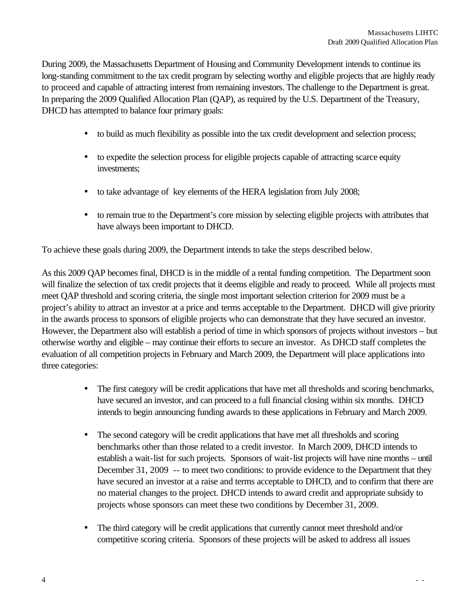During 2009, the Massachusetts Department of Housing and Community Development intends to continue its long-standing commitment to the tax credit program by selecting worthy and eligible projects that are highly ready to proceed and capable of attracting interest from remaining investors. The challenge to the Department is great. In preparing the 2009 Qualified Allocation Plan (QAP), as required by the U.S. Department of the Treasury, DHCD has attempted to balance four primary goals:

- to build as much flexibility as possible into the tax credit development and selection process;
- to expedite the selection process for eligible projects capable of attracting scarce equity investments;
- to take advantage of key elements of the HERA legislation from July 2008;
- to remain true to the Department's core mission by selecting eligible projects with attributes that have always been important to DHCD.

To achieve these goals during 2009, the Department intends to take the steps described below.

As this 2009 QAP becomes final, DHCD is in the middle of a rental funding competition. The Department soon will finalize the selection of tax credit projects that it deems eligible and ready to proceed. While all projects must meet QAP threshold and scoring criteria, the single most important selection criterion for 2009 must be a project's ability to attract an investor at a price and terms acceptable to the Department. DHCD will give priority in the awards process to sponsors of eligible projects who can demonstrate that they have secured an investor. However, the Department also will establish a period of time in which sponsors of projects without investors – but otherwise worthy and eligible – may continue their efforts to secure an investor. As DHCD staff completes the evaluation of all competition projects in February and March 2009, the Department will place applications into three categories:

- The first category will be credit applications that have met all thresholds and scoring benchmarks, have secured an investor, and can proceed to a full financial closing within six months. DHCD intends to begin announcing funding awards to these applications in February and March 2009.
- The second category will be credit applications that have met all thresholds and scoring benchmarks other than those related to a credit investor. In March 2009, DHCD intends to establish a wait-list for such projects. Sponsors of wait-list projects will have nine months – until December 31, 2009 -- to meet two conditions: to provide evidence to the Department that they have secured an investor at a raise and terms acceptable to DHCD, and to confirm that there are no material changes to the project. DHCD intends to award credit and appropriate subsidy to projects whose sponsors can meet these two conditions by December 31, 2009.
- The third category will be credit applications that currently cannot meet threshold and/or competitive scoring criteria. Sponsors of these projects will be asked to address all issues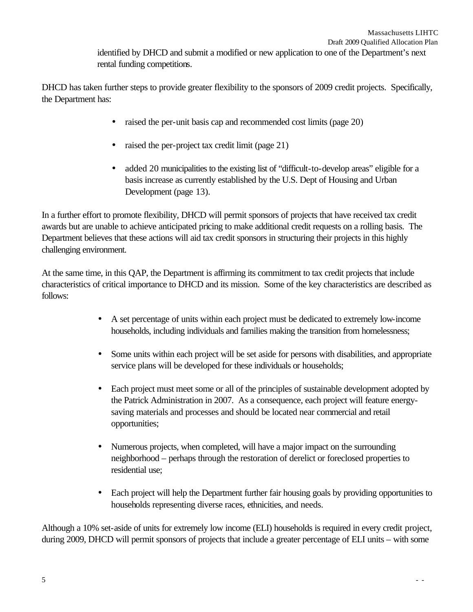identified by DHCD and submit a modified or new application to one of the Department's next rental funding competitions.

DHCD has taken further steps to provide greater flexibility to the sponsors of 2009 credit projects. Specifically, the Department has:

- raised the per-unit basis cap and recommended cost limits (page 20)
- raised the per-project tax credit limit (page 21)
- added 20 municipalities to the existing list of "difficult-to-develop areas" eligible for a basis increase as currently established by the U.S. Dept of Housing and Urban Development (page 13).

In a further effort to promote flexibility, DHCD will permit sponsors of projects that have received tax credit awards but are unable to achieve anticipated pricing to make additional credit requests on a rolling basis. The Department believes that these actions will aid tax credit sponsors in structuring their projects in this highly challenging environment.

At the same time, in this QAP, the Department is affirming its commitment to tax credit projects that include characteristics of critical importance to DHCD and its mission. Some of the key characteristics are described as follows:

- A set percentage of units within each project must be dedicated to extremely low-income households, including individuals and families making the transition from homelessness;
- Some units within each project will be set aside for persons with disabilities, and appropriate service plans will be developed for these individuals or households;
- Each project must meet some or all of the principles of sustainable development adopted by the Patrick Administration in 2007. As a consequence, each project will feature energysaving materials and processes and should be located near commercial and retail opportunities;
- Numerous projects, when completed, will have a major impact on the surrounding neighborhood – perhaps through the restoration of derelict or foreclosed properties to residential use;
- Each project will help the Department further fair housing goals by providing opportunities to households representing diverse races, ethnicities, and needs.

Although a 10% set-aside of units for extremely low income (ELI) households is required in every credit project, during 2009, DHCD will permit sponsors of projects that include a greater percentage of ELI units – with some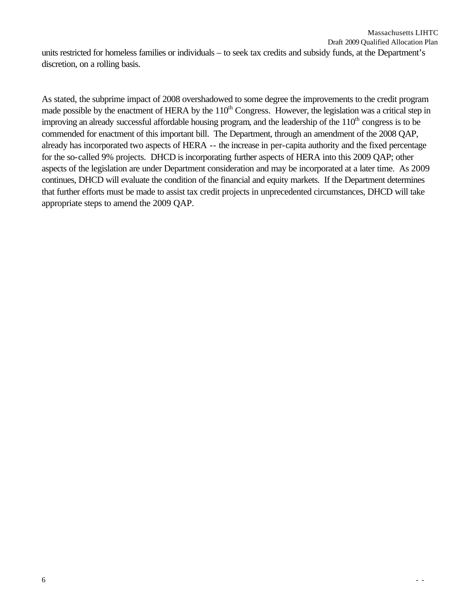units restricted for homeless families or individuals – to seek tax credits and subsidy funds, at the Department's discretion, on a rolling basis.

As stated, the subprime impact of 2008 overshadowed to some degree the improvements to the credit program made possible by the enactment of HERA by the 110<sup>th</sup> Congress. However, the legislation was a critical step in improving an already successful affordable housing program, and the leadership of the 110<sup>th</sup> congress is to be commended for enactment of this important bill. The Department, through an amendment of the 2008 QAP, already has incorporated two aspects of HERA -- the increase in per-capita authority and the fixed percentage for the so-called 9% projects. DHCD is incorporating further aspects of HERA into this 2009 QAP; other aspects of the legislation are under Department consideration and may be incorporated at a later time. As 2009 continues, DHCD will evaluate the condition of the financial and equity markets. If the Department determines that further efforts must be made to assist tax credit projects in unprecedented circumstances, DHCD will take appropriate steps to amend the 2009 QAP.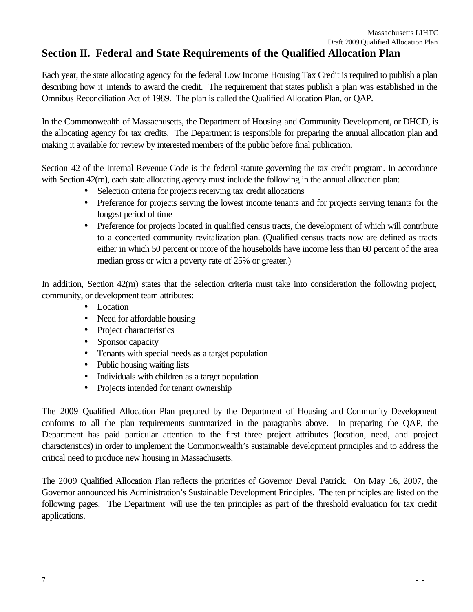## **Section II. Federal and State Requirements of the Qualified Allocation Plan**

Each year, the state allocating agency for the federal Low Income Housing Tax Credit is required to publish a plan describing how it intends to award the credit. The requirement that states publish a plan was established in the Omnibus Reconciliation Act of 1989. The plan is called the Qualified Allocation Plan, or QAP.

In the Commonwealth of Massachusetts, the Department of Housing and Community Development, or DHCD, is the allocating agency for tax credits. The Department is responsible for preparing the annual allocation plan and making it available for review by interested members of the public before final publication.

Section 42 of the Internal Revenue Code is the federal statute governing the tax credit program. In accordance with Section 42(m), each state allocating agency must include the following in the annual allocation plan:

- Selection criteria for projects receiving tax credit allocations
- Preference for projects serving the lowest income tenants and for projects serving tenants for the longest period of time
- Preference for projects located in qualified census tracts, the development of which will contribute to a concerted community revitalization plan. (Qualified census tracts now are defined as tracts either in which 50 percent or more of the households have income less than 60 percent of the area median gross or with a poverty rate of 25% or greater.)

In addition, Section 42(m) states that the selection criteria must take into consideration the following project, community, or development team attributes:

- Location
- Need for affordable housing
- Project characteristics
- Sponsor capacity
- Tenants with special needs as a target population
- Public housing waiting lists
- Individuals with children as a target population
- Projects intended for tenant ownership

The 2009 Qualified Allocation Plan prepared by the Department of Housing and Community Development conforms to all the plan requirements summarized in the paragraphs above. In preparing the QAP, the Department has paid particular attention to the first three project attributes (location, need, and project characteristics) in order to implement the Commonwealth's sustainable development principles and to address the critical need to produce new housing in Massachusetts.

The 2009 Qualified Allocation Plan reflects the priorities of Governor Deval Patrick. On May 16, 2007, the Governor announced his Administration's Sustainable Development Principles. The ten principles are listed on the following pages. The Department will use the ten principles as part of the threshold evaluation for tax credit applications.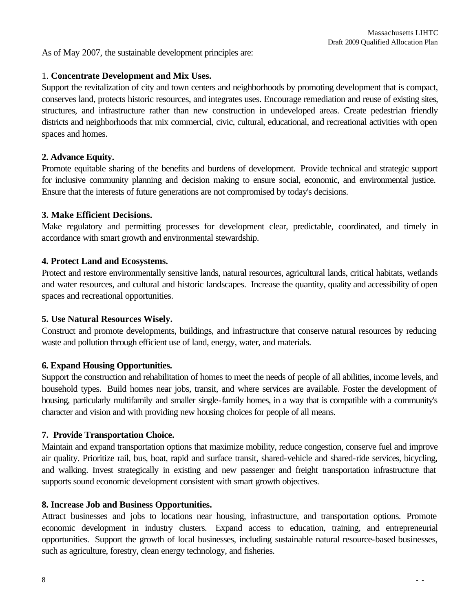As of May 2007, the sustainable development principles are:

#### 1. **Concentrate Development and Mix Uses.**

Support the revitalization of city and town centers and neighborhoods by promoting development that is compact, conserves land, protects historic resources, and integrates uses. Encourage remediation and reuse of existing sites, structures, and infrastructure rather than new construction in undeveloped areas. Create pedestrian friendly districts and neighborhoods that mix commercial, civic, cultural, educational, and recreational activities with open spaces and homes.

#### **2. Advance Equity.**

Promote equitable sharing of the benefits and burdens of development. Provide technical and strategic support for inclusive community planning and decision making to ensure social, economic, and environmental justice. Ensure that the interests of future generations are not compromised by today's decisions.

#### **3. Make Efficient Decisions.**

Make regulatory and permitting processes for development clear, predictable, coordinated, and timely in accordance with smart growth and environmental stewardship.

#### **4. Protect Land and Ecosystems.**

Protect and restore environmentally sensitive lands, natural resources, agricultural lands, critical habitats, wetlands and water resources, and cultural and historic landscapes. Increase the quantity, quality and accessibility of open spaces and recreational opportunities.

#### **5. Use Natural Resources Wisely.**

Construct and promote developments, buildings, and infrastructure that conserve natural resources by reducing waste and pollution through efficient use of land, energy, water, and materials.

#### **6. Expand Housing Opportunities.**

Support the construction and rehabilitation of homes to meet the needs of people of all abilities, income levels, and household types. Build homes near jobs, transit, and where services are available. Foster the development of housing, particularly multifamily and smaller single-family homes, in a way that is compatible with a community's character and vision and with providing new housing choices for people of all means.

#### **7. Provide Transportation Choice.**

Maintain and expand transportation options that maximize mobility, reduce congestion, conserve fuel and improve air quality. Prioritize rail, bus, boat, rapid and surface transit, shared-vehicle and shared-ride services, bicycling, and walking. Invest strategically in existing and new passenger and freight transportation infrastructure that supports sound economic development consistent with smart growth objectives.

#### **8. Increase Job and Business Opportunities.**

Attract businesses and jobs to locations near housing, infrastructure, and transportation options. Promote economic development in industry clusters. Expand access to education, training, and entrepreneurial opportunities. Support the growth of local businesses, including sustainable natural resource-based businesses, such as agriculture, forestry, clean energy technology, and fisheries.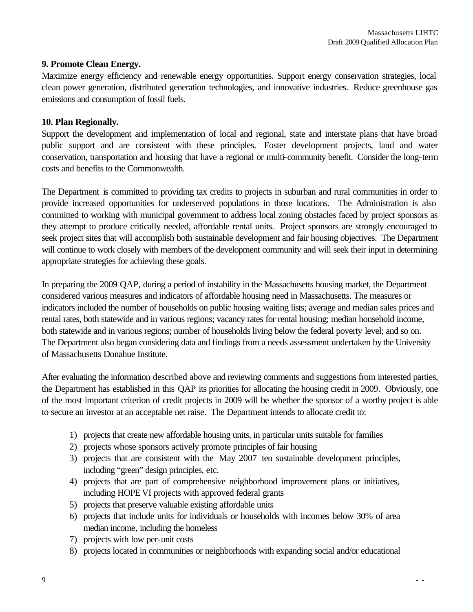#### **9. Promote Clean Energy.**

Maximize energy efficiency and renewable energy opportunities. Support energy conservation strategies, local clean power generation, distributed generation technologies, and innovative industries. Reduce greenhouse gas emissions and consumption of fossil fuels.

#### **10. Plan Regionally.**

Support the development and implementation of local and regional, state and interstate plans that have broad public support and are consistent with these principles. Foster development projects, land and water conservation, transportation and housing that have a regional or multi-community benefit. Consider the long-term costs and benefits to the Commonwealth.

The Department is committed to providing tax credits to projects in suburban and rural communities in order to provide increased opportunities for underserved populations in those locations. The Administration is also committed to working with municipal government to address local zoning obstacles faced by project sponsors as they attempt to produce critically needed, affordable rental units. Project sponsors are strongly encouraged to seek project sites that will accomplish both sustainable development and fair housing objectives. The Department will continue to work closely with members of the development community and will seek their input in determining appropriate strategies for achieving these goals.

In preparing the 2009 QAP, during a period of instability in the Massachusetts housing market, the Department considered various measures and indicators of affordable housing need in Massachusetts. The measures or indicators included the number of households on public housing waiting lists; average and median sales prices and rental rates, both statewide and in various regions; vacancy rates for rental housing; median household income, both statewide and in various regions; number of households living below the federal poverty level; and so on. The Department also began considering data and findings from a needs assessment undertaken by the University of Massachusetts Donahue Institute.

After evaluating the information described above and reviewing comments and suggestions from interested parties, the Department has established in this QAP its priorities for allocating the housing credit in 2009. Obviously, one of the most important criterion of credit projects in 2009 will be whether the sponsor of a worthy project is able to secure an investor at an acceptable net raise. The Department intends to allocate credit to:

- 1) projects that create new affordable housing units, in particular units suitable for families
- 2) projects whose sponsors actively promote principles of fair housing
- 3) projects that are consistent with the May 2007 ten sustainable development principles, including "green" design principles, etc.
- 4) projects that are part of comprehensive neighborhood improvement plans or initiatives, including HOPE VI projects with approved federal grants
- 5) projects that preserve valuable existing affordable units
- 6) projects that include units for individuals or households with incomes below 30% of area median income, including the homeless
- 7) projects with low per-unit costs
- 8) projects located in communities or neighborhoods with expanding social and/or educational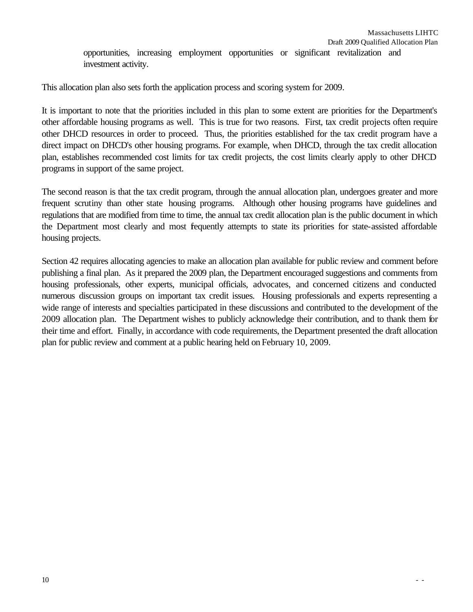opportunities, increasing employment opportunities or significant revitalization and investment activity.

This allocation plan also sets forth the application process and scoring system for 2009.

It is important to note that the priorities included in this plan to some extent are priorities for the Department's other affordable housing programs as well. This is true for two reasons. First, tax credit projects often require other DHCD resources in order to proceed. Thus, the priorities established for the tax credit program have a direct impact on DHCD's other housing programs. For example, when DHCD, through the tax credit allocation plan, establishes recommended cost limits for tax credit projects, the cost limits clearly apply to other DHCD programs in support of the same project.

The second reason is that the tax credit program, through the annual allocation plan, undergoes greater and more frequent scrutiny than other state housing programs. Although other housing programs have guidelines and regulations that are modified from time to time, the annual tax credit allocation plan is the public document in which the Department most clearly and most frequently attempts to state its priorities for state-assisted affordable housing projects.

Section 42 requires allocating agencies to make an allocation plan available for public review and comment before publishing a final plan. As it prepared the 2009 plan, the Department encouraged suggestions and comments from housing professionals, other experts, municipal officials, advocates, and concerned citizens and conducted numerous discussion groups on important tax credit issues. Housing professionals and experts representing a wide range of interests and specialties participated in these discussions and contributed to the development of the 2009 allocation plan. The Department wishes to publicly acknowledge their contribution, and to thank them for their time and effort. Finally, in accordance with code requirements, the Department presented the draft allocation plan for public review and comment at a public hearing held on February 10, 2009.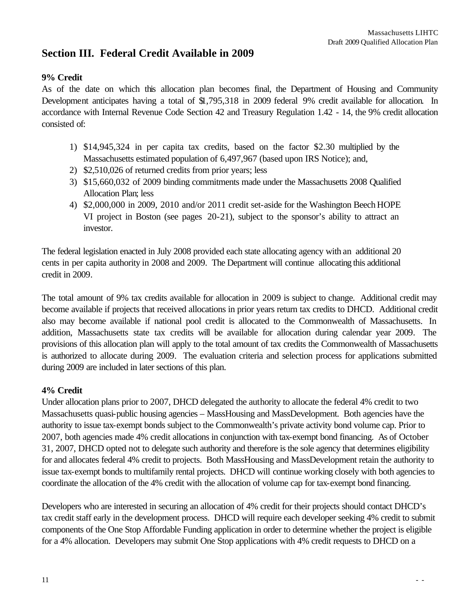## **Section III. Federal Credit Available in 2009**

#### **9% Credit**

As of the date on which this allocation plan becomes final, the Department of Housing and Community Development anticipates having a total of \$1,795,318 in 2009 federal 9% credit available for allocation. In accordance with Internal Revenue Code Section 42 and Treasury Regulation 1.42 - 14, the 9% credit allocation consisted of:

- 1) \$14,945,324 in per capita tax credits, based on the factor \$2.30 multiplied by the Massachusetts estimated population of 6,497,967 (based upon IRS Notice); and,
- 2) \$2,510,026 of returned credits from prior years; less
- 3) \$15,660,032 of 2009 binding commitments made under the Massachusetts 2008 Qualified Allocation Plan; less
- 4) \$2,000,000 in 2009, 2010 and/or 2011 credit set-aside for the Washington Beech HOPE VI project in Boston (see pages 20-21), subject to the sponsor's ability to attract an investor.

The federal legislation enacted in July 2008 provided each state allocating agency with an additional 20 cents in per capita authority in 2008 and 2009. The Department will continue allocating this additional credit in 2009.

The total amount of 9% tax credits available for allocation in 2009 is subject to change. Additional credit may become available if projects that received allocations in prior years return tax credits to DHCD. Additional credit also may become available if national pool credit is allocated to the Commonwealth of Massachusetts. In addition, Massachusetts state tax credits will be available for allocation during calendar year 2009. The provisions of this allocation plan will apply to the total amount of tax credits the Commonwealth of Massachusetts is authorized to allocate during 2009. The evaluation criteria and selection process for applications submitted during 2009 are included in later sections of this plan.

#### **4% Credit**

Under allocation plans prior to 2007, DHCD delegated the authority to allocate the federal 4% credit to two Massachusetts quasi-public housing agencies – MassHousing and MassDevelopment. Both agencies have the authority to issue tax-exempt bonds subject to the Commonwealth's private activity bond volume cap. Prior to 2007, both agencies made 4% credit allocations in conjunction with tax-exempt bond financing. As of October 31, 2007, DHCD opted not to delegate such authority and therefore is the sole agency that determines eligibility for and allocates federal 4% credit to projects. Both MassHousing and MassDevelopment retain the authority to issue tax-exempt bonds to multifamily rental projects. DHCD will continue working closely with both agencies to coordinate the allocation of the 4% credit with the allocation of volume cap for tax-exempt bond financing.

Developers who are interested in securing an allocation of 4% credit for their projects should contact DHCD's tax credit staff early in the development process. DHCD will require each developer seeking 4% credit to submit components of the One Stop Affordable Funding application in order to determine whether the project is eligible for a 4% allocation. Developers may submit One Stop applications with 4% credit requests to DHCD on a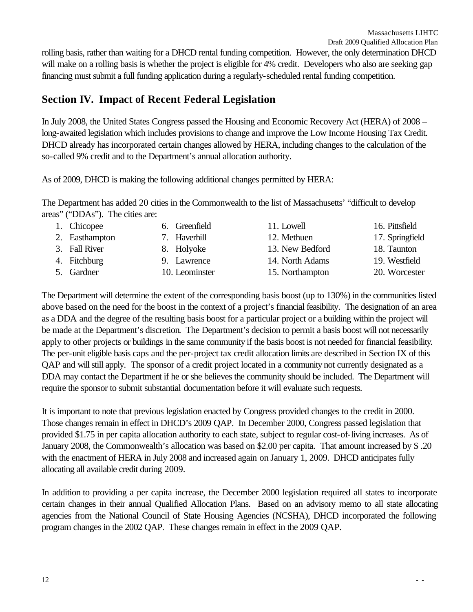rolling basis, rather than waiting for a DHCD rental funding competition. However, the only determination DHCD will make on a rolling basis is whether the project is eligible for 4% credit. Developers who also are seeking gap financing must submit a full funding application during a regularly-scheduled rental funding competition.

## **Section IV. Impact of Recent Federal Legislation**

In July 2008, the United States Congress passed the Housing and Economic Recovery Act (HERA) of 2008 – long-awaited legislation which includes provisions to change and improve the Low Income Housing Tax Credit. DHCD already has incorporated certain changes allowed by HERA, including changes to the calculation of the so-called 9% credit and to the Department's annual allocation authority.

As of 2009, DHCD is making the following additional changes permitted by HERA:

The Department has added 20 cities in the Commonwealth to the list of Massachusetts' "difficult to develop areas" ("DDAs"). The cities are:

| 1. Chicopee    | 6. Greenfield  | 11. Lowell      | 16. Pittsfield  |
|----------------|----------------|-----------------|-----------------|
| 2. Easthampton | 7. Haverhill   | 12. Methuen     | 17. Springfield |
| 3. Fall River  | 8. Holyoke     | 13. New Bedford | 18. Taunton     |
| 4. Fitchburg   | 9. Lawrence    | 14. North Adams | 19. Westfield   |
| 5. Gardner     | 10. Leominster | 15. Northampton | 20. Worcester   |

The Department will determine the extent of the corresponding basis boost (up to 130%) in the communities listed above based on the need for the boost in the context of a project's financial feasibility. The designation of an area as a DDA and the degree of the resulting basis boost for a particular project or a building within the project will be made at the Department's discretion. The Department's decision to permit a basis boost will not necessarily apply to other projects or buildings in the same community if the basis boost is not needed for financial feasibility. The per-unit eligible basis caps and the per-project tax credit allocation limits are described in Section IX of this QAP and will still apply. The sponsor of a credit project located in a community not currently designated as a DDA may contact the Department if he or she believes the community should be included. The Department will require the sponsor to submit substantial documentation before it will evaluate such requests.

It is important to note that previous legislation enacted by Congress provided changes to the credit in 2000. Those changes remain in effect in DHCD's 2009 QAP. In December 2000, Congress passed legislation that provided \$1.75 in per capita allocation authority to each state, subject to regular cost-of-living increases. As of January 2008, the Commonwealth's allocation was based on \$2.00 per capita. That amount increased by \$ .20 with the enactment of HERA in July 2008 and increased again on January 1, 2009. DHCD anticipates fully allocating all available credit during 2009.

In addition to providing a per capita increase, the December 2000 legislation required all states to incorporate certain changes in their annual Qualified Allocation Plans. Based on an advisory memo to all state allocating agencies from the National Council of State Housing Agencies (NCSHA), DHCD incorporated the following program changes in the 2002 QAP. These changes remain in effect in the 2009 QAP.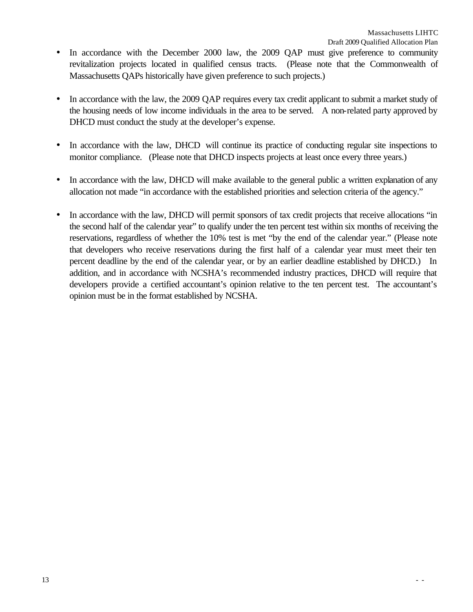- In accordance with the December 2000 law, the 2009 QAP must give preference to community revitalization projects located in qualified census tracts. (Please note that the Commonwealth of Massachusetts QAPs historically have given preference to such projects.)
- In accordance with the law, the 2009 QAP requires every tax credit applicant to submit a market study of the housing needs of low income individuals in the area to be served. A non-related party approved by DHCD must conduct the study at the developer's expense.
- In accordance with the law, DHCD will continue its practice of conducting regular site inspections to monitor compliance. (Please note that DHCD inspects projects at least once every three years.)
- In accordance with the law, DHCD will make available to the general public a written explanation of any allocation not made "in accordance with the established priorities and selection criteria of the agency."
- In accordance with the law, DHCD will permit sponsors of tax credit projects that receive allocations "in the second half of the calendar year" to qualify under the ten percent test within six months of receiving the reservations, regardless of whether the 10% test is met "by the end of the calendar year." (Please note that developers who receive reservations during the first half of a calendar year must meet their ten percent deadline by the end of the calendar year, or by an earlier deadline established by DHCD.) In addition, and in accordance with NCSHA's recommended industry practices, DHCD will require that developers provide a certified accountant's opinion relative to the ten percent test. The accountant's opinion must be in the format established by NCSHA.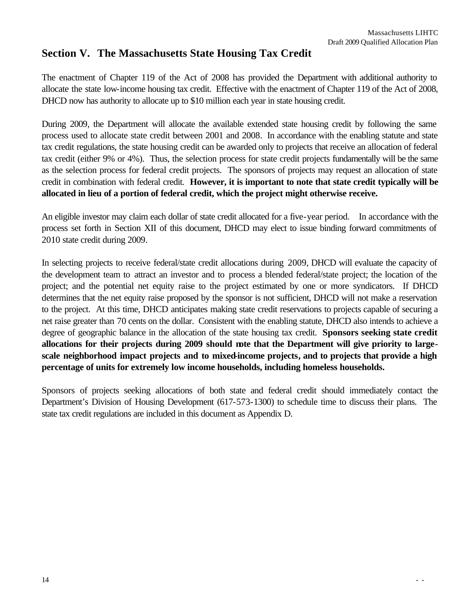## **Section V. The Massachusetts State Housing Tax Credit**

The enactment of Chapter 119 of the Act of 2008 has provided the Department with additional authority to allocate the state low-income housing tax credit. Effective with the enactment of Chapter 119 of the Act of 2008, DHCD now has authority to allocate up to \$10 million each year in state housing credit.

During 2009, the Department will allocate the available extended state housing credit by following the same process used to allocate state credit between 2001 and 2008. In accordance with the enabling statute and state tax credit regulations, the state housing credit can be awarded only to projects that receive an allocation of federal tax credit (either 9% or 4%). Thus, the selection process for state credit projects fundamentally will be the same as the selection process for federal credit projects. The sponsors of projects may request an allocation of state credit in combination with federal credit. **However, it is important to note that state credit typically will be allocated in lieu of a portion of federal credit, which the project might otherwise receive.** 

An eligible investor may claim each dollar of state credit allocated for a five-year period. In accordance with the process set forth in Section XII of this document, DHCD may elect to issue binding forward commitments of 2010 state credit during 2009.

In selecting projects to receive federal/state credit allocations during 2009, DHCD will evaluate the capacity of the development team to attract an investor and to process a blended federal/state project; the location of the project; and the potential net equity raise to the project estimated by one or more syndicators. If DHCD determines that the net equity raise proposed by the sponsor is not sufficient, DHCD will not make a reservation to the project. At this time, DHCD anticipates making state credit reservations to projects capable of securing a net raise greater than 70 cents on the dollar. Consistent with the enabling statute, DHCD also intends to achieve a degree of geographic balance in the allocation of the state housing tax credit. **Sponsors seeking state credit allocations for their projects during 2009 should note that the Department will give priority to largescale neighborhood impact projects and to mixed-income projects, and to projects that provide a high percentage of units for extremely low income households, including homeless households.**

Sponsors of projects seeking allocations of both state and federal credit should immediately contact the Department's Division of Housing Development (617-573-1300) to schedule time to discuss their plans. The state tax credit regulations are included in this document as Appendix D.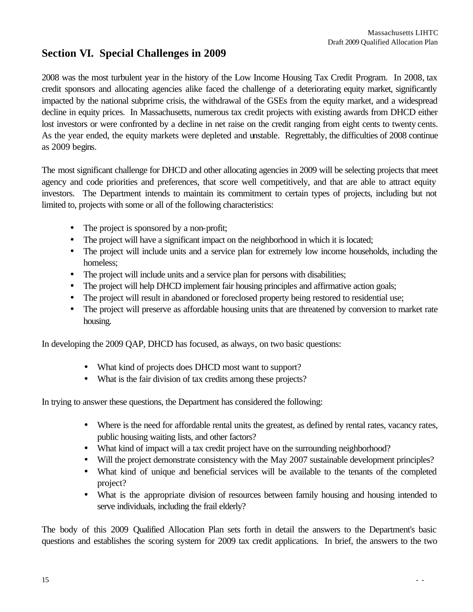## **Section VI. Special Challenges in 2009**

2008 was the most turbulent year in the history of the Low Income Housing Tax Credit Program. In 2008, tax credit sponsors and allocating agencies alike faced the challenge of a deteriorating equity market, significantly impacted by the national subprime crisis, the withdrawal of the GSEs from the equity market, and a widespread decline in equity prices. In Massachusetts, numerous tax credit projects with existing awards from DHCD either lost investors or were confronted by a decline in net raise on the credit ranging from eight cents to twenty cents. As the year ended, the equity markets were depleted and unstable. Regrettably, the difficulties of 2008 continue as 2009 begins.

The most significant challenge for DHCD and other allocating agencies in 2009 will be selecting projects that meet agency and code priorities and preferences, that score well competitively, and that are able to attract equity investors. The Department intends to maintain its commitment to certain types of projects, including but not limited to, projects with some or all of the following characteristics:

- The project is sponsored by a non-profit;
- The project will have a significant impact on the neighborhood in which it is located;
- The project will include units and a service plan for extremely low income households, including the homeless;
- The project will include units and a service plan for persons with disabilities;
- The project will help DHCD implement fair housing principles and affirmative action goals;
- The project will result in abandoned or foreclosed property being restored to residential use;
- The project will preserve as affordable housing units that are threatened by conversion to market rate housing.

In developing the 2009 QAP, DHCD has focused, as always, on two basic questions:

- What kind of projects does DHCD most want to support?
- What is the fair division of tax credits among these projects?

In trying to answer these questions, the Department has considered the following:

- Where is the need for affordable rental units the greatest, as defined by rental rates, vacancy rates, public housing waiting lists, and other factors?
- What kind of impact will a tax credit project have on the surrounding neighborhood?
- Will the project demonstrate consistency with the May 2007 sustainable development principles?
- What kind of unique and beneficial services will be available to the tenants of the completed project?
- What is the appropriate division of resources between family housing and housing intended to serve individuals, including the frail elderly?

The body of this 2009 Qualified Allocation Plan sets forth in detail the answers to the Department's basic questions and establishes the scoring system for 2009 tax credit applications. In brief, the answers to the two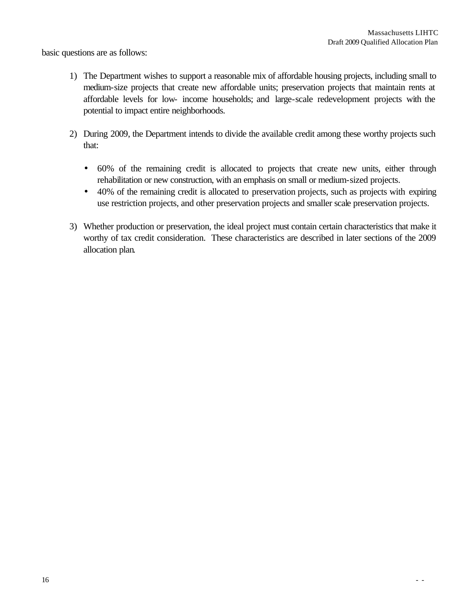basic questions are as follows:

- 1) The Department wishes to support a reasonable mix of affordable housing projects, including small to medium-size projects that create new affordable units; preservation projects that maintain rents at affordable levels for low- income households; and large-scale redevelopment projects with the potential to impact entire neighborhoods.
- 2) During 2009, the Department intends to divide the available credit among these worthy projects such that:
	- 60% of the remaining credit is allocated to projects that create new units, either through rehabilitation or new construction, with an emphasis on small or medium-sized projects.
	- 40% of the remaining credit is allocated to preservation projects, such as projects with expiring use restriction projects, and other preservation projects and smaller scale preservation projects.
- 3) Whether production or preservation, the ideal project must contain certain characteristics that make it worthy of tax credit consideration. These characteristics are described in later sections of the 2009 allocation plan.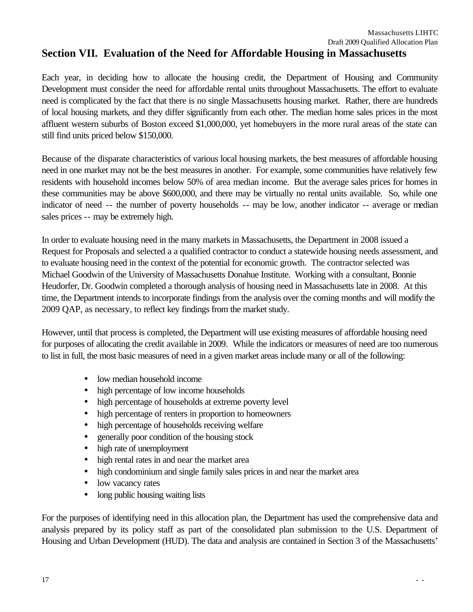Massachusetts LIHTC Draft 2009 Qualified Allocation Plan

## **Section VII. Evaluation of the Need for Affordable Housing in Massachusetts**

Each year, in deciding how to allocate the housing credit, the Department of Housing and Community Development must consider the need for affordable rental units throughout Massachusetts. The effort to evaluate need is complicated by the fact that there is no single Massachusetts housing market. Rather, there are hundreds of local housing markets, and they differ significantly from each other. The median home sales prices in the most affluent western suburbs of Boston exceed \$1,000,000, yet homebuyers in the more rural areas of the state can still find units priced below \$150,000.

Because of the disparate characteristics of various local housing markets, the best measures of affordable housing need in one market may not be the best measures in another. For example, some communities have relatively few residents with household incomes below 50% of area median income. But the average sales prices for homes in these communities may be above \$600,000, and there may be virtually no rental units available. So, while one indicator of need -- the number of poverty households -- may be low, another indicator -- average or median sales prices -- may be extremely high.

In order to evaluate housing need in the many markets in Massachusetts, the Department in 2008 issued a Request for Proposals and selected a a qualified contractor to conduct a statewide housing needs assessment, and to evaluate housing need in the context of the potential for economic growth. The contractor selected was Michael Goodwin of the University of Massachusetts Donahue Institute. Working with a consultant, Bonnie Heudorfer, Dr. Goodwin completed a thorough analysis of housing need in Massachusetts late in 2008. At this time, the Department intends to incorporate findings from the analysis over the coming months and will modify the 2009 QAP, as necessary, to reflect key findings from the market study.

However, until that process is completed, the Department will use existing measures of affordable housing need for purposes of allocating the credit available in 2009. While the indicators or measures of need are too numerous to list in full, the most basic measures of need in a given market areas include many or all of the following:

- low median household income
- high percentage of low income households
- high percentage of households at extreme poverty level
- high percentage of renters in proportion to homeowners
- high percentage of households receiving welfare
- generally poor condition of the housing stock
- high rate of unemployment
- high rental rates in and near the market area
- high condominium and single family sales prices in and near the market area
- low vacancy rates
- long public housing waiting lists

For the purposes of identifying need in this allocation plan, the Department has used the comprehensive data and analysis prepared by its policy staff as part of the consolidated plan submission to the U.S. Department of Housing and Urban Development (HUD). The data and analysis are contained in Section 3 of the Massachusetts'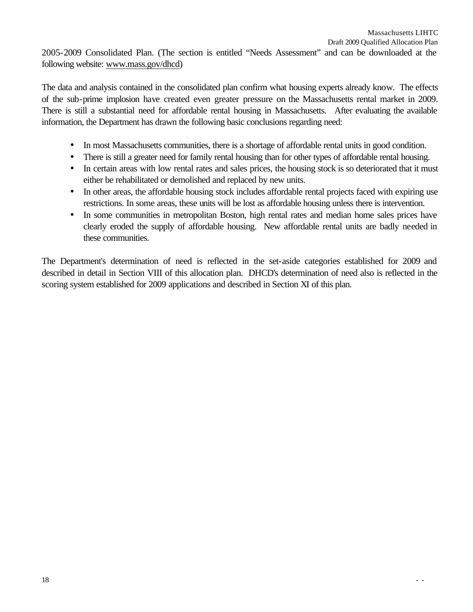2005-2009 Consolidated Plan. (The section is entitled "Needs Assessment" and can be downloaded at the following website: www.mass.gov/dhcd)

The data and analysis contained in the consolidated plan confirm what housing experts already know. The effects of the sub-prime implosion have created even greater pressure on the Massachusetts rental market in 2009. There is still a substantial need for affordable rental housing in Massachusetts. After evaluating the available information, the Department has drawn the following basic conclusions regarding need:

- In most Massachusetts communities, there is a shortage of affordable rental units in good condition.
- There is still a greater need for family rental housing than for other types of affordable rental housing.
- In certain areas with low rental rates and sales prices, the housing stock is so deteriorated that it must either be rehabilitated or demolished and replaced by new units.
- In other areas, the affordable housing stock includes affordable rental projects faced with expiring use restrictions. In some areas, these units will be lost as affordable housing unless there is intervention.
- In some communities in metropolitan Boston, high rental rates and median home sales prices have clearly eroded the supply of affordable housing. New affordable rental units are badly needed in these communities.

The Department's determination of need is reflected in the set-aside categories established for 2009 and described in detail in Section VIII of this allocation plan. DHCD's determination of need also is reflected in the scoring system established for 2009 applications and described in Section XI of this plan.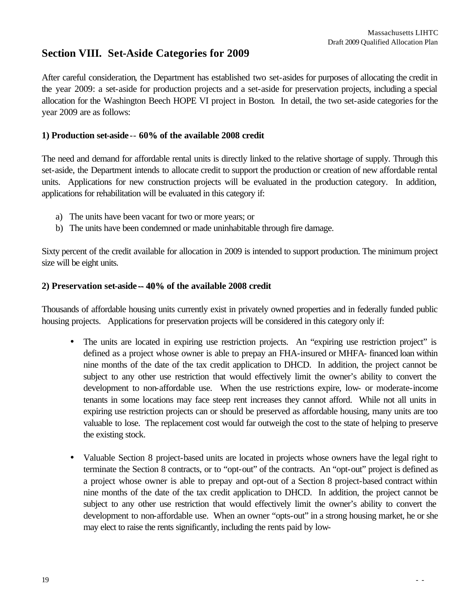## **Section VIII. Set-Aside Categories for 2009**

After careful consideration, the Department has established two set-asides for purposes of allocating the credit in the year 2009: a set-aside for production projects and a set-aside for preservation projects, including a special allocation for the Washington Beech HOPE VI project in Boston. In detail, the two set-aside categories for the year 2009 are as follows:

#### **1) Production set-aside**-- **60% of the available 2008 credit**

The need and demand for affordable rental units is directly linked to the relative shortage of supply. Through this set-aside, the Department intends to allocate credit to support the production or creation of new affordable rental units. Applications for new construction projects will be evaluated in the production category. In addition, applications for rehabilitation will be evaluated in this category if:

- a) The units have been vacant for two or more years; or
- b) The units have been condemned or made uninhabitable through fire damage.

Sixty percent of the credit available for allocation in 2009 is intended to support production. The minimum project size will be eight units.

#### **2) Preservation set-aside -- 40% of the available 2008 credit**

Thousands of affordable housing units currently exist in privately owned properties and in federally funded public housing projects. Applications for preservation projects will be considered in this category only if:

- The units are located in expiring use restriction projects. An "expiring use restriction project" is defined as a project whose owner is able to prepay an FHA-insured or MHFA- financed loan within nine months of the date of the tax credit application to DHCD. In addition, the project cannot be subject to any other use restriction that would effectively limit the owner's ability to convert the development to non-affordable use. When the use restrictions expire, low- or moderate-income tenants in some locations may face steep rent increases they cannot afford. While not all units in expiring use restriction projects can or should be preserved as affordable housing, many units are too valuable to lose. The replacement cost would far outweigh the cost to the state of helping to preserve the existing stock.
- Valuable Section 8 project-based units are located in projects whose owners have the legal right to terminate the Section 8 contracts, or to "opt-out" of the contracts. An "opt-out" project is defined as a project whose owner is able to prepay and opt-out of a Section 8 project-based contract within nine months of the date of the tax credit application to DHCD. In addition, the project cannot be subject to any other use restriction that would effectively limit the owner's ability to convert the development to non-affordable use. When an owner "opts-out" in a strong housing market, he or she may elect to raise the rents significantly, including the rents paid by low-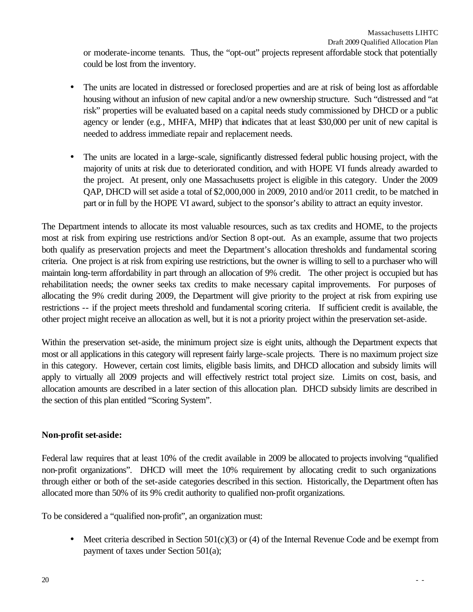or moderate-income tenants. Thus, the "opt-out" projects represent affordable stock that potentially could be lost from the inventory.

- The units are located in distressed or foreclosed properties and are at risk of being lost as affordable housing without an infusion of new capital and/or a new ownership structure. Such "distressed and "at risk" properties will be evaluated based on a capital needs study commissioned by DHCD or a public agency or lender (e.g., MHFA, MHP) that indicates that at least \$30,000 per unit of new capital is needed to address immediate repair and replacement needs.
- The units are located in a large-scale, significantly distressed federal public housing project, with the majority of units at risk due to deteriorated condition, and with HOPE VI funds already awarded to the project. At present, only one Massachusetts project is eligible in this category. Under the 2009 QAP, DHCD will set aside a total of \$2,000,000 in 2009, 2010 and/or 2011 credit, to be matched in part or in full by the HOPE VI award, subject to the sponsor's ability to attract an equity investor.

The Department intends to allocate its most valuable resources, such as tax credits and HOME, to the projects most at risk from expiring use restrictions and/or Section 8 opt-out. As an example, assume that two projects both qualify as preservation projects and meet the Department's allocation thresholds and fundamental scoring criteria. One project is at risk from expiring use restrictions, but the owner is willing to sell to a purchaser who will maintain long-term affordability in part through an allocation of 9% credit. The other project is occupied but has rehabilitation needs; the owner seeks tax credits to make necessary capital improvements. For purposes of allocating the 9% credit during 2009, the Department will give priority to the project at risk from expiring use restrictions -- if the project meets threshold and fundamental scoring criteria. If sufficient credit is available, the other project might receive an allocation as well, but it is not a priority project within the preservation set-aside.

Within the preservation set-aside, the minimum project size is eight units, although the Department expects that most or all applications in this category will represent fairly large-scale projects. There is no maximum project size in this category. However, certain cost limits, eligible basis limits, and DHCD allocation and subsidy limits will apply to virtually all 2009 projects and will effectively restrict total project size. Limits on cost, basis, and allocation amounts are described in a later section of this allocation plan. DHCD subsidy limits are described in the section of this plan entitled "Scoring System".

#### **Non-profit set-aside:**

Federal law requires that at least 10% of the credit available in 2009 be allocated to projects involving "qualified non-profit organizations". DHCD will meet the 10% requirement by allocating credit to such organizations through either or both of the set-aside categories described in this section. Historically, the Department often has allocated more than 50% of its 9% credit authority to qualified non-profit organizations.

To be considered a "qualified non-profit", an organization must:

• Meet criteria described in Section  $501(c)(3)$  or (4) of the Internal Revenue Code and be exempt from payment of taxes under Section 501(a);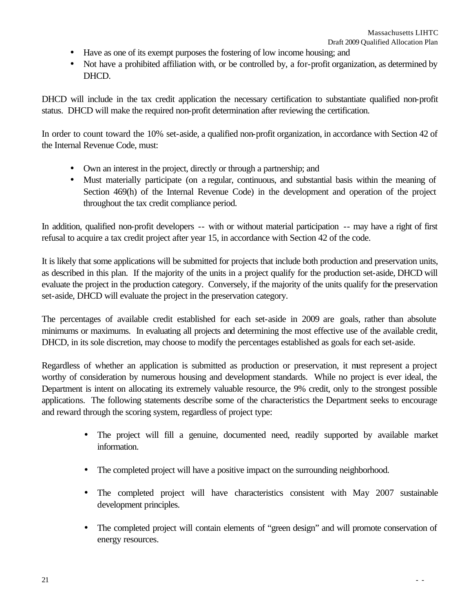- Have as one of its exempt purposes the fostering of low income housing; and
- Not have a prohibited affiliation with, or be controlled by, a for-profit organization, as determined by DHCD.

DHCD will include in the tax credit application the necessary certification to substantiate qualified non-profit status. DHCD will make the required non-profit determination after reviewing the certification.

In order to count toward the 10% set-aside, a qualified non-profit organization, in accordance with Section 42 of the Internal Revenue Code, must:

- Own an interest in the project, directly or through a partnership; and
- Must materially participate (on a regular, continuous, and substantial basis within the meaning of Section 469(h) of the Internal Revenue Code) in the development and operation of the project throughout the tax credit compliance period.

In addition, qualified non-profit developers -- with or without material participation -- may have a right of first refusal to acquire a tax credit project after year 15, in accordance with Section 42 of the code.

It is likely that some applications will be submitted for projects that include both production and preservation units, as described in this plan. If the majority of the units in a project qualify for the production set-aside, DHCD will evaluate the project in the production category. Conversely, if the majority of the units qualify for the preservation set-aside, DHCD will evaluate the project in the preservation category.

The percentages of available credit established for each set-aside in 2009 are goals, rather than absolute minimums or maximums. In evaluating all projects and determining the most effective use of the available credit, DHCD, in its sole discretion, may choose to modify the percentages established as goals for each set-aside.

Regardless of whether an application is submitted as production or preservation, it must represent a project worthy of consideration by numerous housing and development standards. While no project is ever ideal, the Department is intent on allocating its extremely valuable resource, the 9% credit, only to the strongest possible applications. The following statements describe some of the characteristics the Department seeks to encourage and reward through the scoring system, regardless of project type:

- The project will fill a genuine, documented need, readily supported by available market information.
- The completed project will have a positive impact on the surrounding neighborhood.
- The completed project will have characteristics consistent with May 2007 sustainable development principles.
- The completed project will contain elements of "green design" and will promote conservation of energy resources.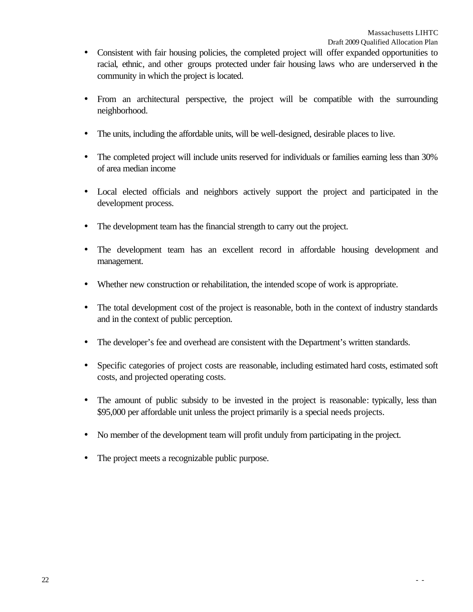- Consistent with fair housing policies, the completed project will offer expanded opportunities to racial, ethnic, and other groups protected under fair housing laws who are underserved in the community in which the project is located.
- From an architectural perspective, the project will be compatible with the surrounding neighborhood.
- The units, including the affordable units, will be well-designed, desirable places to live.
- The completed project will include units reserved for individuals or families earning less than 30% of area median income
- Local elected officials and neighbors actively support the project and participated in the development process.
- The development team has the financial strength to carry out the project.
- The development team has an excellent record in affordable housing development and management.
- Whether new construction or rehabilitation, the intended scope of work is appropriate.
- The total development cost of the project is reasonable, both in the context of industry standards and in the context of public perception.
- The developer's fee and overhead are consistent with the Department's written standards.
- Specific categories of project costs are reasonable, including estimated hard costs, estimated soft costs, and projected operating costs.
- The amount of public subsidy to be invested in the project is reasonable: typically, less than \$95,000 per affordable unit unless the project primarily is a special needs projects.
- No member of the development team will profit unduly from participating in the project.
- The project meets a recognizable public purpose.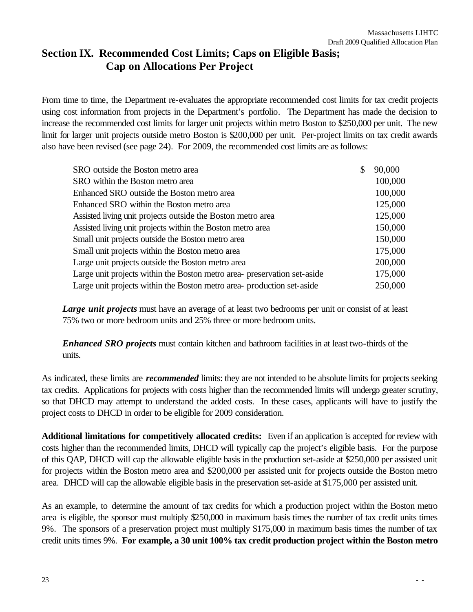## **Section IX. Recommended Cost Limits; Caps on Eligible Basis; Cap on Allocations Per Project**

From time to time, the Department re-evaluates the appropriate recommended cost limits for tax credit projects using cost information from projects in the Department's portfolio. The Department has made the decision to increase the recommended cost limits for larger unit projects within metro Boston to \$250,000 per unit. The new limit for larger unit projects outside metro Boston is \$200,000 per unit. Per-project limits on tax credit awards also have been revised (see page 24). For 2009, the recommended cost limits are as follows:

| SRO outside the Boston metro area                                        | 90,000  |
|--------------------------------------------------------------------------|---------|
| SRO within the Boston metro area                                         | 100,000 |
| Enhanced SRO outside the Boston metro area                               | 100,000 |
| Enhanced SRO within the Boston metro area                                | 125,000 |
| Assisted living unit projects outside the Boston metro area              | 125,000 |
| Assisted living unit projects within the Boston metro area               | 150,000 |
| Small unit projects outside the Boston metro area                        | 150,000 |
| Small unit projects within the Boston metro area                         | 175,000 |
| Large unit projects outside the Boston metro area                        | 200,000 |
| Large unit projects within the Boston metro area- preservation set-aside | 175,000 |
| Large unit projects within the Boston metro area- production set-aside   | 250,000 |

*Large unit projects* must have an average of at least two bedrooms per unit or consist of at least 75% two or more bedroom units and 25% three or more bedroom units.

*Enhanced SRO projects* must contain kitchen and bathroom facilities in at least two-thirds of the units.

As indicated, these limits are *recommended* limits: they are not intended to be absolute limits for projects seeking tax credits. Applications for projects with costs higher than the recommended limits will undergo greater scrutiny, so that DHCD may attempt to understand the added costs. In these cases, applicants will have to justify the project costs to DHCD in order to be eligible for 2009 consideration.

**Additional limitations for competitively allocated credits:** Even if an application is accepted for review with costs higher than the recommended limits, DHCD will typically cap the project's eligible basis. For the purpose of this QAP, DHCD will cap the allowable eligible basis in the production set-aside at \$250,000 per assisted unit for projects within the Boston metro area and \$200,000 per assisted unit for projects outside the Boston metro area. DHCD will cap the allowable eligible basis in the preservation set-aside at \$175,000 per assisted unit.

As an example, to determine the amount of tax credits for which a production project within the Boston metro area is eligible, the sponsor must multiply \$250,000 in maximum basis times the number of tax credit units times 9%. The sponsors of a preservation project must multiply \$175,000 in maximum basis times the number of tax credit units times 9%. **For example, a 30 unit 100% tax credit production project within the Boston metro**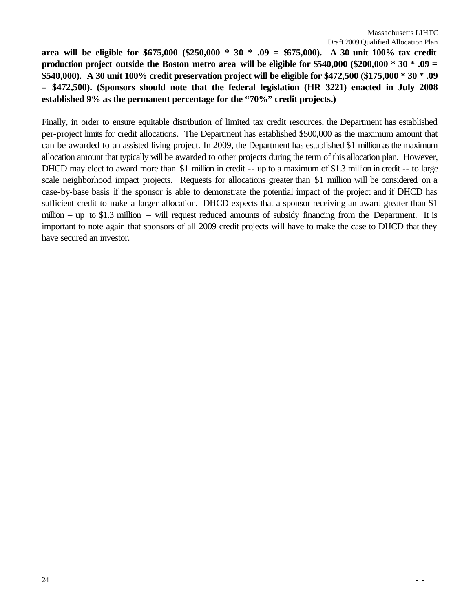**area will be eligible for \$675,000 (\$250,000 \* 30 \* .09 = \$675,000). A 30 unit 100% tax credit production project outside the Boston metro area will be eligible for \$540,000 (\$200,000 \* 30 \* .09 = \$540,000). A 30 unit 100% credit preservation project will be eligible for \$472,500 (\$175,000 \* 30 \* .09 = \$472,500). (Sponsors should note that the federal legislation (HR 3221) enacted in July 2008 established 9% as the permanent percentage for the "70%" credit projects.)**

Finally, in order to ensure equitable distribution of limited tax credit resources, the Department has established per-project limits for credit allocations. The Department has established \$500,000 as the maximum amount that can be awarded to an assisted living project. In 2009, the Department has established \$1 million as the maximum allocation amount that typically will be awarded to other projects during the term of this allocation plan. However, DHCD may elect to award more than \$1 million in credit -- up to a maximum of \$1.3 million in credit -- to large scale neighborhood impact projects. Requests for allocations greater than \$1 million will be considered on a case-by-base basis if the sponsor is able to demonstrate the potential impact of the project and if DHCD has sufficient credit to make a larger allocation. DHCD expects that a sponsor receiving an award greater than \$1 million – up to \$1.3 million – will request reduced amounts of subsidy financing from the Department. It is important to note again that sponsors of all 2009 credit projects will have to make the case to DHCD that they have secured an investor.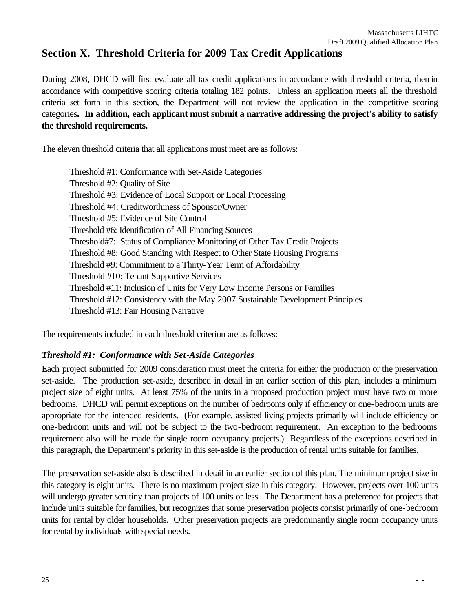## **Section X. Threshold Criteria for 2009 Tax Credit Applications**

During 2008, DHCD will first evaluate all tax credit applications in accordance with threshold criteria, then in accordance with competitive scoring criteria totaling 182 points. Unless an application meets all the threshold criteria set forth in this section, the Department will not review the application in the competitive scoring categories**. In addition, each applicant must submit a narrative addressing the project's ability to satisfy the threshold requirements.** 

The eleven threshold criteria that all applications must meet are as follows:

Threshold #1: Conformance with Set-Aside Categories Threshold #2: Quality of Site Threshold #3: Evidence of Local Support or Local Processing Threshold #4: Creditworthiness of Sponsor/Owner Threshold #5: Evidence of Site Control Threshold #6: Identification of All Financing Sources Threshold#7: Status of Compliance Monitoring of Other Tax Credit Projects Threshold #8: Good Standing with Respect to Other State Housing Programs Threshold #9: Commitment to a Thirty-Year Term of Affordability Threshold #10: Tenant Supportive Services Threshold #11: Inclusion of Units for Very Low Income Persons or Families Threshold #12: Consistency with the May 2007 Sustainable Development Principles Threshold #13: Fair Housing Narrative

The requirements included in each threshold criterion are as follows:

#### *Threshold #1: Conformance with Set-Aside Categories*

Each project submitted for 2009 consideration must meet the criteria for either the production or the preservation set-aside. The production set-aside, described in detail in an earlier section of this plan, includes a minimum project size of eight units. At least 75% of the units in a proposed production project must have two or more bedrooms. DHCD will permit exceptions on the number of bedrooms only if efficiency or one-bedroom units are appropriate for the intended residents. (For example, assisted living projects primarily will include efficiency or one-bedroom units and will not be subject to the two-bedroom requirement. An exception to the bedrooms requirement also will be made for single room occupancy projects.) Regardless of the exceptions described in this paragraph, the Department's priority in this set-aside is the production of rental units suitable for families.

The preservation set-aside also is described in detail in an earlier section of this plan. The minimum project size in this category is eight units. There is no maximum project size in this category. However, projects over 100 units will undergo greater scrutiny than projects of 100 units or less. The Department has a preference for projects that include units suitable for families, but recognizes that some preservation projects consist primarily of one-bedroom units for rental by older households. Other preservation projects are predominantly single room occupancy units for rental by individuals with special needs.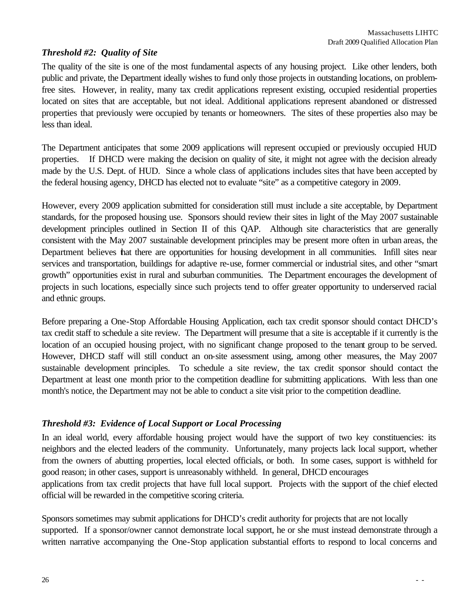#### *Threshold #2: Quality of Site*

The quality of the site is one of the most fundamental aspects of any housing project. Like other lenders, both public and private, the Department ideally wishes to fund only those projects in outstanding locations, on problemfree sites. However, in reality, many tax credit applications represent existing, occupied residential properties located on sites that are acceptable, but not ideal. Additional applications represent abandoned or distressed properties that previously were occupied by tenants or homeowners. The sites of these properties also may be less than ideal.

The Department anticipates that some 2009 applications will represent occupied or previously occupied HUD properties. If DHCD were making the decision on quality of site, it might not agree with the decision already made by the U.S. Dept. of HUD. Since a whole class of applications includes sites that have been accepted by the federal housing agency, DHCD has elected not to evaluate "site" as a competitive category in 2009.

However, every 2009 application submitted for consideration still must include a site acceptable, by Department standards, for the proposed housing use. Sponsors should review their sites in light of the May 2007 sustainable development principles outlined in Section II of this QAP. Although site characteristics that are generally consistent with the May 2007 sustainable development principles may be present more often in urban areas, the Department believes that there are opportunities for housing development in all communities. Infill sites near services and transportation, buildings for adaptive re-use, former commercial or industrial sites, and other "smart growth" opportunities exist in rural and suburban communities. The Department encourages the development of projects in such locations, especially since such projects tend to offer greater opportunity to underserved racial and ethnic groups.

Before preparing a One-Stop Affordable Housing Application, each tax credit sponsor should contact DHCD's tax credit staff to schedule a site review. The Department will presume that a site is acceptable if it currently is the location of an occupied housing project, with no significant change proposed to the tenant group to be served. However, DHCD staff will still conduct an on-site assessment using, among other measures, the May 2007 sustainable development principles. To schedule a site review, the tax credit sponsor should contact the Department at least one month prior to the competition deadline for submitting applications. With less than one month's notice, the Department may not be able to conduct a site visit prior to the competition deadline.

#### *Threshold #3: Evidence of Local Support or Local Processing*

In an ideal world, every affordable housing project would have the support of two key constituencies: its neighbors and the elected leaders of the community. Unfortunately, many projects lack local support, whether from the owners of abutting properties, local elected officials, or both. In some cases, support is withheld for good reason; in other cases, support is unreasonably withheld. In general, DHCD encourages applications from tax credit projects that have full local support. Projects with the support of the chief elected official will be rewarded in the competitive scoring criteria.

Sponsors sometimes may submit applications for DHCD's credit authority for projects that are not locally supported. If a sponsor/owner cannot demonstrate local support, he or she must instead demonstrate through a written narrative accompanying the One-Stop application substantial efforts to respond to local concerns and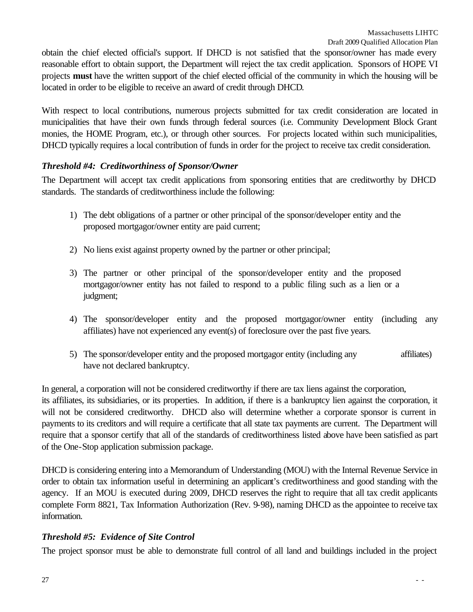obtain the chief elected official's support. If DHCD is not satisfied that the sponsor/owner has made every reasonable effort to obtain support, the Department will reject the tax credit application. Sponsors of HOPE VI projects **must** have the written support of the chief elected official of the community in which the housing will be located in order to be eligible to receive an award of credit through DHCD.

With respect to local contributions, numerous projects submitted for tax credit consideration are located in municipalities that have their own funds through federal sources (i.e. Community Development Block Grant monies, the HOME Program, etc.), or through other sources. For projects located within such municipalities, DHCD typically requires a local contribution of funds in order for the project to receive tax credit consideration.

#### *Threshold #4: Creditworthiness of Sponsor/Owner*

The Department will accept tax credit applications from sponsoring entities that are creditworthy by DHCD standards. The standards of creditworthiness include the following:

- 1) The debt obligations of a partner or other principal of the sponsor/developer entity and the proposed mortgagor/owner entity are paid current;
- 2) No liens exist against property owned by the partner or other principal;
- 3) The partner or other principal of the sponsor/developer entity and the proposed mortgagor/owner entity has not failed to respond to a public filing such as a lien or a judgment;
- 4) The sponsor/developer entity and the proposed mortgagor/owner entity (including any affiliates) have not experienced any event(s) of foreclosure over the past five years.
- 5) The sponsor/developer entity and the proposed mortgagor entity (including any affiliates) have not declared bankruptcy.

In general, a corporation will not be considered creditworthy if there are tax liens against the corporation, its affiliates, its subsidiaries, or its properties. In addition, if there is a bankruptcy lien against the corporation, it will not be considered creditworthy. DHCD also will determine whether a corporate sponsor is current in payments to its creditors and will require a certificate that all state tax payments are current. The Department will require that a sponsor certify that all of the standards of creditworthiness listed above have been satisfied as part of the One-Stop application submission package.

DHCD is considering entering into a Memorandum of Understanding (MOU) with the Internal Revenue Service in order to obtain tax information useful in determining an applicant's creditworthiness and good standing with the agency. If an MOU is executed during 2009, DHCD reserves the right to require that all tax credit applicants complete Form 8821, Tax Information Authorization (Rev. 9-98), naming DHCD as the appointee to receive tax information.

#### *Threshold #5: Evidence of Site Control*

The project sponsor must be able to demonstrate full control of all land and buildings included in the project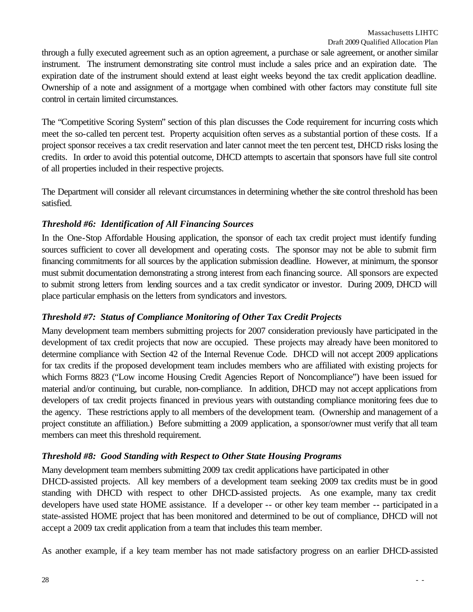through a fully executed agreement such as an option agreement, a purchase or sale agreement, or another similar instrument. The instrument demonstrating site control must include a sales price and an expiration date. The expiration date of the instrument should extend at least eight weeks beyond the tax credit application deadline. Ownership of a note and assignment of a mortgage when combined with other factors may constitute full site control in certain limited circumstances.

The "Competitive Scoring System" section of this plan discusses the Code requirement for incurring costs which meet the so-called ten percent test. Property acquisition often serves as a substantial portion of these costs. If a project sponsor receives a tax credit reservation and later cannot meet the ten percent test, DHCD risks losing the credits. In order to avoid this potential outcome, DHCD attempts to ascertain that sponsors have full site control of all properties included in their respective projects.

The Department will consider all relevant circumstances in determining whether the site control threshold has been satisfied.

#### *Threshold #6: Identification of All Financing Sources*

In the One-Stop Affordable Housing application, the sponsor of each tax credit project must identify funding sources sufficient to cover all development and operating costs. The sponsor may not be able to submit firm financing commitments for all sources by the application submission deadline. However, at minimum, the sponsor must submit documentation demonstrating a strong interest from each financing source. All sponsors are expected to submit strong letters from lending sources and a tax credit syndicator or investor. During 2009, DHCD will place particular emphasis on the letters from syndicators and investors.

#### *Threshold #7: Status of Compliance Monitoring of Other Tax Credit Projects*

Many development team members submitting projects for 2007 consideration previously have participated in the development of tax credit projects that now are occupied. These projects may already have been monitored to determine compliance with Section 42 of the Internal Revenue Code. DHCD will not accept 2009 applications for tax credits if the proposed development team includes members who are affiliated with existing projects for which Forms 8823 ("Low income Housing Credit Agencies Report of Noncompliance") have been issued for material and/or continuing, but curable, non-compliance. In addition, DHCD may not accept applications from developers of tax credit projects financed in previous years with outstanding compliance monitoring fees due to the agency. These restrictions apply to all members of the development team. (Ownership and management of a project constitute an affiliation.) Before submitting a 2009 application, a sponsor/owner must verify that all team members can meet this threshold requirement.

#### *Threshold #8: Good Standing with Respect to Other State Housing Programs*

Many development team members submitting 2009 tax credit applications have participated in other

DHCD-assisted projects. All key members of a development team seeking 2009 tax credits must be in good standing with DHCD with respect to other DHCD-assisted projects. As one example, many tax credit developers have used state HOME assistance. If a developer -- or other key team member -- participated in a state-assisted HOME project that has been monitored and determined to be out of compliance, DHCD will not accept a 2009 tax credit application from a team that includes this team member.

As another example, if a key team member has not made satisfactory progress on an earlier DHCD-assisted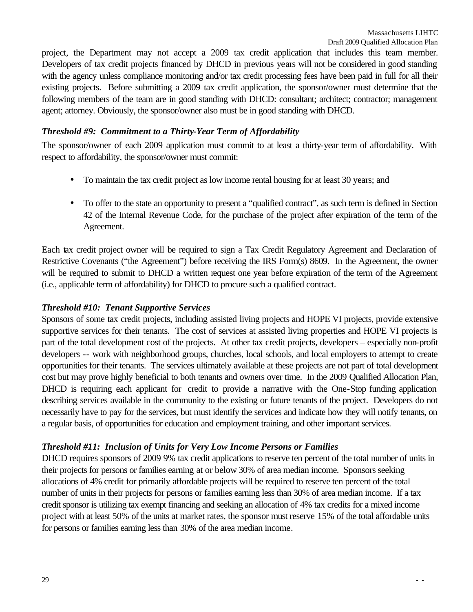project, the Department may not accept a 2009 tax credit application that includes this team member. Developers of tax credit projects financed by DHCD in previous years will not be considered in good standing with the agency unless compliance monitoring and/or tax credit processing fees have been paid in full for all their existing projects. Before submitting a 2009 tax credit application, the sponsor/owner must determine that the following members of the team are in good standing with DHCD: consultant; architect; contractor; management agent; attorney. Obviously, the sponsor/owner also must be in good standing with DHCD.

#### *Threshold #9: Commitment to a Thirty-Year Term of Affordability*

The sponsor/owner of each 2009 application must commit to at least a thirty-year term of affordability. With respect to affordability, the sponsor/owner must commit:

- To maintain the tax credit project as low income rental housing for at least 30 years; and
- To offer to the state an opportunity to present a "qualified contract", as such term is defined in Section 42 of the Internal Revenue Code, for the purchase of the project after expiration of the term of the Agreement.

Each tax credit project owner will be required to sign a Tax Credit Regulatory Agreement and Declaration of Restrictive Covenants ("the Agreement") before receiving the IRS Form(s) 8609. In the Agreement, the owner will be required to submit to DHCD a written request one year before expiration of the term of the Agreement (i.e., applicable term of affordability) for DHCD to procure such a qualified contract.

#### *Threshold #10: Tenant Supportive Services*

Sponsors of some tax credit projects, including assisted living projects and HOPE VI projects, provide extensive supportive services for their tenants. The cost of services at assisted living properties and HOPE VI projects is part of the total development cost of the projects. At other tax credit projects, developers – especially non-profit developers -- work with neighborhood groups, churches, local schools, and local employers to attempt to create opportunities for their tenants. The services ultimately available at these projects are not part of total development cost but may prove highly beneficial to both tenants and owners over time. In the 2009 Qualified Allocation Plan, DHCD is requiring each applicant for credit to provide a narrative with the One-Stop funding application describing services available in the community to the existing or future tenants of the project. Developers do not necessarily have to pay for the services, but must identify the services and indicate how they will notify tenants, on a regular basis, of opportunities for education and employment training, and other important services.

#### *Threshold #11: Inclusion of Units for Very Low Income Persons or Families*

DHCD requires sponsors of 2009 9% tax credit applications to reserve ten percent of the total number of units in their projects for persons or families earning at or below 30% of area median income. Sponsors seeking allocations of 4% credit for primarily affordable projects will be required to reserve ten percent of the total number of units in their projects for persons or families earning less than 30% of area median income. If a tax credit sponsor is utilizing tax exempt financing and seeking an allocation of 4% tax credits for a mixed income project with at least 50% of the units at market rates, the sponsor must reserve 15% of the total affordable units for persons or families earning less than 30% of the area median income.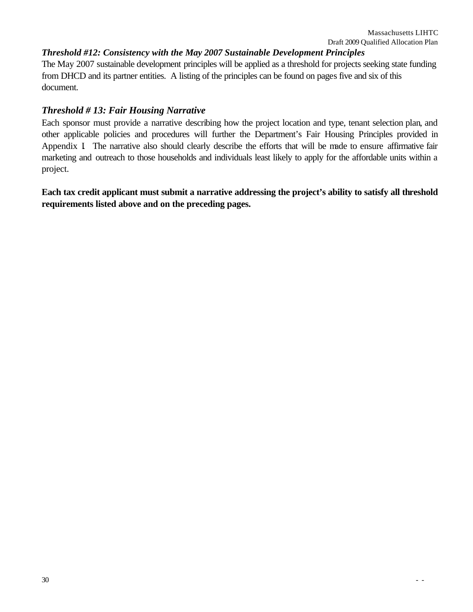#### *Threshold #12: Consistency with the May 2007 Sustainable Development Principles*

The May 2007 sustainable development principles will be applied as a threshold for projects seeking state funding from DHCD and its partner entities. A listing of the principles can be found on pages five and six of this document.

#### *Threshold # 13: Fair Housing Narrative*

Each sponsor must provide a narrative describing how the project location and type, tenant selection plan, and other applicable policies and procedures will further the Department's Fair Housing Principles provided in Appendix I. The narrative also should clearly describe the efforts that will be made to ensure affirmative fair marketing and outreach to those households and individuals least likely to apply for the affordable units within a project.

**Each tax credit applicant must submit a narrative addressing the project's ability to satisfy all threshold requirements listed above and on the preceding pages.**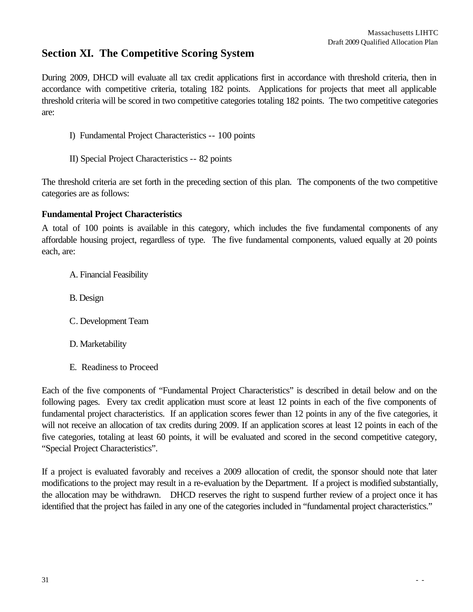## **Section XI. The Competitive Scoring System**

During 2009, DHCD will evaluate all tax credit applications first in accordance with threshold criteria, then in accordance with competitive criteria, totaling 182 points. Applications for projects that meet all applicable threshold criteria will be scored in two competitive categories totaling 182 points. The two competitive categories are:

- I) Fundamental Project Characteristics -- 100 points
- II) Special Project Characteristics -- 82 points

The threshold criteria are set forth in the preceding section of this plan. The components of the two competitive categories are as follows:

#### **Fundamental Project Characteristics**

A total of 100 points is available in this category, which includes the five fundamental components of any affordable housing project, regardless of type. The five fundamental components, valued equally at 20 points each, are:

- A. Financial Feasibility
- B. Design
- C. Development Team
- D. Marketability
- E. Readiness to Proceed

Each of the five components of "Fundamental Project Characteristics" is described in detail below and on the following pages. Every tax credit application must score at least 12 points in each of the five components of fundamental project characteristics. If an application scores fewer than 12 points in any of the five categories, it will not receive an allocation of tax credits during 2009. If an application scores at least 12 points in each of the five categories, totaling at least 60 points, it will be evaluated and scored in the second competitive category, "Special Project Characteristics".

If a project is evaluated favorably and receives a 2009 allocation of credit, the sponsor should note that later modifications to the project may result in a re-evaluation by the Department. If a project is modified substantially, the allocation may be withdrawn. DHCD reserves the right to suspend further review of a project once it has identified that the project has failed in any one of the categories included in "fundamental project characteristics."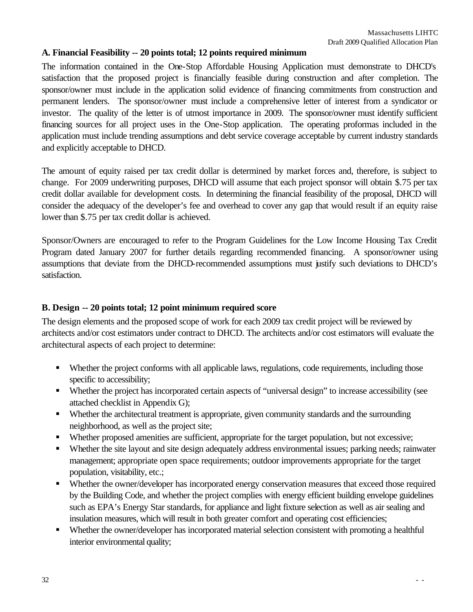#### **A. Financial Feasibility -- 20 points total; 12 points required minimum**

The information contained in the One-Stop Affordable Housing Application must demonstrate to DHCD's satisfaction that the proposed project is financially feasible during construction and after completion. The sponsor/owner must include in the application solid evidence of financing commitments from construction and permanent lenders. The sponsor/owner must include a comprehensive letter of interest from a syndicator or investor. The quality of the letter is of utmost importance in 2009. The sponsor/owner must identify sufficient financing sources for all project uses in the One-Stop application. The operating proformas included in the application must include trending assumptions and debt service coverage acceptable by current industry standards and explicitly acceptable to DHCD.

The amount of equity raised per tax credit dollar is determined by market forces and, therefore, is subject to change. For 2009 underwriting purposes, DHCD will assume that each project sponsor will obtain \$.75 per tax credit dollar available for development costs. In determining the financial feasibility of the proposal, DHCD will consider the adequacy of the developer's fee and overhead to cover any gap that would result if an equity raise lower than \$.75 per tax credit dollar is achieved.

Sponsor/Owners are encouraged to refer to the Program Guidelines for the Low Income Housing Tax Credit Program dated January 2007 for further details regarding recommended financing. A sponsor/owner using assumptions that deviate from the DHCD-recommended assumptions must justify such deviations to DHCD's satisfaction.

#### **B. Design -- 20 points total; 12 point minimum required score**

The design elements and the proposed scope of work for each 2009 tax credit project will be reviewed by architects and/or cost estimators under contract to DHCD. The architects and/or cost estimators will evaluate the architectural aspects of each project to determine:

- Whether the project conforms with all applicable laws, regulations, code requirements, including those specific to accessibility;
- Whether the project has incorporated certain aspects of "universal design" to increase accessibility (see attached checklist in Appendix G);
- Whether the architectural treatment is appropriate, given community standards and the surrounding neighborhood, as well as the project site;
- Whether proposed amenities are sufficient, appropriate for the target population, but not excessive;
- Whether the site layout and site design adequately address environmental issues; parking needs; rainwater management; appropriate open space requirements; outdoor improvements appropriate for the target population, visitability, etc.;
- Whether the owner/developer has incorporated energy conservation measures that exceed those required by the Building Code, and whether the project complies with energy efficient building envelope guidelines such as EPA's Energy Star standards, for appliance and light fixture selection as well as air sealing and insulation measures, which will result in both greater comfort and operating cost efficiencies;
- Whether the owner/developer has incorporated material selection consistent with promoting a healthful interior environmental quality;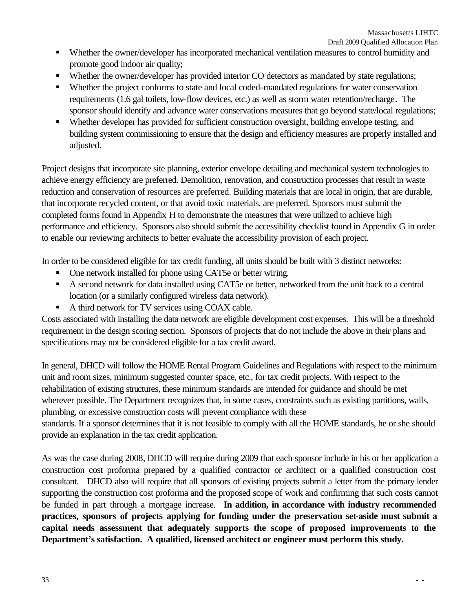Massachusetts LIHTC

Draft 2009 Qualified Allocation Plan

- ß Whether the owner/developer has incorporated mechanical ventilation measures to control humidity and promote good indoor air quality;
- Whether the owner/developer has provided interior CO detectors as mandated by state regulations;
- Whether the project conforms to state and local coded-mandated regulations for water conservation requirements (1.6 gal toilets, low-flow devices, etc.) as well as storm water retention/recharge. The sponsor should identify and advance water conservations measures that go beyond state/local regulations;
- ß Whether developer has provided for sufficient construction oversight, building envelope testing, and building system commissioning to ensure that the design and efficiency measures are properly installed and adjusted.

Project designs that incorporate site planning, exterior envelope detailing and mechanical system technologies to achieve energy efficiency are preferred. Demolition, renovation, and construction processes that result in waste reduction and conservation of resources are preferred. Building materials that are local in origin, that are durable, that incorporate recycled content, or that avoid toxic materials, are preferred. Sponsors must submit the completed forms found in Appendix H to demonstrate the measures that were utilized to achieve high performance and efficiency. Sponsors also should submit the accessibility checklist found in Appendix G in order to enable our reviewing architects to better evaluate the accessibility provision of each project.

In order to be considered eligible for tax credit funding, all units should be built with 3 distinct networks:

- One network installed for phone using CAT5e or better wiring.
- A second network for data installed using CAT5e or better, networked from the unit back to a central location (or a similarly configured wireless data network).
- A third network for TV services using COAX cable.

Costs associated with installing the data network are eligible development cost expenses. This will be a threshold requirement in the design scoring section. Sponsors of projects that do not include the above in their plans and specifications may not be considered eligible for a tax credit award.

In general, DHCD will follow the HOME Rental Program Guidelines and Regulations with respect to the minimum unit and room sizes, minimum suggested counter space, etc., for tax credit projects. With respect to the rehabilitation of existing structures, these minimum standards are intended for guidance and should be met wherever possible. The Department recognizes that, in some cases, constraints such as existing partitions, walls, plumbing, or excessive construction costs will prevent compliance with these

standards. If a sponsor determines that it is not feasible to comply with all the HOME standards, he or she should provide an explanation in the tax credit application.

As was the case during 2008, DHCD will require during 2009 that each sponsor include in his or her application a construction cost proforma prepared by a qualified contractor or architect or a qualified construction cost consultant. DHCD also will require that all sponsors of existing projects submit a letter from the primary lender supporting the construction cost proforma and the proposed scope of work and confirming that such costs cannot be funded in part through a mortgage increase. **In addition, in accordance with industry recommended practices, sponsors of projects applying for funding under the preservation set-aside must submit a capital needs assessment that adequately supports the scope of proposed improvements to the Department's satisfaction. A qualified, licensed architect or engineer must perform this study.**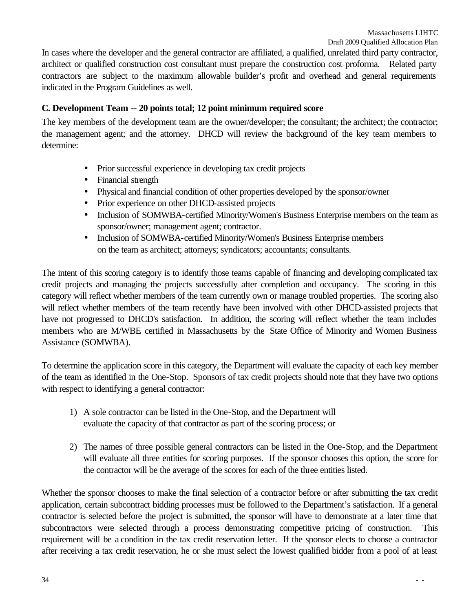In cases where the developer and the general contractor are affiliated, a qualified, unrelated third party contractor, architect or qualified construction cost consultant must prepare the construction cost proforma. Related party contractors are subject to the maximum allowable builder's profit and overhead and general requirements indicated in the Program Guidelines as well.

#### **C. Development Team -- 20 points total; 12 point minimum required score**

The key members of the development team are the owner/developer; the consultant; the architect; the contractor; the management agent; and the attorney. DHCD will review the background of the key team members to determine:

- Prior successful experience in developing tax credit projects
- Financial strength
- Physical and financial condition of other properties developed by the sponsor/owner
- Prior experience on other DHCD-assisted projects
- Inclusion of SOMWBA-certified Minority/Women's Business Enterprise members on the team as sponsor/owner; management agent; contractor.
- Inclusion of SOMWBA-certified Minority/Women's Business Enterprise members on the team as architect; attorneys; syndicators; accountants; consultants.

The intent of this scoring category is to identify those teams capable of financing and developing complicated tax credit projects and managing the projects successfully after completion and occupancy. The scoring in this category will reflect whether members of the team currently own or manage troubled properties. The scoring also will reflect whether members of the team recently have been involved with other DHCD-assisted projects that have not progressed to DHCD's satisfaction. In addition, the scoring will reflect whether the team includes members who are M/WBE certified in Massachusetts by the State Office of Minority and Women Business Assistance (SOMWBA).

To determine the application score in this category, the Department will evaluate the capacity of each key member of the team as identified in the One-Stop. Sponsors of tax credit projects should note that they have two options with respect to identifying a general contractor:

- 1) A sole contractor can be listed in the One-Stop, and the Department will evaluate the capacity of that contractor as part of the scoring process; or
- 2) The names of three possible general contractors can be listed in the One-Stop, and the Department will evaluate all three entities for scoring purposes. If the sponsor chooses this option, the score for the contractor will be the average of the scores for each of the three entities listed.

Whether the sponsor chooses to make the final selection of a contractor before or after submitting the tax credit application, certain subcontract bidding processes must be followed to the Department's satisfaction. If a general contractor is selected before the project is submitted, the sponsor will have to demonstrate at a later time that subcontractors were selected through a process demonstrating competitive pricing of construction. This requirement will be a condition in the tax credit reservation letter. If the sponsor elects to choose a contractor after receiving a tax credit reservation, he or she must select the lowest qualified bidder from a pool of at least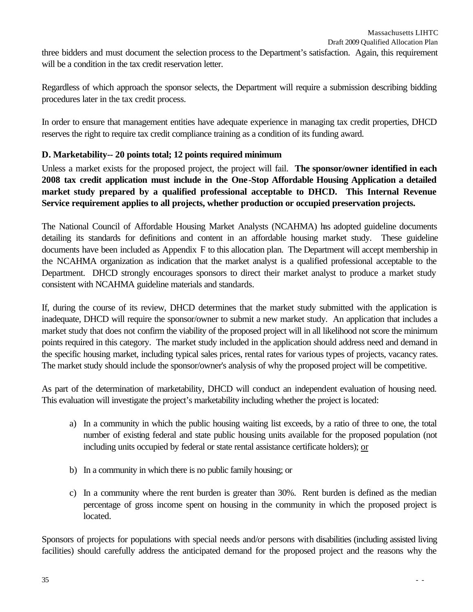three bidders and must document the selection process to the Department's satisfaction. Again, this requirement will be a condition in the tax credit reservation letter.

Regardless of which approach the sponsor selects, the Department will require a submission describing bidding procedures later in the tax credit process.

In order to ensure that management entities have adequate experience in managing tax credit properties, DHCD reserves the right to require tax credit compliance training as a condition of its funding award.

#### **D. Marketability-- 20 points total; 12 points required minimum**

Unless a market exists for the proposed project, the project will fail. **The sponsor/owner identified in each 2008 tax credit application must include in the One-Stop Affordable Housing Application a detailed market study prepared by a qualified professional acceptable to DHCD. This Internal Revenue Service requirement applies to all projects, whether production or occupied preservation projects.**

The National Council of Affordable Housing Market Analysts (NCAHMA) has adopted guideline documents detailing its standards for definitions and content in an affordable housing market study. These guideline documents have been included as Appendix F to this allocation plan. The Department will accept membership in the NCAHMA organization as indication that the market analyst is a qualified professional acceptable to the Department. DHCD strongly encourages sponsors to direct their market analyst to produce a market study consistent with NCAHMA guideline materials and standards.

If, during the course of its review, DHCD determines that the market study submitted with the application is inadequate, DHCD will require the sponsor/owner to submit a new market study. An application that includes a market study that does not confirm the viability of the proposed project will in all likelihood not score the minimum points required in this category. The market study included in the application should address need and demand in the specific housing market, including typical sales prices, rental rates for various types of projects, vacancy rates. The market study should include the sponsor/owner's analysis of why the proposed project will be competitive.

As part of the determination of marketability, DHCD will conduct an independent evaluation of housing need. This evaluation will investigate the project's marketability including whether the project is located:

- a) In a community in which the public housing waiting list exceeds, by a ratio of three to one, the total number of existing federal and state public housing units available for the proposed population (not including units occupied by federal or state rental assistance certificate holders); or
- b) In a community in which there is no public family housing; or
- c) In a community where the rent burden is greater than 30%. Rent burden is defined as the median percentage of gross income spent on housing in the community in which the proposed project is located.

Sponsors of projects for populations with special needs and/or persons with disabilities (including assisted living facilities) should carefully address the anticipated demand for the proposed project and the reasons why the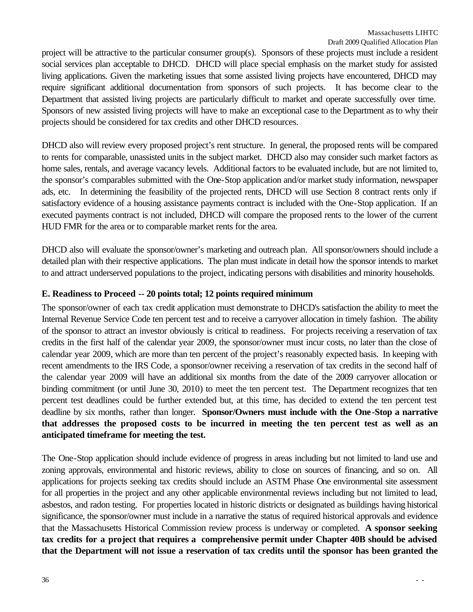project will be attractive to the particular consumer group(s). Sponsors of these projects must include a resident social services plan acceptable to DHCD. DHCD will place special emphasis on the market study for assisted living applications. Given the marketing issues that some assisted living projects have encountered, DHCD may require significant additional documentation from sponsors of such projects. It has become clear to the Department that assisted living projects are particularly difficult to market and operate successfully over time. Sponsors of new assisted living projects will have to make an exceptional case to the Department as to why their projects should be considered for tax credits and other DHCD resources.

DHCD also will review every proposed project's rent structure. In general, the proposed rents will be compared to rents for comparable, unassisted units in the subject market. DHCD also may consider such market factors as home sales, rentals, and average vacancy levels. Additional factors to be evaluated include, but are not limited to, the sponsor's comparables submitted with the One-Stop application and/or market study information, newspaper ads, etc. In determining the feasibility of the projected rents, DHCD will use Section 8 contract rents only if satisfactory evidence of a housing assistance payments contract is included with the One-Stop application. If an executed payments contract is not included, DHCD will compare the proposed rents to the lower of the current HUD FMR for the area or to comparable market rents for the area.

DHCD also will evaluate the sponsor/owner's marketing and outreach plan. All sponsor/owners should include a detailed plan with their respective applications. The plan must indicate in detail how the sponsor intends to market to and attract underserved populations to the project, indicating persons with disabilities and minority households.

#### **E. Readiness to Proceed -- 20 points total; 12 points required minimum**

The sponsor/owner of each tax credit application must demonstrate to DHCD's satisfaction the ability to meet the Internal Revenue Service Code ten percent test and to receive a carryover allocation in timely fashion. The ability of the sponsor to attract an investor obviously is critical to readiness. For projects receiving a reservation of tax credits in the first half of the calendar year 2009, the sponsor/owner must incur costs, no later than the close of calendar year 2009, which are more than ten percent of the project's reasonably expected basis. In keeping with recent amendments to the IRS Code, a sponsor/owner receiving a reservation of tax credits in the second half of the calendar year 2009 will have an additional six months from the date of the 2009 carryover allocation or binding commitment (or until June 30, 2010) to meet the ten percent test. The Department recognizes that ten percent test deadlines could be further extended but, at this time, has decided to extend the ten percent test deadline by six months, rather than longer. **Sponsor/Owners must include with the One-Stop a narrative that addresses the proposed costs to be incurred in meeting the ten percent test as well as an anticipated timeframe for meeting the test.**

The One-Stop application should include evidence of progress in areas including but not limited to land use and zoning approvals, environmental and historic reviews, ability to close on sources of financing, and so on. All applications for projects seeking tax credits should include an ASTM Phase One environmental site assessment for all properties in the project and any other applicable environmental reviews including but not limited to lead, asbestos, and radon testing. For properties located in historic districts or designated as buildings having historical significance, the sponsor/owner must include in a narrative the status of required historical approvals and evidence that the Massachusetts Historical Commission review process is underway or completed. **A sponsor seeking tax credits for a project that requires a comprehensive permit under Chapter 40B should be advised that the Department will not issue a reservation of tax credits until the sponsor has been granted the**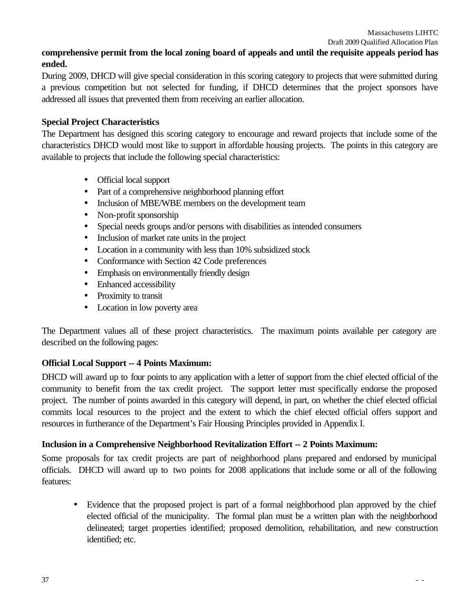Massachusetts LIHTC Draft 2009 Qualified Allocation Plan

# **comprehensive permit from the local zoning board of appeals and until the requisite appeals period has ended.**

During 2009, DHCD will give special consideration in this scoring category to projects that were submitted during a previous competition but not selected for funding, if DHCD determines that the project sponsors have addressed all issues that prevented them from receiving an earlier allocation.

## **Special Project Characteristics**

The Department has designed this scoring category to encourage and reward projects that include some of the characteristics DHCD would most like to support in affordable housing projects. The points in this category are available to projects that include the following special characteristics:

- Official local support
- Part of a comprehensive neighborhood planning effort
- Inclusion of MBE/WBE members on the development team
- Non-profit sponsorship
- Special needs groups and/or persons with disabilities as intended consumers
- Inclusion of market rate units in the project
- Location in a community with less than 10% subsidized stock
- Conformance with Section 42 Code preferences
- Emphasis on environmentally friendly design
- Enhanced accessibility
- Proximity to transit
- Location in low poverty area

The Department values all of these project characteristics. The maximum points available per category are described on the following pages:

## **Official Local Support -- 4 Points Maximum:**

DHCD will award up to four points to any application with a letter of support from the chief elected official of the community to benefit from the tax credit project. The support letter must specifically endorse the proposed project. The number of points awarded in this category will depend, in part, on whether the chief elected official commits local resources to the project and the extent to which the chief elected official offers support and resources in furtherance of the Department's Fair Housing Principles provided in Appendix I.

## **Inclusion in a Comprehensive Neighborhood Revitalization Effort -- 2 Points Maximum:**

Some proposals for tax credit projects are part of neighborhood plans prepared and endorsed by municipal officials. DHCD will award up to two points for 2008 applications that include some or all of the following features:

• Evidence that the proposed project is part of a formal neighborhood plan approved by the chief elected official of the municipality. The formal plan must be a written plan with the neighborhood delineated; target properties identified; proposed demolition, rehabilitation, and new construction identified; etc.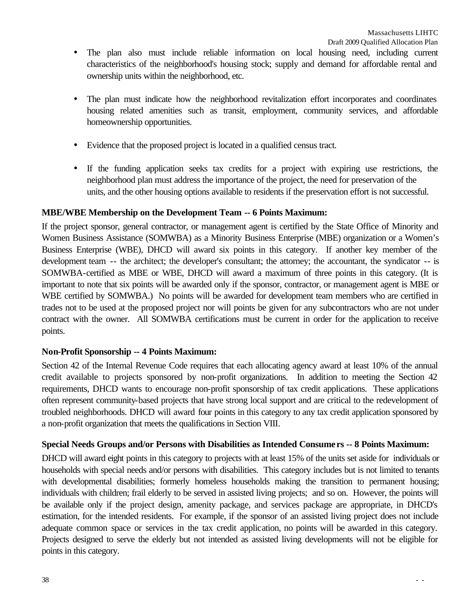- The plan also must include reliable information on local housing need, including current characteristics of the neighborhood's housing stock; supply and demand for affordable rental and ownership units within the neighborhood, etc.
- The plan must indicate how the neighborhood revitalization effort incorporates and coordinates housing related amenities such as transit, employment, community services, and affordable homeownership opportunities.
- Evidence that the proposed project is located in a qualified census tract.
- If the funding application seeks tax credits for a project with expiring use restrictions, the neighborhood plan must address the importance of the project, the need for preservation of the units, and the other housing options available to residents if the preservation effort is not successful.

## **MBE/WBE Membership on the Development Team -- 6 Points Maximum:**

If the project sponsor, general contractor, or management agent is certified by the State Office of Minority and Women Business Assistance (SOMWBA) as a Minority Business Enterprise (MBE) organization or a Women's Business Enterprise (WBE), DHCD will award six points in this category. If another key member of the development team -- the architect; the developer's consultant; the attorney; the accountant, the syndicator -- is SOMWBA-certified as MBE or WBE, DHCD will award a maximum of three points in this category. (It is important to note that six points will be awarded only if the sponsor, contractor, or management agent is MBE or WBE certified by SOMWBA.) No points will be awarded for development team members who are certified in trades not to be used at the proposed project nor will points be given for any subcontractors who are not under contract with the owner. All SOMWBA certifications must be current in order for the application to receive points.

## **Non-Profit Sponsorship -- 4 Points Maximum:**

Section 42 of the Internal Revenue Code requires that each allocating agency award at least 10% of the annual credit available to projects sponsored by non-profit organizations. In addition to meeting the Section 42 requirements, DHCD wants to encourage non-profit sponsorship of tax credit applications. These applications often represent community-based projects that have strong local support and are critical to the redevelopment of troubled neighborhoods. DHCD will award four points in this category to any tax credit application sponsored by a non-profit organization that meets the qualifications in Section VIII.

## **Special Needs Groups and/or Persons with Disabilities as Intended Consume rs -- 8 Points Maximum:**

DHCD will award eight points in this category to projects with at least 15% of the units set aside for individuals or households with special needs and/or persons with disabilities. This category includes but is not limited to tenants with developmental disabilities; formerly homeless households making the transition to permanent housing; individuals with children; frail elderly to be served in assisted living projects; and so on. However, the points will be available only if the project design, amenity package, and services package are appropriate, in DHCD's estimation, for the intended residents. For example, if the sponsor of an assisted living project does not include adequate common space or services in the tax credit application, no points will be awarded in this category. Projects designed to serve the elderly but not intended as assisted living developments will not be eligible for points in this category.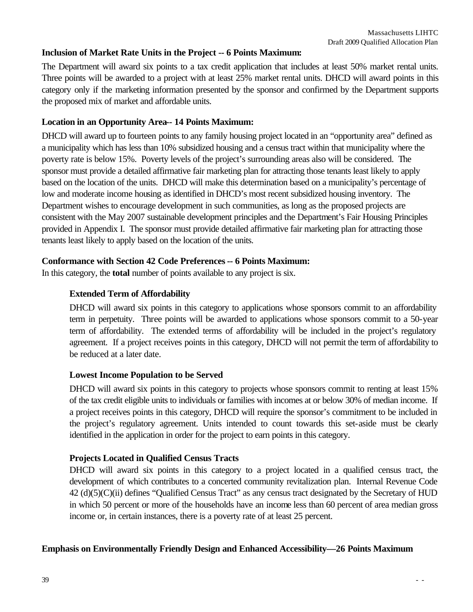## **Inclusion of Market Rate Units in the Project -- 6 Points Maximum:**

The Department will award six points to a tax credit application that includes at least 50% market rental units. Three points will be awarded to a project with at least 25% market rental units. DHCD will award points in this category only if the marketing information presented by the sponsor and confirmed by the Department supports the proposed mix of market and affordable units.

## **Location in an Opportunity Area-- 14 Points Maximum:**

DHCD will award up to fourteen points to any family housing project located in an "opportunity area" defined as a municipality which has less than 10% subsidized housing and a census tract within that municipality where the poverty rate is below 15%. Poverty levels of the project's surrounding areas also will be considered. The sponsor must provide a detailed affirmative fair marketing plan for attracting those tenants least likely to apply based on the location of the units. DHCD will make this determination based on a municipality's percentage of low and moderate income housing as identified in DHCD's most recent subsidized housing inventory. The Department wishes to encourage development in such communities, as long as the proposed projects are consistent with the May 2007 sustainable development principles and the Department's Fair Housing Principles provided in Appendix I. The sponsor must provide detailed affirmative fair marketing plan for attracting those tenants least likely to apply based on the location of the units.

## **Conformance with Section 42 Code Preferences -- 6 Points Maximum:**

In this category, the **total** number of points available to any project is six.

## **Extended Term of Affordability**

DHCD will award six points in this category to applications whose sponsors commit to an affordability term in perpetuity. Three points will be awarded to applications whose sponsors commit to a 50-year term of affordability. The extended terms of affordability will be included in the project's regulatory agreement. If a project receives points in this category, DHCD will not permit the term of affordability to be reduced at a later date.

## **Lowest Income Population to be Served**

DHCD will award six points in this category to projects whose sponsors commit to renting at least 15% of the tax credit eligible units to individuals or families with incomes at or below 30% of median income. If a project receives points in this category, DHCD will require the sponsor's commitment to be included in the project's regulatory agreement. Units intended to count towards this set-aside must be clearly identified in the application in order for the project to earn points in this category.

## **Projects Located in Qualified Census Tracts**

DHCD will award six points in this category to a project located in a qualified census tract, the development of which contributes to a concerted community revitalization plan. Internal Revenue Code 42 (d)(5)(C)(ii) defines "Qualified Census Tract" as any census tract designated by the Secretary of HUD in which 50 percent or more of the households have an income less than 60 percent of area median gross income or, in certain instances, there is a poverty rate of at least 25 percent.

## **Emphasis on Environmentally Friendly Design and Enhanced Accessibility—26 Points Maximum**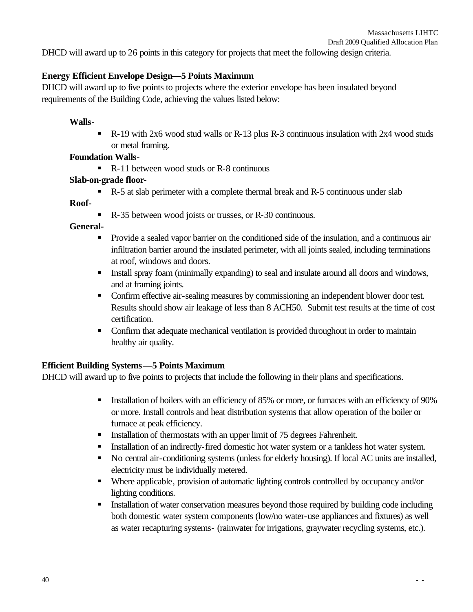DHCD will award up to 26 points in this category for projects that meet the following design criteria.

## **Energy Efficient Envelope Design—5 Points Maximum**

DHCD will award up to five points to projects where the exterior envelope has been insulated beyond requirements of the Building Code, achieving the values listed below:

## **Walls-**

R-19 with  $2x6$  wood stud walls or R-13 plus R-3 continuous insulation with  $2x4$  wood studs or metal framing.

## **Foundation Walls-**

 $\blacksquare$  R-11 between wood studs or R-8 continuous

## **Slab-on-grade floor**-

**R**-5 at slab perimeter with a complete thermal break and R-5 continuous under slab

## **Roof-**

R-35 between wood joists or trusses, or R-30 continuous.

## **General-**

- **•** Provide a sealed vapor barrier on the conditioned side of the insulation, and a continuous air infiltration barrier around the insulated perimeter, with all joints sealed, including terminations at roof, windows and doors.
- **Install spray foam (minimally expanding) to seal and insulate around all doors and windows,** and at framing joints.
- **•** Confirm effective air-sealing measures by commissioning an independent blower door test. Results should show air leakage of less than 8 ACH50. Submit test results at the time of cost certification.
- Confirm that adequate mechanical ventilation is provided throughout in order to maintain healthy air quality.

# **Efficient Building Systems—5 Points Maximum**

DHCD will award up to five points to projects that include the following in their plans and specifications.

- Installation of boilers with an efficiency of 85% or more, or furnaces with an efficiency of 90% or more. Install controls and heat distribution systems that allow operation of the boiler or furnace at peak efficiency.
- **Installation of thermostats with an upper limit of 75 degrees Fahrenheit.**
- **Installation of an indirectly-fired domestic hot water system or a tankless hot water system.**
- No central air-conditioning systems (unless for elderly housing). If local AC units are installed, electricity must be individually metered.
- Where applicable, provision of automatic lighting controls controlled by occupancy and/or lighting conditions.
- **Installation of water conservation measures beyond those required by building code including** both domestic water system components (low/no water-use appliances and fixtures) as well as water recapturing systems- (rainwater for irrigations, graywater recycling systems, etc.).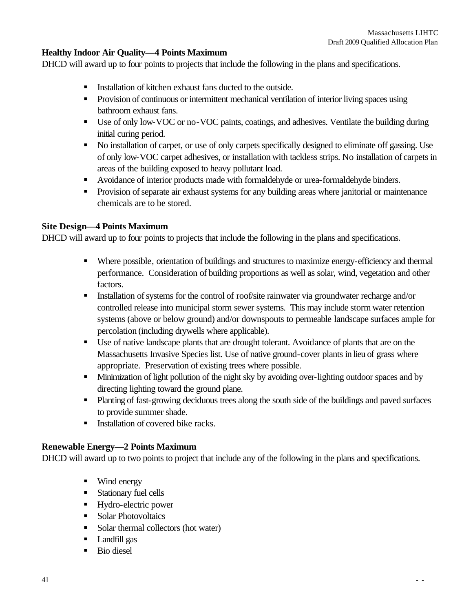## **Healthy Indoor Air Quality—4 Points Maximum**

DHCD will award up to four points to projects that include the following in the plans and specifications.

- **EXECUTE:** Installation of kitchen exhaust fans ducted to the outside.
- **•** Provision of continuous or intermittent mechanical ventilation of interior living spaces using bathroom exhaust fans.
- **Use of only low-VOC or no-VOC paints, coatings, and adhesives. Ventilate the building during** initial curing period.
- No installation of carpet, or use of only carpets specifically designed to eliminate off gassing. Use of only low-VOC carpet adhesives, or installation with tackless strips. No installation of carpets in areas of the building exposed to heavy pollutant load.
- Avoidance of interior products made with formaldehyde or urea-formaldehyde binders.
- **•** Provision of separate air exhaust systems for any building areas where janitorial or maintenance chemicals are to be stored.

## **Site Design—4 Points Maximum**

DHCD will award up to four points to projects that include the following in the plans and specifications.

- ß Where possible, orientation of buildings and structures to maximize energy-efficiency and thermal performance. Consideration of building proportions as well as solar, wind, vegetation and other factors.
- **I.** Installation of systems for the control of roof/site rainwater via groundwater recharge and/or controlled release into municipal storm sewer systems. This may include storm water retention systems (above or below ground) and/or downspouts to permeable landscape surfaces ample for percolation (including drywells where applicable).
- ß Use of native landscape plants that are drought tolerant. Avoidance of plants that are on the Massachusetts Invasive Species list. Use of native ground-cover plants in lieu of grass where appropriate. Preservation of existing trees where possible.
- **Minimization of light pollution of the night sky by avoiding over-lighting outdoor spaces and by** directing lighting toward the ground plane.
- Planting of fast-growing deciduous trees along the south side of the buildings and paved surfaces to provide summer shade.
- Installation of covered bike racks.

## **Renewable Energy—2 Points Maximum**

DHCD will award up to two points to project that include any of the following in the plans and specifications.

- $\blacksquare$  Wind energy
- **Stationary fuel cells**
- Hydro-electric power
- Solar Photovoltaics
- **Solar thermal collectors (hot water)**
- Landfill gas
- $\blacksquare$  Bio diesel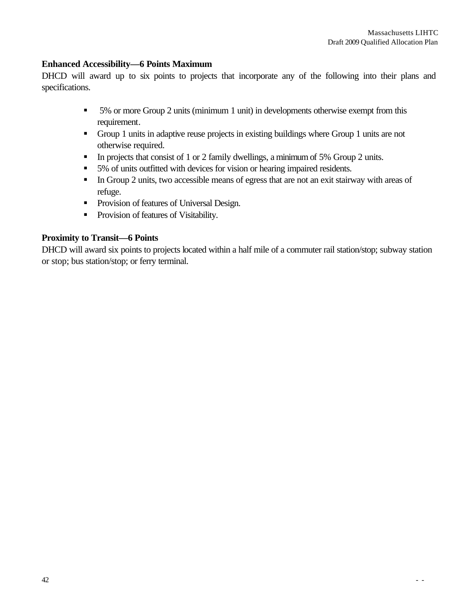## **Enhanced Accessibility—6 Points Maximum**

DHCD will award up to six points to projects that incorporate any of the following into their plans and specifications.

- **5%** or more Group 2 units (minimum 1 unit) in developments otherwise exempt from this requirement.
- ß Group 1 units in adaptive reuse projects in existing buildings where Group 1 units are not otherwise required.
- In projects that consist of 1 or 2 family dwellings, a minimum of 5% Group 2 units.
- **5%** of units outfitted with devices for vision or hearing impaired residents.
- In Group 2 units, two accessible means of egress that are not an exit stairway with areas of refuge.
- **•** Provision of features of Universal Design.
- **•** Provision of features of Visitability.

## **Proximity to Transit—6 Points**

DHCD will award six points to projects located within a half mile of a commuter rail station/stop; subway station or stop; bus station/stop; or ferry terminal.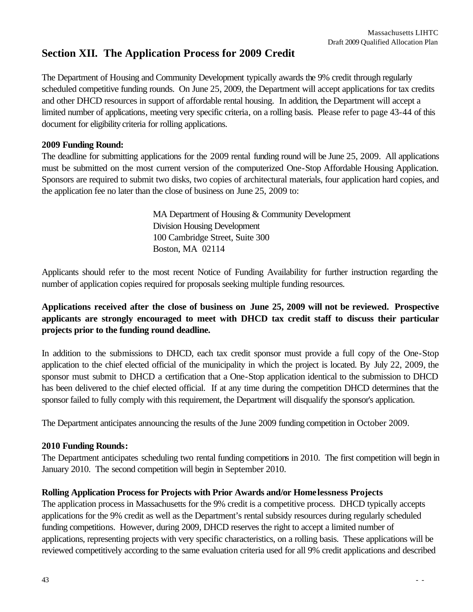# **Section XII. The Application Process for 2009 Credit**

The Department of Housing and Community Development typically awards the 9% credit through regularly scheduled competitive funding rounds. On June 25, 2009, the Department will accept applications for tax credits and other DHCD resources in support of affordable rental housing. In addition, the Department will accept a limited number of applications, meeting very specific criteria, on a rolling basis. Please refer to page 43-44 of this document for eligibility criteria for rolling applications.

## **2009 Funding Round:**

The deadline for submitting applications for the 2009 rental funding round will be June 25, 2009. All applications must be submitted on the most current version of the computerized One-Stop Affordable Housing Application. Sponsors are required to submit two disks, two copies of architectural materials, four application hard copies, and the application fee no later than the close of business on June 25, 2009 to:

> MA Department of Housing & Community Development Division Housing Development 100 Cambridge Street, Suite 300 Boston, MA 02114

Applicants should refer to the most recent Notice of Funding Availability for further instruction regarding the number of application copies required for proposals seeking multiple funding resources.

## **Applications received after the close of business on June 25, 2009 will not be reviewed. Prospective applicants are strongly encouraged to meet with DHCD tax credit staff to discuss their particular projects prior to the funding round deadline.**

In addition to the submissions to DHCD, each tax credit sponsor must provide a full copy of the One-Stop application to the chief elected official of the municipality in which the project is located. By July 22, 2009, the sponsor must submit to DHCD a certification that a One-Stop application identical to the submission to DHCD has been delivered to the chief elected official. If at any time during the competition DHCD determines that the sponsor failed to fully comply with this requirement, the Department will disqualify the sponsor's application.

The Department anticipates announcing the results of the June 2009 funding competition in October 2009.

## **2010 Funding Rounds:**

The Department anticipates scheduling two rental funding competitions in 2010. The first competition will begin in January 2010. The second competition will begin in September 2010.

## **Rolling Application Process for Projects with Prior Awards and/or Homelessness Projects**

The application process in Massachusetts for the 9% credit is a competitive process. DHCD typically accepts applications for the 9% credit as well as the Department's rental subsidy resources during regularly scheduled funding competitions. However, during 2009, DHCD reserves the right to accept a limited number of applications, representing projects with very specific characteristics, on a rolling basis. These applications will be reviewed competitively according to the same evaluation criteria used for all 9% credit applications and described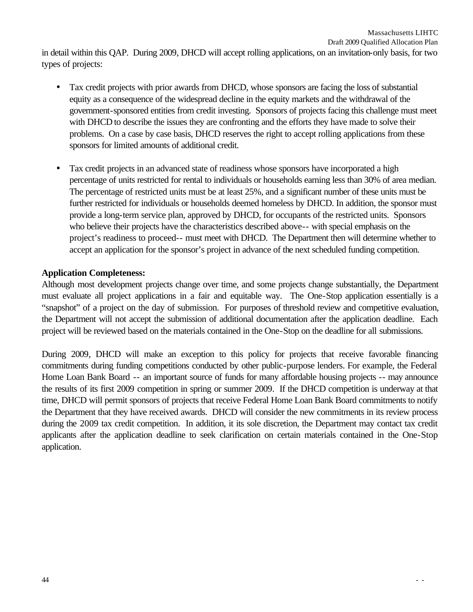in detail within this QAP. During 2009, DHCD will accept rolling applications, on an invitation-only basis, for two types of projects:

- Tax credit projects with prior awards from DHCD, whose sponsors are facing the loss of substantial equity as a consequence of the widespread decline in the equity markets and the withdrawal of the government-sponsored entities from credit investing. Sponsors of projects facing this challenge must meet with DHCD to describe the issues they are confronting and the efforts they have made to solve their problems. On a case by case basis, DHCD reserves the right to accept rolling applications from these sponsors for limited amounts of additional credit.
- Tax credit projects in an advanced state of readiness whose sponsors have incorporated a high percentage of units restricted for rental to individuals or households earning less than 30% of area median. The percentage of restricted units must be at least 25%, and a significant number of these units must be further restricted for individuals or households deemed homeless by DHCD. In addition, the sponsor must provide a long-term service plan, approved by DHCD, for occupants of the restricted units. Sponsors who believe their projects have the characteristics described above-- with special emphasis on the project's readiness to proceed-- must meet with DHCD. The Department then will determine whether to accept an application for the sponsor's project in advance of the next scheduled funding competition.

## **Application Completeness:**

Although most development projects change over time, and some projects change substantially, the Department must evaluate all project applications in a fair and equitable way. The One-Stop application essentially is a "snapshot" of a project on the day of submission. For purposes of threshold review and competitive evaluation, the Department will not accept the submission of additional documentation after the application deadline. Each project will be reviewed based on the materials contained in the One-Stop on the deadline for all submissions.

During 2009, DHCD will make an exception to this policy for projects that receive favorable financing commitments during funding competitions conducted by other public-purpose lenders. For example, the Federal Home Loan Bank Board -- an important source of funds for many affordable housing projects -- may announce the results of its first 2009 competition in spring or summer 2009. If the DHCD competition is underway at that time, DHCD will permit sponsors of projects that receive Federal Home Loan Bank Board commitments to notify the Department that they have received awards. DHCD will consider the new commitments in its review process during the 2009 tax credit competition. In addition, it its sole discretion, the Department may contact tax credit applicants after the application deadline to seek clarification on certain materials contained in the One-Stop application.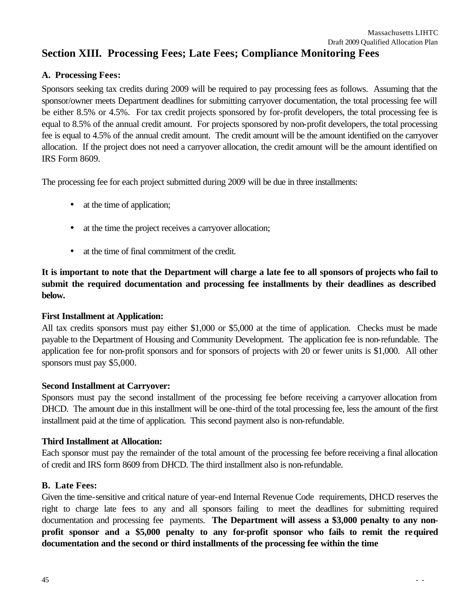Massachusetts LIHTC Draft 2009 Qualified Allocation Plan

# **Section XIII. Processing Fees; Late Fees; Compliance Monitoring Fees**

#### **A. Processing Fees:**

Sponsors seeking tax credits during 2009 will be required to pay processing fees as follows. Assuming that the sponsor/owner meets Department deadlines for submitting carryover documentation, the total processing fee will be either 8.5% or 4.5%. For tax credit projects sponsored by for-profit developers, the total processing fee is equal to 8.5% of the annual credit amount. For projects sponsored by non-profit developers, the total processing fee is equal to 4.5% of the annual credit amount. The credit amount will be the amount identified on the carryover allocation. If the project does not need a carryover allocation, the credit amount will be the amount identified on IRS Form 8609.

The processing fee for each project submitted during 2009 will be due in three installments:

- at the time of application;
- at the time the project receives a carryover allocation;
- at the time of final commitment of the credit.

**It is important to note that the Department will charge a late fee to all sponsors of projects who fail to submit the required documentation and processing fee installments by their deadlines as described below.**

#### **First Installment at Application:**

All tax credits sponsors must pay either \$1,000 or \$5,000 at the time of application. Checks must be made payable to the Department of Housing and Community Development. The application fee is non-refundable. The application fee for non-profit sponsors and for sponsors of projects with 20 or fewer units is \$1,000. All other sponsors must pay \$5,000.

#### **Second Installment at Carryover:**

Sponsors must pay the second installment of the processing fee before receiving a carryover allocation from DHCD. The amount due in this installment will be one-third of the total processing fee, less the amount of the first installment paid at the time of application. This second payment also is non-refundable.

#### **Third Installment at Allocation:**

Each sponsor must pay the remainder of the total amount of the processing fee before receiving a final allocation of credit and IRS form 8609 from DHCD. The third installment also is non-refundable.

## **B. Late Fees:**

Given the time-sensitive and critical nature of year-end Internal Revenue Code requirements, DHCD reserves the right to charge late fees to any and all sponsors failing to meet the deadlines for submitting required documentation and processing fee payments. **The Department will assess a \$3,000 penalty to any nonprofit sponsor and a \$5,000 penalty to any for-profit sponsor who fails to remit the required documentation and the second or third installments of the processing fee within the time**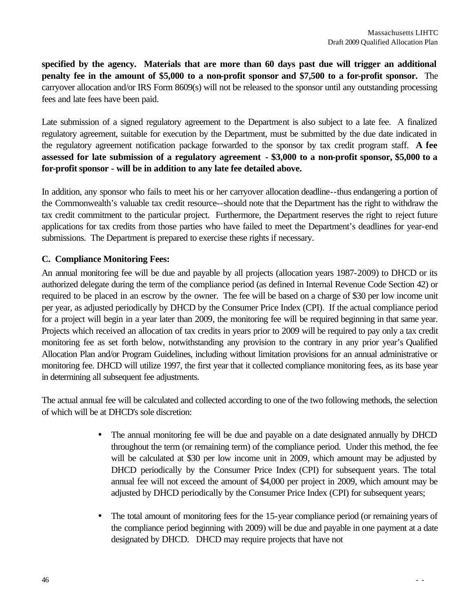**specified by the agency. Materials that are more than 60 days past due will trigger an additional penalty fee in the amount of \$5,000 to a non-profit sponsor and \$7,500 to a for-profit sponsor.** The carryover allocation and/or IRS Form 8609(s) will not be released to the sponsor until any outstanding processing fees and late fees have been paid.

Late submission of a signed regulatory agreement to the Department is also subject to a late fee. A finalized regulatory agreement, suitable for execution by the Department, must be submitted by the due date indicated in the regulatory agreement notification package forwarded to the sponsor by tax credit program staff. **A fee assessed for late submission of a regulatory agreement - \$3,000 to a non-profit sponsor, \$5,000 to a for-profit sponsor - will be in addition to any late fee detailed above.**

In addition, any sponsor who fails to meet his or her carryover allocation deadline--thus endangering a portion of the Commonwealth's valuable tax credit resource--should note that the Department has the right to withdraw the tax credit commitment to the particular project. Furthermore, the Department reserves the right to reject future applications for tax credits from those parties who have failed to meet the Department's deadlines for year-end submissions. The Department is prepared to exercise these rights if necessary.

## **C. Compliance Monitoring Fees:**

An annual monitoring fee will be due and payable by all projects (allocation years 1987-2009) to DHCD or its authorized delegate during the term of the compliance period (as defined in Internal Revenue Code Section 42) or required to be placed in an escrow by the owner. The fee will be based on a charge of \$30 per low income unit per year, as adjusted periodically by DHCD by the Consumer Price Index (CPI). If the actual compliance period for a project will begin in a year later than 2009, the monitoring fee will be required beginning in that same year. Projects which received an allocation of tax credits in years prior to 2009 will be required to pay only a tax credit monitoring fee as set forth below, notwithstanding any provision to the contrary in any prior year's Qualified Allocation Plan and/or Program Guidelines, including without limitation provisions for an annual administrative or monitoring fee. DHCD will utilize 1997, the first year that it collected compliance monitoring fees, as its base year in determining all subsequent fee adjustments.

The actual annual fee will be calculated and collected according to one of the two following methods, the selection of which will be at DHCD's sole discretion:

- The annual monitoring fee will be due and payable on a date designated annually by DHCD throughout the term (or remaining term) of the compliance period. Under this method, the fee will be calculated at \$30 per low income unit in 2009, which amount may be adjusted by DHCD periodically by the Consumer Price Index (CPI) for subsequent years. The total annual fee will not exceed the amount of \$4,000 per project in 2009, which amount may be adjusted by DHCD periodically by the Consumer Price Index (CPI) for subsequent years;
- The total amount of monitoring fees for the 15-year compliance period (or remaining years of the compliance period beginning with 2009) will be due and payable in one payment at a date designated by DHCD. DHCD may require projects that have not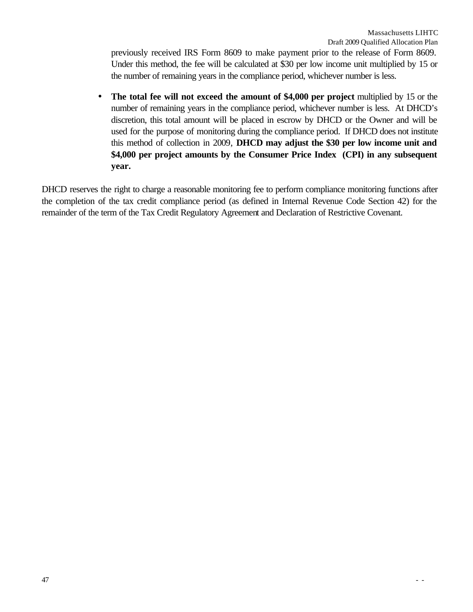previously received IRS Form 8609 to make payment prior to the release of Form 8609. Under this method, the fee will be calculated at \$30 per low income unit multiplied by 15 or the number of remaining years in the compliance period, whichever number is less.

• **The total fee will not exceed the amount of \$4,000 per project** multiplied by 15 or the number of remaining years in the compliance period, whichever number is less. At DHCD's discretion, this total amount will be placed in escrow by DHCD or the Owner and will be used for the purpose of monitoring during the compliance period. If DHCD does not institute this method of collection in 2009, **DHCD may adjust the \$30 per low income unit and \$4,000 per project amounts by the Consumer Price Index (CPI) in any subsequent year.** 

DHCD reserves the right to charge a reasonable monitoring fee to perform compliance monitoring functions after the completion of the tax credit compliance period (as defined in Internal Revenue Code Section 42) for the remainder of the term of the Tax Credit Regulatory Agreement and Declaration of Restrictive Covenant.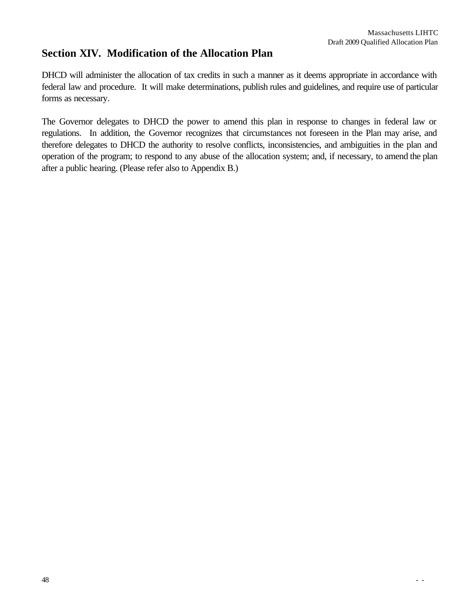# **Section XIV. Modification of the Allocation Plan**

DHCD will administer the allocation of tax credits in such a manner as it deems appropriate in accordance with federal law and procedure. It will make determinations, publish rules and guidelines, and require use of particular forms as necessary.

The Governor delegates to DHCD the power to amend this plan in response to changes in federal law or regulations. In addition, the Governor recognizes that circumstances not foreseen in the Plan may arise, and therefore delegates to DHCD the authority to resolve conflicts, inconsistencies, and ambiguities in the plan and operation of the program; to respond to any abuse of the allocation system; and, if necessary, to amend the plan after a public hearing. (Please refer also to Appendix B.)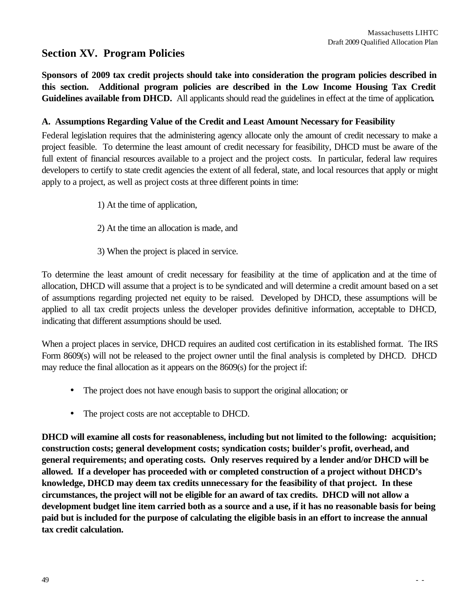# **Section XV. Program Policies**

**Sponsors of 2009 tax credit projects should take into consideration the program policies described in this section. Additional program policies are described in the Low Income Housing Tax Credit Guidelines available from DHCD.** All applicants should read the guidelines in effect at the time of application**.**

## **A. Assumptions Regarding Value of the Credit and Least Amount Necessary for Feasibility**

Federal legislation requires that the administering agency allocate only the amount of credit necessary to make a project feasible. To determine the least amount of credit necessary for feasibility, DHCD must be aware of the full extent of financial resources available to a project and the project costs. In particular, federal law requires developers to certify to state credit agencies the extent of all federal, state, and local resources that apply or might apply to a project, as well as project costs at three different points in time:

- 1) At the time of application,
- 2) At the time an allocation is made, and
- 3) When the project is placed in service.

To determine the least amount of credit necessary for feasibility at the time of application and at the time of allocation, DHCD will assume that a project is to be syndicated and will determine a credit amount based on a set of assumptions regarding projected net equity to be raised. Developed by DHCD, these assumptions will be applied to all tax credit projects unless the developer provides definitive information, acceptable to DHCD, indicating that different assumptions should be used.

When a project places in service, DHCD requires an audited cost certification in its established format. The IRS Form 8609(s) will not be released to the project owner until the final analysis is completed by DHCD. DHCD may reduce the final allocation as it appears on the 8609(s) for the project if:

- The project does not have enough basis to support the original allocation; or
- The project costs are not acceptable to DHCD.

**DHCD will examine all costs for reasonableness, including but not limited to the following: acquisition; construction costs; general development costs; syndication costs; builder's profit, overhead, and general requirements; and operating costs. Only reserves required by a lender and/or DHCD will be allowed. If a developer has proceeded with or completed construction of a project without DHCD's knowledge, DHCD may deem tax credits unnecessary for the feasibility of that project. In these circumstances, the project will not be eligible for an award of tax credits. DHCD will not allow a development budget line item carried both as a source and a use, if it has no reasonable basis for being paid but is included for the purpose of calculating the eligible basis in an effort to increase the annual tax credit calculation.**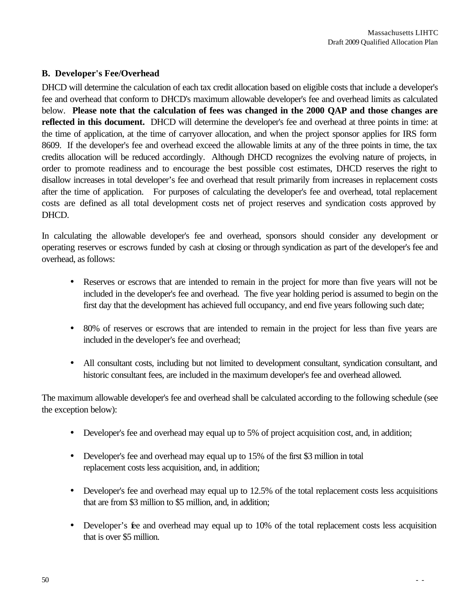## **B. Developer's Fee/Overhead**

DHCD will determine the calculation of each tax credit allocation based on eligible costs that include a developer's fee and overhead that conform to DHCD's maximum allowable developer's fee and overhead limits as calculated below. **Please note that the calculation of fees was changed in the 2000 QAP and those changes are reflected in this document.** DHCD will determine the developer's fee and overhead at three points in time: at the time of application, at the time of carryover allocation, and when the project sponsor applies for IRS form 8609. If the developer's fee and overhead exceed the allowable limits at any of the three points in time, the tax credits allocation will be reduced accordingly. Although DHCD recognizes the evolving nature of projects, in order to promote readiness and to encourage the best possible cost estimates, DHCD reserves the right to disallow increases in total developer's fee and overhead that result primarily from increases in replacement costs after the time of application. For purposes of calculating the developer's fee and overhead, total replacement costs are defined as all total development costs net of project reserves and syndication costs approved by DHCD.

In calculating the allowable developer's fee and overhead, sponsors should consider any development or operating reserves or escrows funded by cash at closing or through syndication as part of the developer's fee and overhead, as follows:

- Reserves or escrows that are intended to remain in the project for more than five years will not be included in the developer's fee and overhead. The five year holding period is assumed to begin on the first day that the development has achieved full occupancy, and end five years following such date;
- 80% of reserves or escrows that are intended to remain in the project for less than five years are included in the developer's fee and overhead;
- All consultant costs, including but not limited to development consultant, syndication consultant, and historic consultant fees, are included in the maximum developer's fee and overhead allowed.

The maximum allowable developer's fee and overhead shall be calculated according to the following schedule (see the exception below):

- Developer's fee and overhead may equal up to 5% of project acquisition cost, and, in addition;
- Developer's fee and overhead may equal up to 15% of the first \$3 million in total replacement costs less acquisition, and, in addition;
- Developer's fee and overhead may equal up to 12.5% of the total replacement costs less acquisitions that are from \$3 million to \$5 million, and, in addition;
- Developer's fee and overhead may equal up to 10% of the total replacement costs less acquisition that is over \$5 million.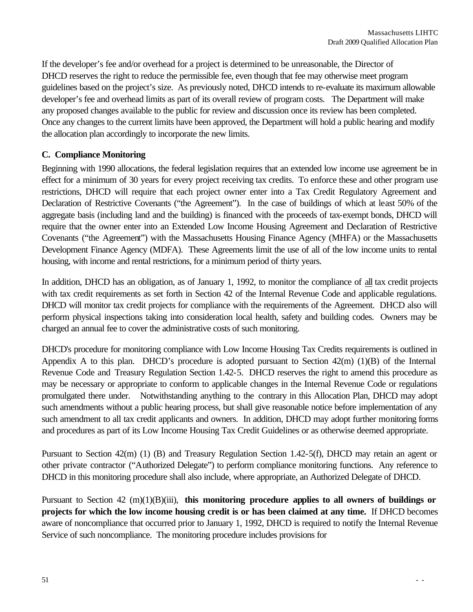If the developer's fee and/or overhead for a project is determined to be unreasonable, the Director of DHCD reserves the right to reduce the permissible fee, even though that fee may otherwise meet program guidelines based on the project's size. As previously noted, DHCD intends to re-evaluate its maximum allowable developer's fee and overhead limits as part of its overall review of program costs. The Department will make any proposed changes available to the public for review and discussion once its review has been completed. Once any changes to the current limits have been approved, the Department will hold a public hearing and modify the allocation plan accordingly to incorporate the new limits.

## **C. Compliance Monitoring**

Beginning with 1990 allocations, the federal legislation requires that an extended low income use agreement be in effect for a minimum of 30 years for every project receiving tax credits. To enforce these and other program use restrictions, DHCD will require that each project owner enter into a Tax Credit Regulatory Agreement and Declaration of Restrictive Covenants ("the Agreement"). In the case of buildings of which at least 50% of the aggregate basis (including land and the building) is financed with the proceeds of tax-exempt bonds, DHCD will require that the owner enter into an Extended Low Income Housing Agreement and Declaration of Restrictive Covenants ("the Agreement") with the Massachusetts Housing Finance Agency (MHFA) or the Massachusetts Development Finance Agency (MDFA). These Agreements limit the use of all of the low income units to rental housing, with income and rental restrictions, for a minimum period of thirty years.

In addition, DHCD has an obligation, as of January 1, 1992, to monitor the compliance of all tax credit projects with tax credit requirements as set forth in Section 42 of the Internal Revenue Code and applicable regulations. DHCD will monitor tax credit projects for compliance with the requirements of the Agreement. DHCD also will perform physical inspections taking into consideration local health, safety and building codes. Owners may be charged an annual fee to cover the administrative costs of such monitoring.

DHCD's procedure for monitoring compliance with Low Income Housing Tax Credits requirements is outlined in Appendix A to this plan. DHCD's procedure is adopted pursuant to Section 42(m) (1)(B) of the Internal Revenue Code and Treasury Regulation Section 1.42-5. DHCD reserves the right to amend this procedure as may be necessary or appropriate to conform to applicable changes in the Internal Revenue Code or regulations promulgated there under. Notwithstanding anything to the contrary in this Allocation Plan, DHCD may adopt such amendments without a public hearing process, but shall give reasonable notice before implementation of any such amendment to all tax credit applicants and owners. In addition, DHCD may adopt further monitoring forms and procedures as part of its Low Income Housing Tax Credit Guidelines or as otherwise deemed appropriate.

Pursuant to Section 42(m) (1) (B) and Treasury Regulation Section 1.42-5(f), DHCD may retain an agent or other private contractor ("Authorized Delegate") to perform compliance monitoring functions. Any reference to DHCD in this monitoring procedure shall also include, where appropriate, an Authorized Delegate of DHCD.

Pursuant to Section 42 (m)(1)(B)(iii), **this monitoring procedure applies to all owners of buildings or projects for which the low income housing credit is or has been claimed at any time.** If DHCD becomes aware of noncompliance that occurred prior to January 1, 1992, DHCD is required to notify the Internal Revenue Service of such noncompliance. The monitoring procedure includes provisions for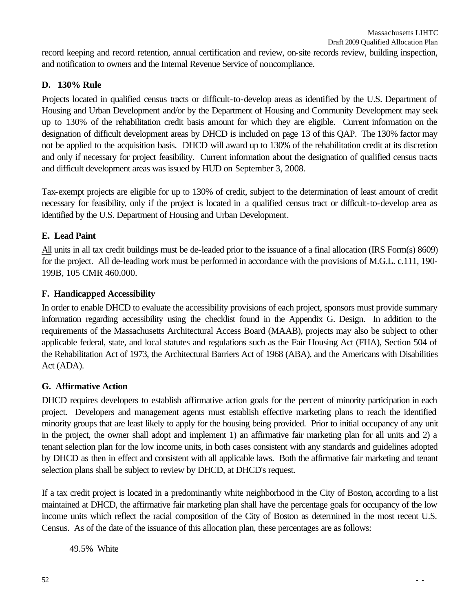record keeping and record retention, annual certification and review, on-site records review, building inspection, and notification to owners and the Internal Revenue Service of noncompliance.

## **D. 130% Rule**

Projects located in qualified census tracts or difficult-to-develop areas as identified by the U.S. Department of Housing and Urban Development and/or by the Department of Housing and Community Development may seek up to 130% of the rehabilitation credit basis amount for which they are eligible. Current information on the designation of difficult development areas by DHCD is included on page 13 of this QAP. The 130% factor may not be applied to the acquisition basis. DHCD will award up to 130% of the rehabilitation credit at its discretion and only if necessary for project feasibility. Current information about the designation of qualified census tracts and difficult development areas was issued by HUD on September 3, 2008.

Tax-exempt projects are eligible for up to 130% of credit, subject to the determination of least amount of credit necessary for feasibility, only if the project is located in a qualified census tract or difficult-to-develop area as identified by the U.S. Department of Housing and Urban Development.

## **E. Lead Paint**

All units in all tax credit buildings must be de-leaded prior to the issuance of a final allocation (IRS Form(s) 8609) for the project. All de-leading work must be performed in accordance with the provisions of M.G.L. c.111, 190- 199B, 105 CMR 460.000.

## **F. Handicapped Accessibility**

In order to enable DHCD to evaluate the accessibility provisions of each project, sponsors must provide summary information regarding accessibility using the checklist found in the Appendix G. Design. In addition to the requirements of the Massachusetts Architectural Access Board (MAAB), projects may also be subject to other applicable federal, state, and local statutes and regulations such as the Fair Housing Act (FHA), Section 504 of the Rehabilitation Act of 1973, the Architectural Barriers Act of 1968 (ABA), and the Americans with Disabilities Act (ADA).

# **G. Affirmative Action**

DHCD requires developers to establish affirmative action goals for the percent of minority participation in each project. Developers and management agents must establish effective marketing plans to reach the identified minority groups that are least likely to apply for the housing being provided. Prior to initial occupancy of any unit in the project, the owner shall adopt and implement 1) an affirmative fair marketing plan for all units and 2) a tenant selection plan for the low income units, in both cases consistent with any standards and guidelines adopted by DHCD as then in effect and consistent with all applicable laws. Both the affirmative fair marketing and tenant selection plans shall be subject to review by DHCD, at DHCD's request.

If a tax credit project is located in a predominantly white neighborhood in the City of Boston, according to a list maintained at DHCD, the affirmative fair marketing plan shall have the percentage goals for occupancy of the low income units which reflect the racial composition of the City of Boston as determined in the most recent U.S. Census. As of the date of the issuance of this allocation plan, these percentages are as follows:

49.5% White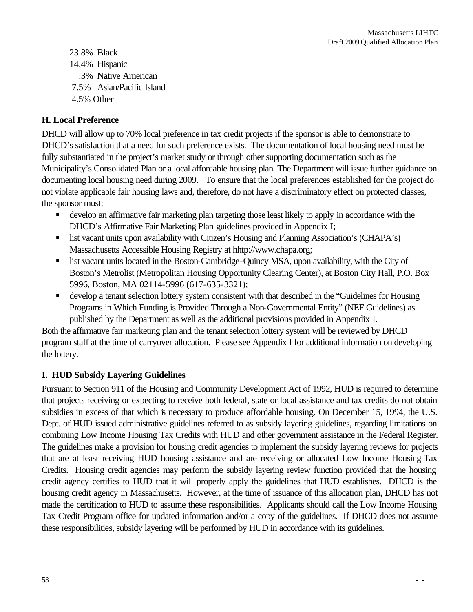23.8% Black 14.4% Hispanic .3% Native American 7.5% Asian/Pacific Island 4.5% Other

## **H. Local Preference**

DHCD will allow up to 70% local preference in tax credit projects if the sponsor is able to demonstrate to DHCD's satisfaction that a need for such preference exists. The documentation of local housing need must be fully substantiated in the project's market study or through other supporting documentation such as the Municipality's Consolidated Plan or a local affordable housing plan. The Department will issue further guidance on documenting local housing need during 2009. To ensure that the local preferences established for the project do not violate applicable fair housing laws and, therefore, do not have a discriminatory effect on protected classes, the sponsor must:

- ß develop an affirmative fair marketing plan targeting those least likely to apply in accordance with the DHCD's Affirmative Fair Marketing Plan guidelines provided in Appendix I;
- list vacant units upon availability with Citizen's Housing and Planning Association's (CHAPA's) Massachusetts Accessible Housing Registry at hhtp://www.chapa.org;
- list vacant units located in the Boston-Cambridge-Quincy MSA, upon availability, with the City of Boston's Metrolist (Metropolitan Housing Opportunity Clearing Center), at Boston City Hall, P.O. Box 5996, Boston, MA 02114-5996 (617-635-3321);
- develop a tenant selection lottery system consistent with that described in the "Guidelines for Housing" Programs in Which Funding is Provided Through a Non-Governmental Entity" (NEF Guidelines) as published by the Department as well as the additional provisions provided in Appendix I.

Both the affirmative fair marketing plan and the tenant selection lottery system will be reviewed by DHCD program staff at the time of carryover allocation. Please see Appendix I for additional information on developing the lottery.

# **I. HUD Subsidy Layering Guidelines**

Pursuant to Section 911 of the Housing and Community Development Act of 1992, HUD is required to determine that projects receiving or expecting to receive both federal, state or local assistance and tax credits do not obtain subsidies in excess of that which is necessary to produce affordable housing. On December 15, 1994, the U.S. Dept. of HUD issued administrative guidelines referred to as subsidy layering guidelines, regarding limitations on combining Low Income Housing Tax Credits with HUD and other government assistance in the Federal Register. The guidelines make a provision for housing credit agencies to implement the subsidy layering reviews for projects that are at least receiving HUD housing assistance and are receiving or allocated Low Income Housing Tax Credits. Housing credit agencies may perform the subsidy layering review function provided that the housing credit agency certifies to HUD that it will properly apply the guidelines that HUD establishes. DHCD is the housing credit agency in Massachusetts. However, at the time of issuance of this allocation plan, DHCD has not made the certification to HUD to assume these responsibilities. Applicants should call the Low Income Housing Tax Credit Program office for updated information and/or a copy of the guidelines. If DHCD does not assume these responsibilities, subsidy layering will be performed by HUD in accordance with its guidelines.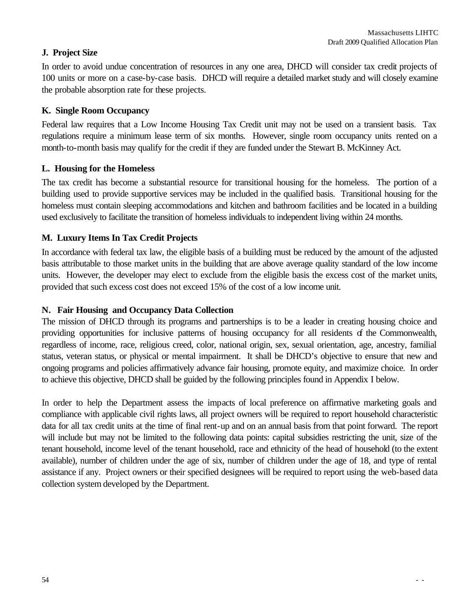## **J. Project Size**

In order to avoid undue concentration of resources in any one area, DHCD will consider tax credit projects of 100 units or more on a case-by-case basis. DHCD will require a detailed market study and will closely examine the probable absorption rate for these projects.

## **K. Single Room Occupancy**

Federal law requires that a Low Income Housing Tax Credit unit may not be used on a transient basis. Tax regulations require a minimum lease term of six months. However, single room occupancy units rented on a month-to-month basis may qualify for the credit if they are funded under the Stewart B. McKinney Act.

## **L. Housing for the Homeless**

The tax credit has become a substantial resource for transitional housing for the homeless. The portion of a building used to provide supportive services may be included in the qualified basis. Transitional housing for the homeless must contain sleeping accommodations and kitchen and bathroom facilities and be located in a building used exclusively to facilitate the transition of homeless individuals to independent living within 24 months.

## **M. Luxury Items In Tax Credit Projects**

In accordance with federal tax law, the eligible basis of a building must be reduced by the amount of the adjusted basis attributable to those market units in the building that are above average quality standard of the low income units. However, the developer may elect to exclude from the eligible basis the excess cost of the market units, provided that such excess cost does not exceed 15% of the cost of a low income unit.

## **N. Fair Housing and Occupancy Data Collection**

The mission of DHCD through its programs and partnerships is to be a leader in creating housing choice and providing opportunities for inclusive patterns of housing occupancy for all residents of the Commonwealth, regardless of income, race, religious creed, color, national origin, sex, sexual orientation, age, ancestry, familial status, veteran status, or physical or mental impairment. It shall be DHCD's objective to ensure that new and ongoing programs and policies affirmatively advance fair housing, promote equity, and maximize choice. In order to achieve this objective, DHCD shall be guided by the following principles found in Appendix I below.

In order to help the Department assess the impacts of local preference on affirmative marketing goals and compliance with applicable civil rights laws, all project owners will be required to report household characteristic data for all tax credit units at the time of final rent-up and on an annual basis from that point forward. The report will include but may not be limited to the following data points: capital subsidies restricting the unit, size of the tenant household, income level of the tenant household, race and ethnicity of the head of household (to the extent available), number of children under the age of six, number of children under the age of 18, and type of rental assistance if any. Project owners or their specified designees will be required to report using the web-based data collection system developed by the Department.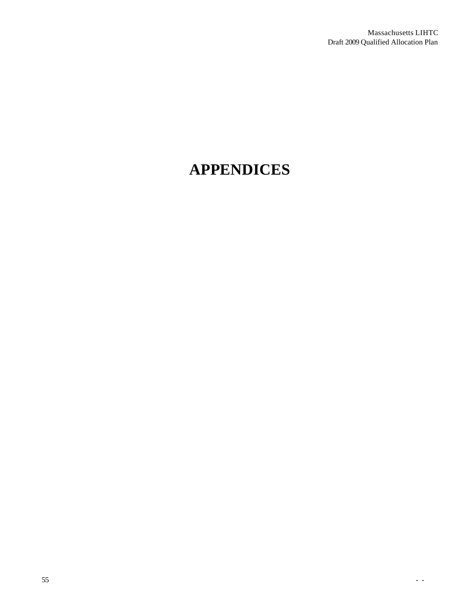# **APPENDICES**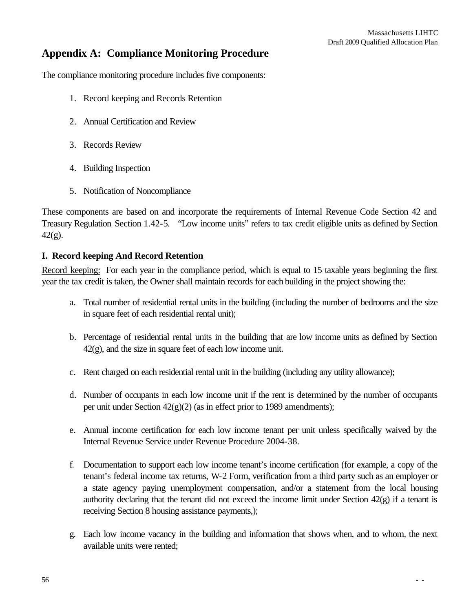# **Appendix A: Compliance Monitoring Procedure**

The compliance monitoring procedure includes five components:

- 1. Record keeping and Records Retention
- 2. Annual Certification and Review
- 3. Records Review
- 4. Building Inspection
- 5. Notification of Noncompliance

These components are based on and incorporate the requirements of Internal Revenue Code Section 42 and Treasury Regulation Section 1.42-5. "Low income units" refers to tax credit eligible units as defined by Section  $42(g)$ .

## **I. Record keeping And Record Retention**

Record keeping: For each year in the compliance period, which is equal to 15 taxable years beginning the first year the tax credit is taken, the Owner shall maintain records for each building in the project showing the:

- a. Total number of residential rental units in the building (including the number of bedrooms and the size in square feet of each residential rental unit);
- b. Percentage of residential rental units in the building that are low income units as defined by Section 42(g), and the size in square feet of each low income unit.
- c. Rent charged on each residential rental unit in the building (including any utility allowance);
- d. Number of occupants in each low income unit if the rent is determined by the number of occupants per unit under Section 42(g)(2) (as in effect prior to 1989 amendments);
- e. Annual income certification for each low income tenant per unit unless specifically waived by the Internal Revenue Service under Revenue Procedure 2004-38.
- f. Documentation to support each low income tenant's income certification (for example, a copy of the tenant's federal income tax returns, W-2 Form, verification from a third party such as an employer or a state agency paying unemployment compensation, and/or a statement from the local housing authority declaring that the tenant did not exceed the income limit under Section 42(g) if a tenant is receiving Section 8 housing assistance payments,);
- g. Each low income vacancy in the building and information that shows when, and to whom, the next available units were rented;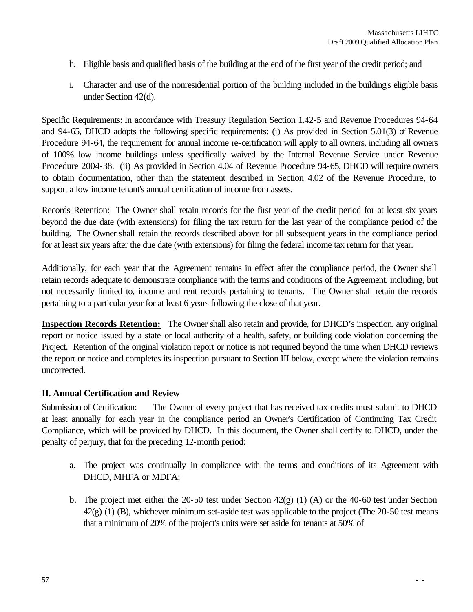- h. Eligible basis and qualified basis of the building at the end of the first year of the credit period; and
- i. Character and use of the nonresidential portion of the building included in the building's eligible basis under Section 42(d).

Specific Requirements: In accordance with Treasury Regulation Section 1.42-5 and Revenue Procedures 94-64 and 94-65, DHCD adopts the following specific requirements: (i) As provided in Section 5.01(3) of Revenue Procedure 94-64, the requirement for annual income re-certification will apply to all owners, including all owners of 100% low income buildings unless specifically waived by the Internal Revenue Service under Revenue Procedure 2004-38. (ii) As provided in Section 4.04 of Revenue Procedure 94-65, DHCD will require owners to obtain documentation, other than the statement described in Section 4.02 of the Revenue Procedure, to support a low income tenant's annual certification of income from assets.

Records Retention: The Owner shall retain records for the first year of the credit period for at least six years beyond the due date (with extensions) for filing the tax return for the last year of the compliance period of the building. The Owner shall retain the records described above for all subsequent years in the compliance period for at least six years after the due date (with extensions) for filing the federal income tax return for that year.

Additionally, for each year that the Agreement remains in effect after the compliance period, the Owner shall retain records adequate to demonstrate compliance with the terms and conditions of the Agreement, including, but not necessarily limited to, income and rent records pertaining to tenants. The Owner shall retain the records pertaining to a particular year for at least 6 years following the close of that year.

**Inspection Records Retention:** The Owner shall also retain and provide, for DHCD's inspection, any original report or notice issued by a state or local authority of a health, safety, or building code violation concerning the Project. Retention of the original violation report or notice is not required beyond the time when DHCD reviews the report or notice and completes its inspection pursuant to Section III below, except where the violation remains uncorrected*.*

## **II. Annual Certification and Review**

Submission of Certification: The Owner of every project that has received tax credits must submit to DHCD at least annually for each year in the compliance period an Owner's Certification of Continuing Tax Credit Compliance, which will be provided by DHCD. In this document, the Owner shall certify to DHCD, under the penalty of perjury, that for the preceding 12-month period:

- a. The project was continually in compliance with the terms and conditions of its Agreement with DHCD, MHFA or MDFA;
- b. The project met either the 20-50 test under Section 42(g) (1) (A) or the 40-60 test under Section  $42(g)$  (1) (B), whichever minimum set-aside test was applicable to the project (The 20-50 test means that a minimum of 20% of the project's units were set aside for tenants at 50% of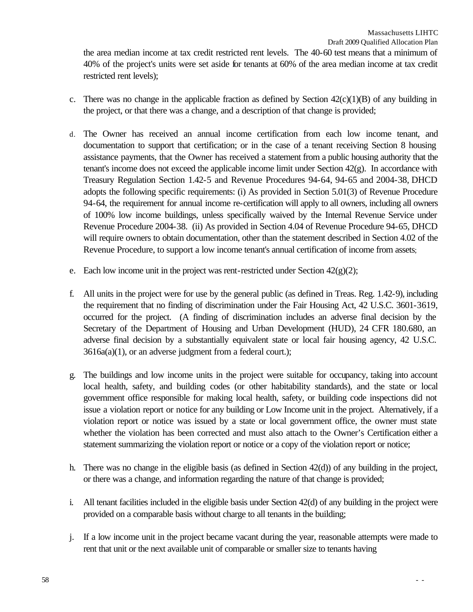the area median income at tax credit restricted rent levels. The 40-60 test means that a minimum of 40% of the project's units were set aside for tenants at 60% of the area median income at tax credit restricted rent levels);

- c. There was no change in the applicable fraction as defined by Section  $42(c)(1)(B)$  of any building in the project, or that there was a change, and a description of that change is provided;
- d. The Owner has received an annual income certification from each low income tenant, and documentation to support that certification; or in the case of a tenant receiving Section 8 housing assistance payments, that the Owner has received a statement from a public housing authority that the tenant's income does not exceed the applicable income limit under Section 42(g). In accordance with Treasury Regulation Section 1.42-5 and Revenue Procedures 94-64, 94-65 and 2004-38, DHCD adopts the following specific requirements: (i) As provided in Section 5.01(3) of Revenue Procedure 94-64, the requirement for annual income re-certification will apply to all owners, including all owners of 100% low income buildings, unless specifically waived by the Internal Revenue Service under Revenue Procedure 2004-38. (ii) As provided in Section 4.04 of Revenue Procedure 94-65, DHCD will require owners to obtain documentation, other than the statement described in Section 4.02 of the Revenue Procedure, to support a low income tenant's annual certification of income from assets;
- e. Each low income unit in the project was rent-restricted under Section  $42(g)(2)$ ;
- f. All units in the project were for use by the general public (as defined in Treas. Reg. 1.42-9), including the requirement that no finding of discrimination under the Fair Housing Act, 42 U.S.C. 3601-3619, occurred for the project. (A finding of discrimination includes an adverse final decision by the Secretary of the Department of Housing and Urban Development (HUD), 24 CFR 180.680, an adverse final decision by a substantially equivalent state or local fair housing agency, 42 U.S.C. 3616a(a)(1), or an adverse judgment from a federal court.);
- g. The buildings and low income units in the project were suitable for occupancy, taking into account local health, safety, and building codes (or other habitability standards), and the state or local government office responsible for making local health, safety, or building code inspections did not issue a violation report or notice for any building or Low Income unit in the project. Alternatively, if a violation report or notice was issued by a state or local government office, the owner must state whether the violation has been corrected and must also attach to the Owner's Certification either a statement summarizing the violation report or notice or a copy of the violation report or notice;
- h. There was no change in the eligible basis (as defined in Section 42(d)) of any building in the project, or there was a change, and information regarding the nature of that change is provided;
- i. All tenant facilities included in the eligible basis under Section 42(d) of any building in the project were provided on a comparable basis without charge to all tenants in the building;
- j. If a low income unit in the project became vacant during the year, reasonable attempts were made to rent that unit or the next available unit of comparable or smaller size to tenants having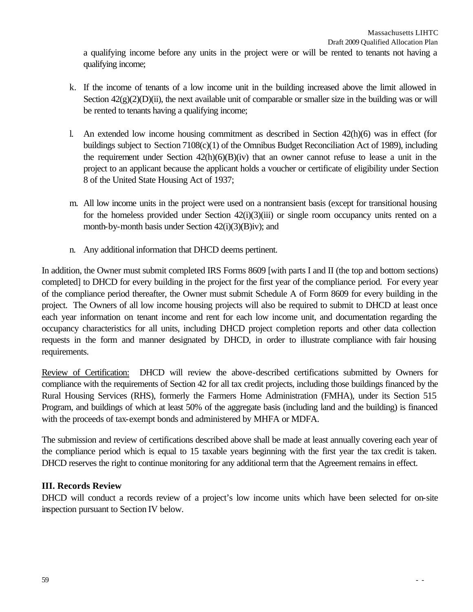a qualifying income before any units in the project were or will be rented to tenants not having a qualifying income;

- k. If the income of tenants of a low income unit in the building increased above the limit allowed in Section  $42(g)(2)(D)(ii)$ , the next available unit of comparable or smaller size in the building was or will be rented to tenants having a qualifying income;
- l. An extended low income housing commitment as described in Section 42(h)(6) was in effect (for buildings subject to Section 7108(c)(1) of the Omnibus Budget Reconciliation Act of 1989), including the requirement under Section  $42(h)(6)(B)(iv)$  that an owner cannot refuse to lease a unit in the project to an applicant because the applicant holds a voucher or certificate of eligibility under Section 8 of the United State Housing Act of 1937;
- m. All low income units in the project were used on a nontransient basis (except for transitional housing for the homeless provided under Section  $42(i)(3)(iii)$  or single room occupancy units rented on a month-by-month basis under Section  $42(i)(3)(B)iv$ ; and
- n. Any additional information that DHCD deems pertinent.

In addition, the Owner must submit completed IRS Forms 8609 [with parts I and II (the top and bottom sections) completed] to DHCD for every building in the project for the first year of the compliance period. For every year of the compliance period thereafter, the Owner must submit Schedule A of Form 8609 for every building in the project. The Owners of all low income housing projects will also be required to submit to DHCD at least once each year information on tenant income and rent for each low income unit, and documentation regarding the occupancy characteristics for all units, including DHCD project completion reports and other data collection requests in the form and manner designated by DHCD, in order to illustrate compliance with fair housing requirements.

Review of Certification: DHCD will review the above-described certifications submitted by Owners for compliance with the requirements of Section 42 for all tax credit projects, including those buildings financed by the Rural Housing Services (RHS), formerly the Farmers Home Administration (FMHA), under its Section 515 Program, and buildings of which at least 50% of the aggregate basis (including land and the building) is financed with the proceeds of tax-exempt bonds and administered by MHFA or MDFA.

The submission and review of certifications described above shall be made at least annually covering each year of the compliance period which is equal to 15 taxable years beginning with the first year the tax credit is taken. DHCD reserves the right to continue monitoring for any additional term that the Agreement remains in effect.

## **III. Records Review**

DHCD will conduct a records review of a project's low income units which have been selected for on-site inspection pursuant to Section IV below.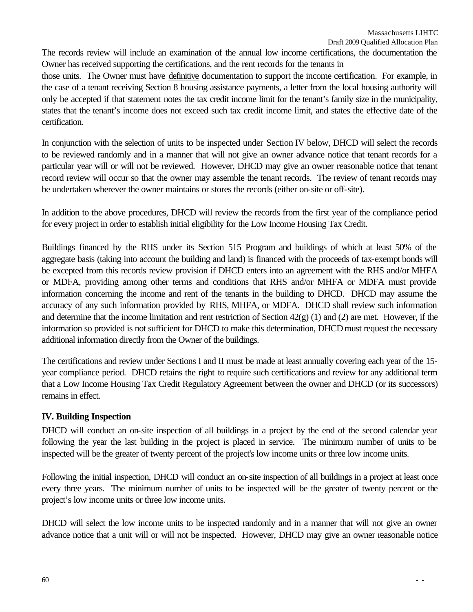The records review will include an examination of the annual low income certifications, the documentation the Owner has received supporting the certifications, and the rent records for the tenants in

those units. The Owner must have definitive documentation to support the income certification. For example, in the case of a tenant receiving Section 8 housing assistance payments, a letter from the local housing authority will only be accepted if that statement notes the tax credit income limit for the tenant's family size in the municipality, states that the tenant's income does not exceed such tax credit income limit, and states the effective date of the certification.

In conjunction with the selection of units to be inspected under Section IV below, DHCD will select the records to be reviewed randomly and in a manner that will not give an owner advance notice that tenant records for a particular year will or will not be reviewed. However, DHCD may give an owner reasonable notice that tenant record review will occur so that the owner may assemble the tenant records. The review of tenant records may be undertaken wherever the owner maintains or stores the records (either on-site or off-site).

In addition to the above procedures, DHCD will review the records from the first year of the compliance period for every project in order to establish initial eligibility for the Low Income Housing Tax Credit.

Buildings financed by the RHS under its Section 515 Program and buildings of which at least 50% of the aggregate basis (taking into account the building and land) is financed with the proceeds of tax-exempt bonds will be excepted from this records review provision if DHCD enters into an agreement with the RHS and/or MHFA or MDFA, providing among other terms and conditions that RHS and/or MHFA or MDFA must provide information concerning the income and rent of the tenants in the building to DHCD. DHCD may assume the accuracy of any such information provided by RHS, MHFA, or MDFA. DHCD shall review such information and determine that the income limitation and rent restriction of Section 42(g) (1) and (2) are met. However, if the information so provided is not sufficient for DHCD to make this determination, DHCD must request the necessary additional information directly from the Owner of the buildings.

The certifications and review under Sections I and II must be made at least annually covering each year of the 15 year compliance period. DHCD retains the right to require such certifications and review for any additional term that a Low Income Housing Tax Credit Regulatory Agreement between the owner and DHCD (or its successors) remains in effect.

# **IV. Building Inspection**

DHCD will conduct an on-site inspection of all buildings in a project by the end of the second calendar year following the year the last building in the project is placed in service. The minimum number of units to be inspected will be the greater of twenty percent of the project's low income units or three low income units.

Following the initial inspection, DHCD will conduct an on-site inspection of all buildings in a project at least once every three years. The minimum number of units to be inspected will be the greater of twenty percent or the project's low income units or three low income units.

DHCD will select the low income units to be inspected randomly and in a manner that will not give an owner advance notice that a unit will or will not be inspected. However, DHCD may give an owner reasonable notice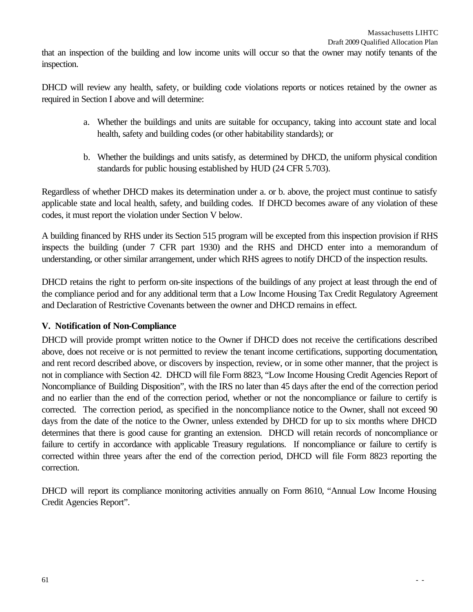that an inspection of the building and low income units will occur so that the owner may notify tenants of the inspection.

DHCD will review any health, safety, or building code violations reports or notices retained by the owner as required in Section I above and will determine:

- a. Whether the buildings and units are suitable for occupancy, taking into account state and local health, safety and building codes (or other habitability standards); or
- b. Whether the buildings and units satisfy, as determined by DHCD, the uniform physical condition standards for public housing established by HUD (24 CFR 5.703).

Regardless of whether DHCD makes its determination under a. or b. above, the project must continue to satisfy applicable state and local health, safety, and building codes. If DHCD becomes aware of any violation of these codes, it must report the violation under Section V below.

A building financed by RHS under its Section 515 program will be excepted from this inspection provision if RHS inspects the building (under 7 CFR part 1930) and the RHS and DHCD enter into a memorandum of understanding, or other similar arrangement, under which RHS agrees to notify DHCD of the inspection results.

DHCD retains the right to perform on-site inspections of the buildings of any project at least through the end of the compliance period and for any additional term that a Low Income Housing Tax Credit Regulatory Agreement and Declaration of Restrictive Covenants between the owner and DHCD remains in effect.

## **V. Notification of Non-Compliance**

DHCD will provide prompt written notice to the Owner if DHCD does not receive the certifications described above, does not receive or is not permitted to review the tenant income certifications, supporting documentation, and rent record described above, or discovers by inspection, review, or in some other manner, that the project is not in compliance with Section 42. DHCD will file Form 8823, "Low Income Housing Credit Agencies Report of Noncompliance of Building Disposition", with the IRS no later than 45 days after the end of the correction period and no earlier than the end of the correction period, whether or not the noncompliance or failure to certify is corrected. The correction period, as specified in the noncompliance notice to the Owner, shall not exceed 90 days from the date of the notice to the Owner, unless extended by DHCD for up to six months where DHCD determines that there is good cause for granting an extension. DHCD will retain records of noncompliance or failure to certify in accordance with applicable Treasury regulations. If noncompliance or failure to certify is corrected within three years after the end of the correction period, DHCD will file Form 8823 reporting the correction.

DHCD will report its compliance monitoring activities annually on Form 8610, "Annual Low Income Housing Credit Agencies Report".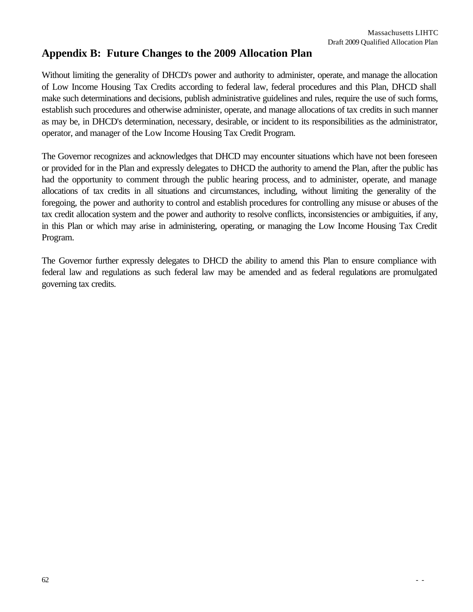# **Appendix B: Future Changes to the 2009 Allocation Plan**

Without limiting the generality of DHCD's power and authority to administer, operate, and manage the allocation of Low Income Housing Tax Credits according to federal law, federal procedures and this Plan, DHCD shall make such determinations and decisions, publish administrative guidelines and rules, require the use of such forms, establish such procedures and otherwise administer, operate, and manage allocations of tax credits in such manner as may be, in DHCD's determination, necessary, desirable, or incident to its responsibilities as the administrator, operator, and manager of the Low Income Housing Tax Credit Program.

The Governor recognizes and acknowledges that DHCD may encounter situations which have not been foreseen or provided for in the Plan and expressly delegates to DHCD the authority to amend the Plan, after the public has had the opportunity to comment through the public hearing process, and to administer, operate, and manage allocations of tax credits in all situations and circumstances, including, without limiting the generality of the foregoing, the power and authority to control and establish procedures for controlling any misuse or abuses of the tax credit allocation system and the power and authority to resolve conflicts, inconsistencies or ambiguities, if any, in this Plan or which may arise in administering, operating, or managing the Low Income Housing Tax Credit Program.

The Governor further expressly delegates to DHCD the ability to amend this Plan to ensure compliance with federal law and regulations as such federal law may be amended and as federal regulations are promulgated governing tax credits.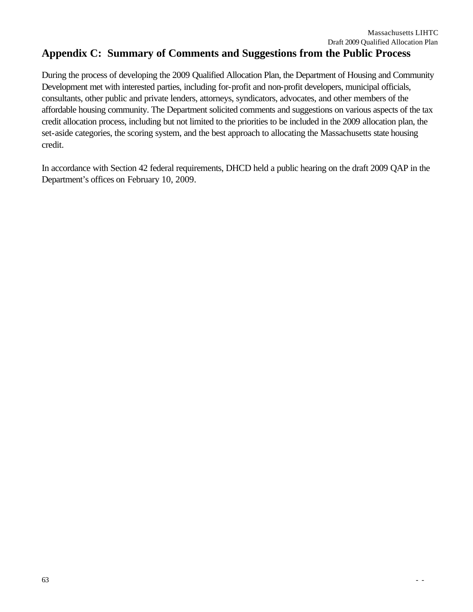#### Massachusetts LIHTC Draft 2009 Qualified Allocation Plan **Appendix C: Summary of Comments and Suggestions from the Public Process**

During the process of developing the 2009 Qualified Allocation Plan, the Department of Housing and Community Development met with interested parties, including for-profit and non-profit developers, municipal officials, consultants, other public and private lenders, attorneys, syndicators, advocates, and other members of the affordable housing community. The Department solicited comments and suggestions on various aspects of the tax credit allocation process, including but not limited to the priorities to be included in the 2009 allocation plan, the set-aside categories, the scoring system, and the best approach to allocating the Massachusetts state housing credit.

In accordance with Section 42 federal requirements, DHCD held a public hearing on the draft 2009 QAP in the Department's offices on February 10, 2009.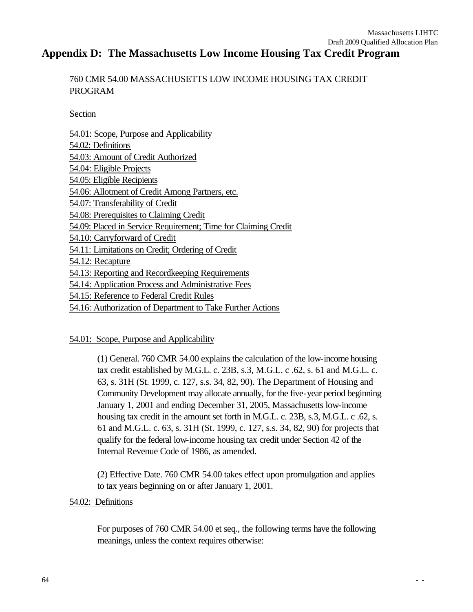# **Appendix D: The Massachusetts Low Income Housing Tax Credit Program**

760 CMR 54.00 MASSACHUSETTS LOW INCOME HOUSING TAX CREDIT PROGRAM

Section

54.01: Scope, Purpose and Applicability 54.02: Definitions 54.03: Amount of Credit Authorized 54.04: Eligible Projects 54.05: Eligible Recipients 54.06: Allotment of Credit Among Partners, etc. 54.07: Transferability of Credit 54.08: Prerequisites to Claiming Credit 54.09: Placed in Service Requirement; Time for Claiming Credit 54.10: Carryforward of Credit 54.11: Limitations on Credit; Ordering of Credit 54.12: Recapture 54.13: Reporting and Recordkeeping Requirements 54.14: Application Process and Administrative Fees 54.15: Reference to Federal Credit Rules

54.16: Authorization of Department to Take Further Actions

## 54.01: Scope, Purpose and Applicability

(1) General. 760 CMR 54.00 explains the calculation of the low-income housing tax credit established by M.G.L. c. 23B, s.3, M.G.L. c .62, s. 61 and M.G.L. c. 63, s. 31H (St. 1999, c. 127, s.s. 34, 82, 90). The Department of Housing and Community Development may allocate annually, for the five-year period beginning January 1, 2001 and ending December 31, 2005, Massachusetts low-income housing tax credit in the amount set forth in M.G.L. c. 23B, s.3, M.G.L. c .62, s. 61 and M.G.L. c. 63, s. 31H (St. 1999, c. 127, s.s. 34, 82, 90) for projects that qualify for the federal low-income housing tax credit under Section 42 of the Internal Revenue Code of 1986, as amended.

(2) Effective Date. 760 CMR 54.00 takes effect upon promulgation and applies to tax years beginning on or after January 1, 2001.

## 54.02: Definitions

For purposes of 760 CMR 54.00 et seq., the following terms have the following meanings, unless the context requires otherwise: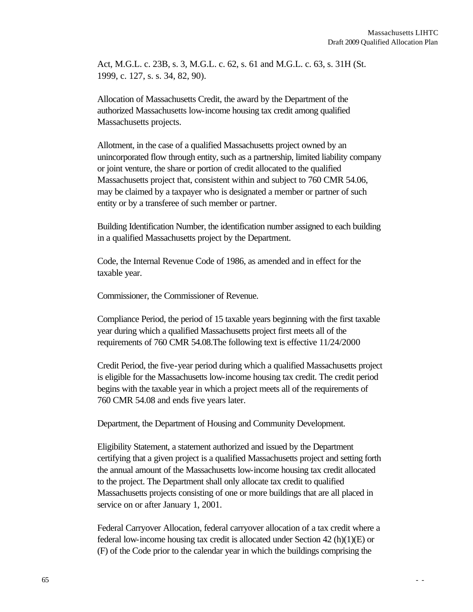Act, M.G.L. c. 23B, s. 3, M.G.L. c. 62, s. 61 and M.G.L. c. 63, s. 31H (St. 1999, c. 127, s. s. 34, 82, 90).

Allocation of Massachusetts Credit, the award by the Department of the authorized Massachusetts low-income housing tax credit among qualified Massachusetts projects.

Allotment, in the case of a qualified Massachusetts project owned by an unincorporated flow through entity, such as a partnership, limited liability company or joint venture, the share or portion of credit allocated to the qualified Massachusetts project that, consistent within and subject to 760 CMR 54.06, may be claimed by a taxpayer who is designated a member or partner of such entity or by a transferee of such member or partner.

Building Identification Number, the identification number assigned to each building in a qualified Massachusetts project by the Department.

Code, the Internal Revenue Code of 1986, as amended and in effect for the taxable year.

Commissioner, the Commissioner of Revenue.

Compliance Period, the period of 15 taxable years beginning with the first taxable year during which a qualified Massachusetts project first meets all of the requirements of 760 CMR 54.08.The following text is effective 11/24/2000

Credit Period, the five-year period during which a qualified Massachusetts project is eligible for the Massachusetts low-income housing tax credit. The credit period begins with the taxable year in which a project meets all of the requirements of 760 CMR 54.08 and ends five years later.

Department, the Department of Housing and Community Development.

Eligibility Statement, a statement authorized and issued by the Department certifying that a given project is a qualified Massachusetts project and setting forth the annual amount of the Massachusetts low-income housing tax credit allocated to the project. The Department shall only allocate tax credit to qualified Massachusetts projects consisting of one or more buildings that are all placed in service on or after January 1, 2001.

Federal Carryover Allocation, federal carryover allocation of a tax credit where a federal low-income housing tax credit is allocated under Section 42 (h)(1)(E) or (F) of the Code prior to the calendar year in which the buildings comprising the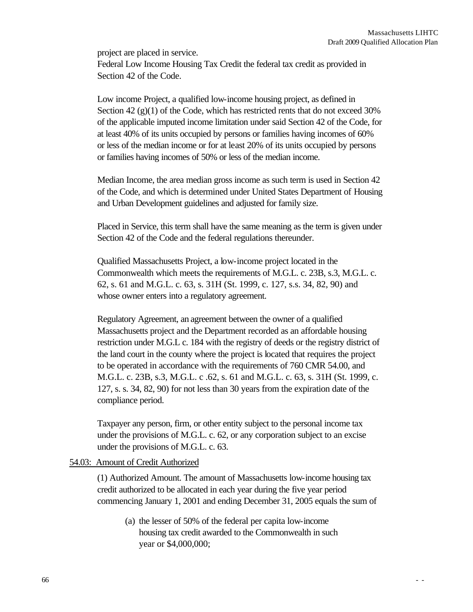project are placed in service. Federal Low Income Housing Tax Credit the federal tax credit as provided in Section 42 of the Code.

Low income Project, a qualified low-income housing project, as defined in Section 42  $(g)(1)$  of the Code, which has restricted rents that do not exceed 30% of the applicable imputed income limitation under said Section 42 of the Code, for at least 40% of its units occupied by persons or families having incomes of 60% or less of the median income or for at least 20% of its units occupied by persons or families having incomes of 50% or less of the median income.

Median Income, the area median gross income as such term is used in Section 42 of the Code, and which is determined under United States Department of Housing and Urban Development guidelines and adjusted for family size.

Placed in Service, this term shall have the same meaning as the term is given under Section 42 of the Code and the federal regulations thereunder.

Qualified Massachusetts Project, a low-income project located in the Commonwealth which meets the requirements of M.G.L. c. 23B, s.3, M.G.L. c. 62, s. 61 and M.G.L. c. 63, s. 31H (St. 1999, c. 127, s.s. 34, 82, 90) and whose owner enters into a regulatory agreement.

Regulatory Agreement, an agreement between the owner of a qualified Massachusetts project and the Department recorded as an affordable housing restriction under M.G.L c. 184 with the registry of deeds or the registry district of the land court in the county where the project is located that requires the project to be operated in accordance with the requirements of 760 CMR 54.00, and M.G.L. c. 23B, s.3, M.G.L. c .62, s. 61 and M.G.L. c. 63, s. 31H (St. 1999, c. 127, s. s. 34, 82, 90) for not less than 30 years from the expiration date of the compliance period.

Taxpayer any person, firm, or other entity subject to the personal income tax under the provisions of M.G.L. c. 62, or any corporation subject to an excise under the provisions of M.G.L. c. 63.

#### 54.03: Amount of Credit Authorized

(1) Authorized Amount. The amount of Massachusetts low-income housing tax credit authorized to be allocated in each year during the five year period commencing January 1, 2001 and ending December 31, 2005 equals the sum of

(a) the lesser of 50% of the federal per capita low-income housing tax credit awarded to the Commonwealth in such year or \$4,000,000;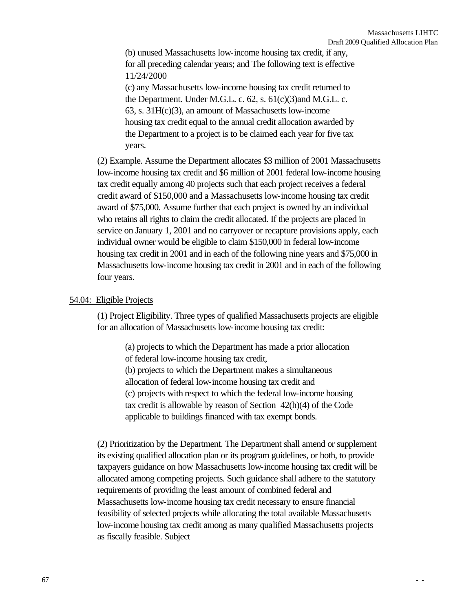(b) unused Massachusetts low-income housing tax credit, if any, for all preceding calendar years; and The following text is effective 11/24/2000

(c) any Massachusetts low-income housing tax credit returned to the Department. Under M.G.L. c. 62, s. 61(c)(3)and M.G.L. c. 63, s. 31H(c)(3), an amount of Massachusetts low-income housing tax credit equal to the annual credit allocation awarded by the Department to a project is to be claimed each year for five tax years.

(2) Example. Assume the Department allocates \$3 million of 2001 Massachusetts low-income housing tax credit and \$6 million of 2001 federal low-income housing tax credit equally among 40 projects such that each project receives a federal credit award of \$150,000 and a Massachusetts low-income housing tax credit award of \$75,000. Assume further that each project is owned by an individual who retains all rights to claim the credit allocated. If the projects are placed in service on January 1, 2001 and no carryover or recapture provisions apply, each individual owner would be eligible to claim \$150,000 in federal low-income housing tax credit in 2001 and in each of the following nine years and \$75,000 in Massachusetts low-income housing tax credit in 2001 and in each of the following four years.

## 54.04: Eligible Projects

(1) Project Eligibility. Three types of qualified Massachusetts projects are eligible for an allocation of Massachusetts low-income housing tax credit:

(a) projects to which the Department has made a prior allocation of federal low-income housing tax credit, (b) projects to which the Department makes a simultaneous allocation of federal low-income housing tax credit and (c) projects with respect to which the federal low-income housing tax credit is allowable by reason of Section 42(h)(4) of the Code applicable to buildings financed with tax exempt bonds.

(2) Prioritization by the Department. The Department shall amend or supplement its existing qualified allocation plan or its program guidelines, or both, to provide taxpayers guidance on how Massachusetts low-income housing tax credit will be allocated among competing projects. Such guidance shall adhere to the statutory requirements of providing the least amount of combined federal and Massachusetts low-income housing tax credit necessary to ensure financial feasibility of selected projects while allocating the total available Massachusetts low-income housing tax credit among as many qualified Massachusetts projects as fiscally feasible. Subject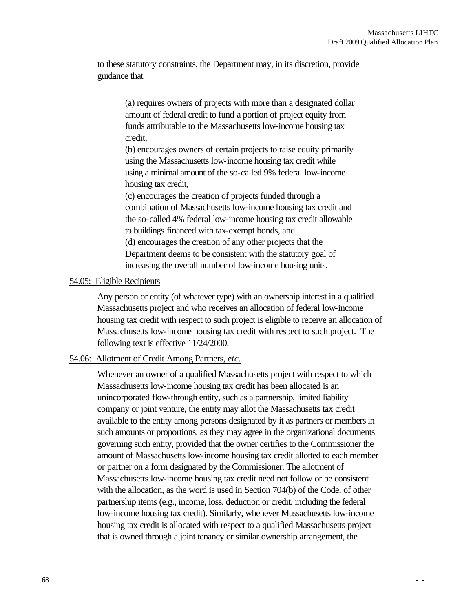to these statutory constraints, the Department may, in its discretion, provide guidance that

> (a) requires owners of projects with more than a designated dollar amount of federal credit to fund a portion of project equity from funds attributable to the Massachusetts low-income housing tax credit,

> (b) encourages owners of certain projects to raise equity primarily using the Massachusetts low-income housing tax credit while using a minimal amount of the so-called 9% federal low-income housing tax credit,

> (c) encourages the creation of projects funded through a combination of Massachusetts low-income housing tax credit and the so-called 4% federal low-income housing tax credit allowable to buildings financed with tax-exempt bonds, and (d) encourages the creation of any other projects that the Department deems to be consistent with the statutory goal of increasing the overall number of low-income housing units.

#### 54.05: Eligible Recipients

Any person or entity (of whatever type) with an ownership interest in a qualified Massachusetts project and who receives an allocation of federal low-income housing tax credit with respect to such project is eligible to receive an allocation of Massachusetts low-income housing tax credit with respect to such project. The following text is effective 11/24/2000.

#### 54.06: Allotment of Credit Among Partners, *etc.*

Whenever an owner of a qualified Massachusetts project with respect to which Massachusetts low-income housing tax credit has been allocated is an unincorporated flow-through entity, such as a partnership, limited liability company or joint venture, the entity may allot the Massachusetts tax credit available to the entity among persons designated by it as partners or members in such amounts or proportions. as they may agree in the organizational documents governing such entity, provided that the owner certifies to the Commissioner the amount of Massachusetts low-income housing tax credit allotted to each member or partner on a form designated by the Commissioner. The allotment of Massachusetts low-income housing tax credit need not follow or be consistent with the allocation, as the word is used in Section 704(b) of the Code, of other partnership items (e.g., income, loss, deduction or credit, including the federal low-income housing tax credit). Similarly, whenever Massachusetts low-income housing tax credit is allocated with respect to a qualified Massachusetts project that is owned through a joint tenancy or similar ownership arrangement, the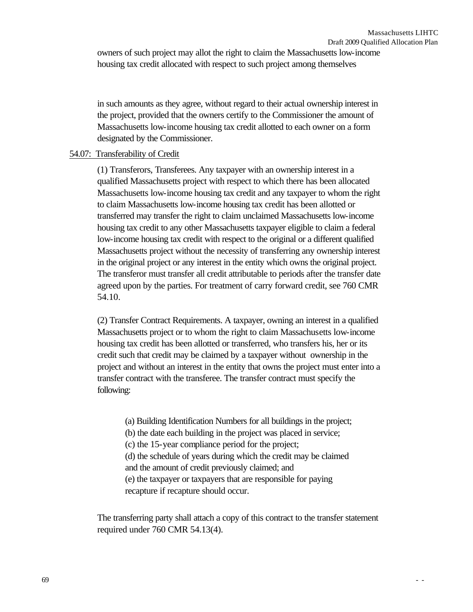owners of such project may allot the right to claim the Massachusetts low-income housing tax credit allocated with respect to such project among themselves

in such amounts as they agree, without regard to their actual ownership interest in the project, provided that the owners certify to the Commissioner the amount of Massachusetts low-income housing tax credit allotted to each owner on a form designated by the Commissioner.

#### 54.07: Transferability of Credit

(1) Transferors, Transferees. Any taxpayer with an ownership interest in a qualified Massachusetts project with respect to which there has been allocated Massachusetts low-income housing tax credit and any taxpayer to whom the right to claim Massachusetts low-income housing tax credit has been allotted or transferred may transfer the right to claim unclaimed Massachusetts low-income housing tax credit to any other Massachusetts taxpayer eligible to claim a federal low-income housing tax credit with respect to the original or a different qualified Massachusetts project without the necessity of transferring any ownership interest in the original project or any interest in the entity which owns the original project. The transferor must transfer all credit attributable to periods after the transfer date agreed upon by the parties. For treatment of carry forward credit, see 760 CMR 54.10.

(2) Transfer Contract Requirements. A taxpayer, owning an interest in a qualified Massachusetts project or to whom the right to claim Massachusetts low-income housing tax credit has been allotted or transferred, who transfers his, her or its credit such that credit may be claimed by a taxpayer without ownership in the project and without an interest in the entity that owns the project must enter into a transfer contract with the transferee. The transfer contract must specify the following:

(a) Building Identification Numbers for all buildings in the project;

(b) the date each building in the project was placed in service;

(c) the 15-year compliance period for the project;

(d) the schedule of years during which the credit may be claimed

and the amount of credit previously claimed; and

(e) the taxpayer or taxpayers that are responsible for paying recapture if recapture should occur.

The transferring party shall attach a copy of this contract to the transfer statement required under 760 CMR 54.13(4).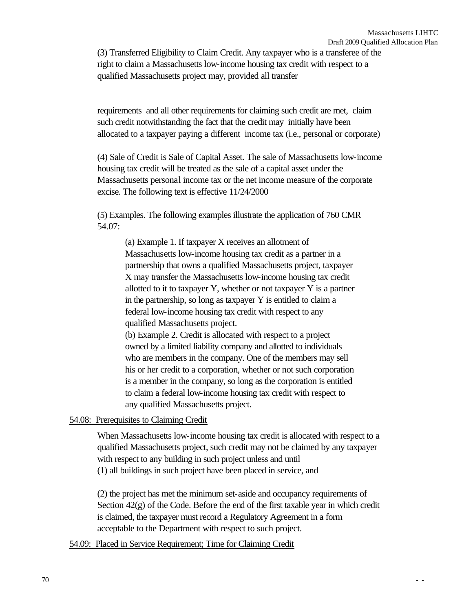(3) Transferred Eligibility to Claim Credit. Any taxpayer who is a transferee of the right to claim a Massachusetts low-income housing tax credit with respect to a qualified Massachusetts project may, provided all transfer

requirements and all other requirements for claiming such credit are met, claim such credit notwithstanding the fact that the credit may initially have been allocated to a taxpayer paying a different income tax (i.e., personal or corporate)

(4) Sale of Credit is Sale of Capital Asset. The sale of Massachusetts low-income housing tax credit will be treated as the sale of a capital asset under the Massachusetts personal income tax or the net income measure of the corporate excise. The following text is effective 11/24/2000

(5) Examples. The following examples illustrate the application of 760 CMR 54.07:

> (a) Example 1. If taxpayer X receives an allotment of Massachusetts low-income housing tax credit as a partner in a partnership that owns a qualified Massachusetts project, taxpayer X may transfer the Massachusetts low-income housing tax credit allotted to it to taxpayer Y, whether or not taxpayer Y is a partner in the partnership, so long as taxpayer Y is entitled to claim a federal low-income housing tax credit with respect to any qualified Massachusetts project.

> (b) Example 2. Credit is allocated with respect to a project owned by a limited liability company and allotted to individuals who are members in the company. One of the members may sell his or her credit to a corporation, whether or not such corporation is a member in the company, so long as the corporation is entitled to claim a federal low-income housing tax credit with respect to any qualified Massachusetts project.

## 54.08: Prerequisites to Claiming Credit

When Massachusetts low-income housing tax credit is allocated with respect to a qualified Massachusetts project, such credit may not be claimed by any taxpayer with respect to any building in such project unless and until (1) all buildings in such project have been placed in service, and

(2) the project has met the minimum set-aside and occupancy requirements of Section  $42(g)$  of the Code. Before the end of the first taxable year in which credit is claimed, the taxpayer must record a Regulatory Agreement in a form acceptable to the Department with respect to such project.

54.09: Placed in Service Requirement; Time for Claiming Credit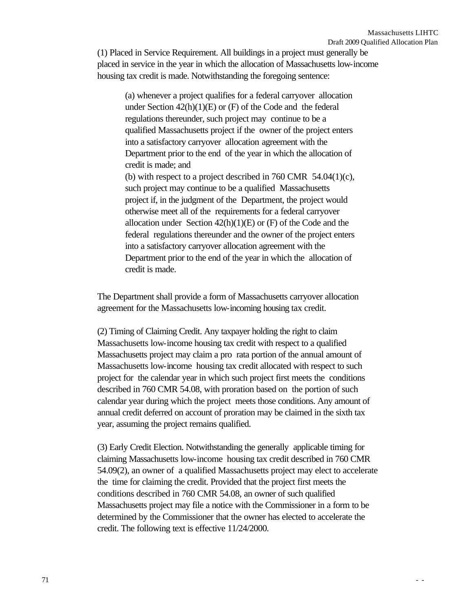(1) Placed in Service Requirement. All buildings in a project must generally be placed in service in the year in which the allocation of Massachusetts low-income housing tax credit is made. Notwithstanding the foregoing sentence:

(a) whenever a project qualifies for a federal carryover allocation under Section  $42(h)(1)(E)$  or  $(F)$  of the Code and the federal regulations thereunder, such project may continue to be a qualified Massachusetts project if the owner of the project enters into a satisfactory carryover allocation agreement with the Department prior to the end of the year in which the allocation of credit is made; and (b) with respect to a project described in 760 CMR 54.04(1)(c),

such project may continue to be a qualified Massachusetts project if, in the judgment of the Department, the project would otherwise meet all of the requirements for a federal carryover allocation under Section  $42(h)(1)(E)$  or  $(F)$  of the Code and the federal regulations thereunder and the owner of the project enters into a satisfactory carryover allocation agreement with the Department prior to the end of the year in which the allocation of credit is made.

The Department shall provide a form of Massachusetts carryover allocation agreement for the Massachusetts low-incoming housing tax credit.

(2) Timing of Claiming Credit. Any taxpayer holding the right to claim Massachusetts low-income housing tax credit with respect to a qualified Massachusetts project may claim a pro rata portion of the annual amount of Massachusetts low-income housing tax credit allocated with respect to such project for the calendar year in which such project first meets the conditions described in 760 CMR 54.08, with proration based on the portion of such calendar year during which the project meets those conditions. Any amount of annual credit deferred on account of proration may be claimed in the sixth tax year, assuming the project remains qualified.

(3) Early Credit Election. Notwithstanding the generally applicable timing for claiming Massachusetts low-income housing tax credit described in 760 CMR 54.09(2), an owner of a qualified Massachusetts project may elect to accelerate the time for claiming the credit. Provided that the project first meets the conditions described in 760 CMR 54.08, an owner of such qualified Massachusetts project may file a notice with the Commissioner in a form to be determined by the Commissioner that the owner has elected to accelerate the credit. The following text is effective 11/24/2000.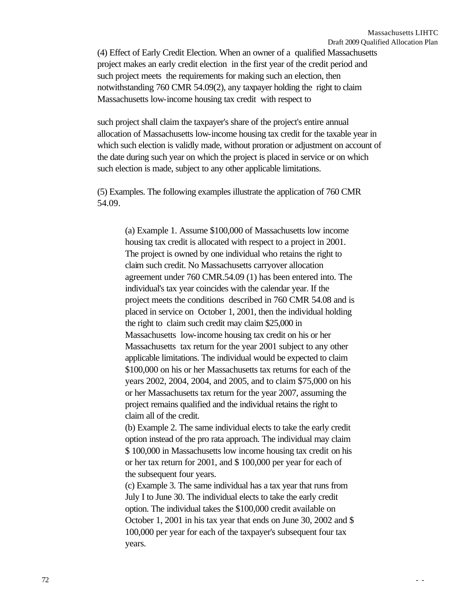(4) Effect of Early Credit Election. When an owner of a qualified Massachusetts project makes an early credit election in the first year of the credit period and such project meets the requirements for making such an election, then notwithstanding 760 CMR 54.09(2), any taxpayer holding the right to claim Massachusetts low-income housing tax credit with respect to

such project shall claim the taxpayer's share of the project's entire annual allocation of Massachusetts low-income housing tax credit for the taxable year in which such election is validly made, without proration or adjustment on account of the date during such year on which the project is placed in service or on which such election is made, subject to any other applicable limitations.

(5) Examples. The following examples illustrate the application of 760 CMR 54.09.

> (a) Example 1. Assume \$100,000 of Massachusetts low income housing tax credit is allocated with respect to a project in 2001. The project is owned by one individual who retains the right to claim such credit. No Massachusetts carryover allocation agreement under 760 CMR.54.09 (1) has been entered into. The individual's tax year coincides with the calendar year. If the project meets the conditions described in 760 CMR 54.08 and is placed in service on October 1, 2001, then the individual holding the right to claim such credit may claim \$25,000 in Massachusetts low-income housing tax credit on his or her Massachusetts tax return for the year 2001 subject to any other applicable limitations. The individual would be expected to claim \$100,000 on his or her Massachusetts tax returns for each of the years 2002, 2004, 2004, and 2005, and to claim \$75,000 on his or her Massachusetts tax return for the year 2007, assuming the project remains qualified and the individual retains the right to claim all of the credit.

(b) Example 2. The same individual elects to take the early credit option instead of the pro rata approach. The individual may claim \$ 100,000 in Massachusetts low income housing tax credit on his or her tax return for 2001, and \$ 100,000 per year for each of the subsequent four years.

(c) Example 3. The same individual has a tax year that runs from July I to June 30. The individual elects to take the early credit option. The individual takes the \$100,000 credit available on October 1, 2001 in his tax year that ends on June 30, 2002 and \$ 100,000 per year for each of the taxpayer's subsequent four tax years.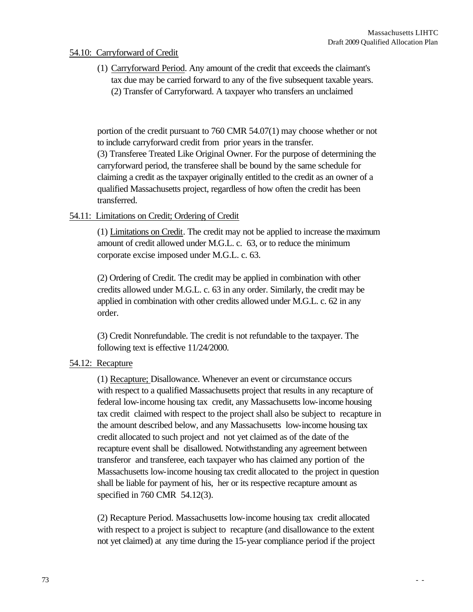# 54.10: Carryforward of Credit

(1) Carryforward Period. Any amount of the credit that exceeds the claimant's tax due may be carried forward to any of the five subsequent taxable years. (2) Transfer of Carryforward. A taxpayer who transfers an unclaimed

portion of the credit pursuant to 760 CMR 54.07(1) may choose whether or not to include carryforward credit from prior years in the transfer. (3) Transferee Treated Like Original Owner. For the purpose of determining the carryforward period, the transferee shall be bound by the same schedule for claiming a credit as the taxpayer originally entitled to the credit as an owner of a qualified Massachusetts project, regardless of how often the credit has been transferred.

# 54.11: Limitations on Credit; Ordering of Credit

(1) Limitations on Credit. The credit may not be applied to increase the maximum amount of credit allowed under M.G.L. c. 63, or to reduce the minimum corporate excise imposed under M.G.L. c. 63.

(2) Ordering of Credit. The credit may be applied in combination with other credits allowed under M.G.L. c. 63 in any order. Similarly, the credit may be applied in combination with other credits allowed under M.G.L. c. 62 in any order.

(3) Credit Nonrefundable. The credit is not refundable to the taxpayer. The following text is effective 11/24/2000.

# 54.12: Recapture

(1) Recapture; Disallowance. Whenever an event or circumstance occurs with respect to a qualified Massachusetts project that results in any recapture of federal low-income housing tax credit, any Massachusetts low-income housing tax credit claimed with respect to the project shall also be subject to recapture in the amount described below, and any Massachusetts low-income housing tax credit allocated to such project and not yet claimed as of the date of the recapture event shall be disallowed. Notwithstanding any agreement between transferor and transferee, each taxpayer who has claimed any portion of the Massachusetts low-income housing tax credit allocated to the project in question shall be liable for payment of his, her or its respective recapture amount as specified in 760 CMR 54.12(3).

(2) Recapture Period. Massachusetts low-income housing tax credit allocated with respect to a project is subject to recapture (and disallowance to the extent not yet claimed) at any time during the 15-year compliance period if the project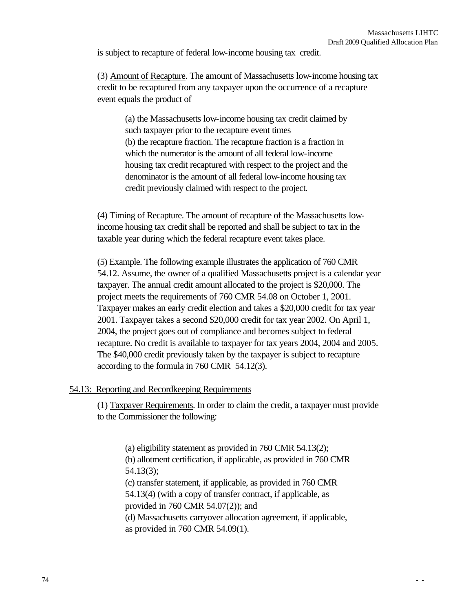is subject to recapture of federal low-income housing tax credit.

(3) Amount of Recapture. The amount of Massachusetts low-income housing tax credit to be recaptured from any taxpayer upon the occurrence of a recapture event equals the product of

(a) the Massachusetts low-income housing tax credit claimed by such taxpayer prior to the recapture event times (b) the recapture fraction. The recapture fraction is a fraction in which the numerator is the amount of all federal low-income housing tax credit recaptured with respect to the project and the denominator is the amount of all federal low-income housing tax credit previously claimed with respect to the project.

(4) Timing of Recapture. The amount of recapture of the Massachusetts lowincome housing tax credit shall be reported and shall be subject to tax in the taxable year during which the federal recapture event takes place.

(5) Example. The following example illustrates the application of 760 CMR 54.12. Assume, the owner of a qualified Massachusetts project is a calendar year taxpayer. The annual credit amount allocated to the project is \$20,000. The project meets the requirements of 760 CMR 54.08 on October 1, 2001. Taxpayer makes an early credit election and takes a \$20,000 credit for tax year 2001. Taxpayer takes a second \$20,000 credit for tax year 2002. On April 1, 2004, the project goes out of compliance and becomes subject to federal recapture. No credit is available to taxpayer for tax years 2004, 2004 and 2005. The \$40,000 credit previously taken by the taxpayer is subject to recapture according to the formula in 760 CMR 54.12(3).

# 54.13: Reporting and Recordkeeping Requirements

(1) Taxpayer Requirements. In order to claim the credit, a taxpayer must provide to the Commissioner the following:

(a) eligibility statement as provided in 760 CMR 54.13(2);

(b) allotment certification, if applicable, as provided in 760 CMR 54.13(3);

(c) transfer statement, if applicable, as provided in 760 CMR

54.13(4) (with a copy of transfer contract, if applicable, as provided in 760 CMR 54.07(2)); and

(d) Massachusetts carryover allocation agreement, if applicable, as provided in 760 CMR 54.09(1).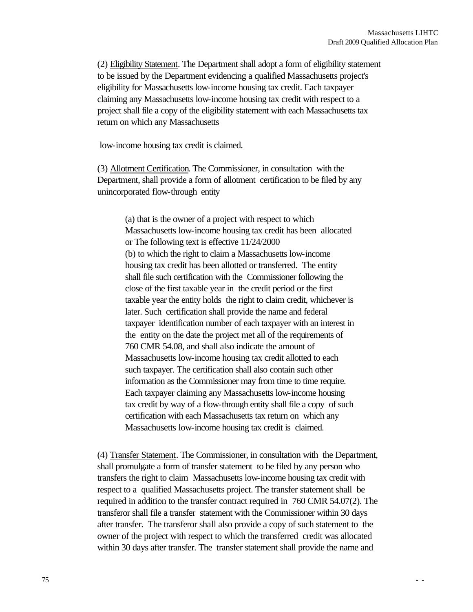(2) Eligibility Statement. The Department shall adopt a form of eligibility statement to be issued by the Department evidencing a qualified Massachusetts project's eligibility for Massachusetts low-income housing tax credit. Each taxpayer claiming any Massachusetts low-income housing tax credit with respect to a project shall file a copy of the eligibility statement with each Massachusetts tax return on which any Massachusetts

low-income housing tax credit is claimed.

(3) Allotment Certification. The Commissioner, in consultation with the Department, shall provide a form of allotment certification to be filed by any unincorporated flow-through entity

(a) that is the owner of a project with respect to which Massachusetts low-income housing tax credit has been allocated or The following text is effective 11/24/2000 (b) to which the right to claim a Massachusetts low-income housing tax credit has been allotted or transferred. The entity shall file such certification with the Commissioner following the close of the first taxable year in the credit period or the first taxable year the entity holds the right to claim credit, whichever is later. Such certification shall provide the name and federal taxpayer identification number of each taxpayer with an interest in the entity on the date the project met all of the requirements of 760 CMR 54.08, and shall also indicate the amount of Massachusetts low-income housing tax credit allotted to each such taxpayer. The certification shall also contain such other information as the Commissioner may from time to time require. Each taxpayer claiming any Massachusetts low-income housing tax credit by way of a flow-through entity shall file a copy of such certification with each Massachusetts tax return on which any Massachusetts low-income housing tax credit is claimed.

(4) Transfer Statement. The Commissioner, in consultation with the Department, shall promulgate a form of transfer statement to be filed by any person who transfers the right to claim Massachusetts low-income housing tax credit with respect to a qualified Massachusetts project. The transfer statement shall be required in addition to the transfer contract required in 760 CMR 54.07(2). The transferor shall file a transfer statement with the Commissioner within 30 days after transfer. The transferor shall also provide a copy of such statement to the owner of the project with respect to which the transferred credit was allocated within 30 days after transfer. The transfer statement shall provide the name and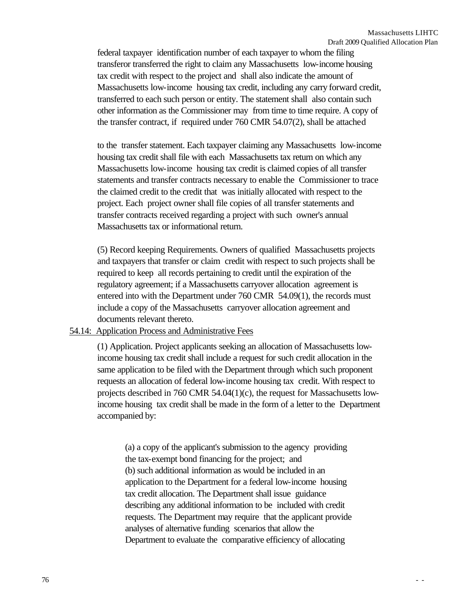federal taxpayer identification number of each taxpayer to whom the filing transferor transferred the right to claim any Massachusetts low-income housing tax credit with respect to the project and shall also indicate the amount of Massachusetts low-income housing tax credit, including any carry forward credit, transferred to each such person or entity. The statement shall also contain such other information as the Commissioner may from time to time require. A copy of the transfer contract, if required under 760 CMR 54.07(2), shall be attached

to the transfer statement. Each taxpayer claiming any Massachusetts low-income housing tax credit shall file with each Massachusetts tax return on which any Massachusetts low-income housing tax credit is claimed copies of all transfer statements and transfer contracts necessary to enable the Commissioner to trace the claimed credit to the credit that was initially allocated with respect to the project. Each project owner shall file copies of all transfer statements and transfer contracts received regarding a project with such owner's annual Massachusetts tax or informational return.

(5) Record keeping Requirements. Owners of qualified Massachusetts projects and taxpayers that transfer or claim credit with respect to such projects shall be required to keep all records pertaining to credit until the expiration of the regulatory agreement; if a Massachusetts carryover allocation agreement is entered into with the Department under 760 CMR 54.09(1), the records must include a copy of the Massachusetts carryover allocation agreement and documents relevant thereto.

#### 54.14: Application Process and Administrative Fees

(1) Application. Project applicants seeking an allocation of Massachusetts lowincome housing tax credit shall include a request for such credit allocation in the same application to be filed with the Department through which such proponent requests an allocation of federal low-income housing tax credit. With respect to projects described in 760 CMR 54.04(1)(c), the request for Massachusetts lowincome housing tax credit shall be made in the form of a letter to the Department accompanied by:

(a) a copy of the applicant's submission to the agency providing the tax-exempt bond financing for the project; and (b) such additional information as would be included in an application to the Department for a federal low-income housing tax credit allocation. The Department shall issue guidance describing any additional information to be included with credit requests. The Department may require that the applicant provide analyses of alternative funding scenarios that allow the Department to evaluate the comparative efficiency of allocating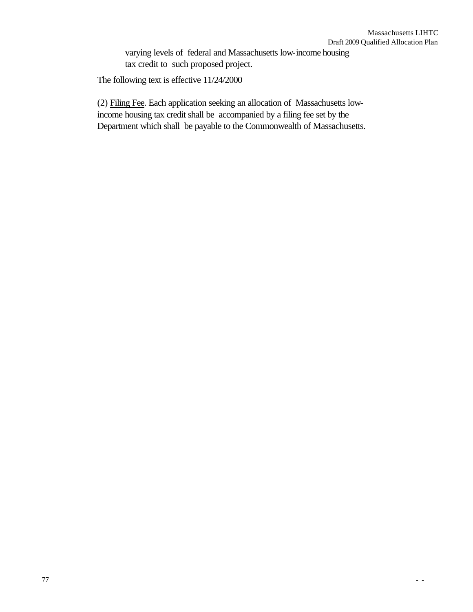varying levels of federal and Massachusetts low-income housing tax credit to such proposed project.

The following text is effective 11/24/2000

(2) Filing Fee. Each application seeking an allocation of Massachusetts lowincome housing tax credit shall be accompanied by a filing fee set by the Department which shall be payable to the Commonwealth of Massachusetts.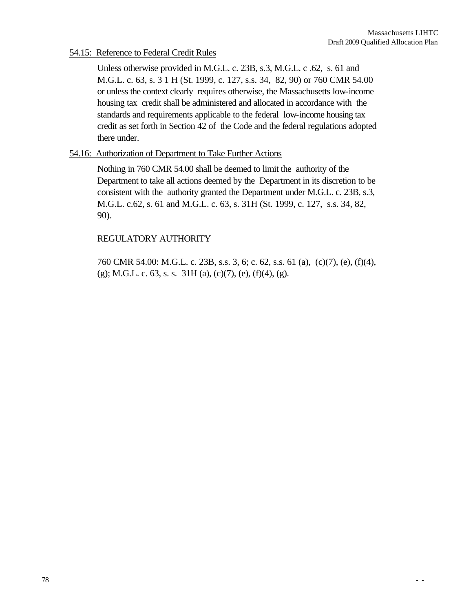# 54.15: Reference to Federal Credit Rules

Unless otherwise provided in M.G.L. c. 23B, s.3, M.G.L. c .62, s. 61 and M.G.L. c. 63, s. 3 1 H (St. 1999, c. 127, s.s. 34, 82, 90) or 760 CMR 54.00 or unless the context clearly requires otherwise, the Massachusetts low-income housing tax credit shall be administered and allocated in accordance with the standards and requirements applicable to the federal low-income housing tax credit as set forth in Section 42 of the Code and the federal regulations adopted there under.

# 54.16: Authorization of Department to Take Further Actions

Nothing in 760 CMR 54.00 shall be deemed to limit the authority of the Department to take all actions deemed by the Department in its discretion to be consistent with the authority granted the Department under M.G.L. c. 23B, s.3, M.G.L. c.62, s. 61 and M.G.L. c. 63, s. 31H (St. 1999, c. 127, s.s. 34, 82, 90).

# REGULATORY AUTHORITY

760 CMR 54.00: M.G.L. c. 23B, s.s. 3, 6; c. 62, s.s. 61 (a), (c)(7), (e), (f)(4), (g); M.G.L. c. 63, s. s.  $31H$  (a), (c)(7), (e), (f)(4), (g).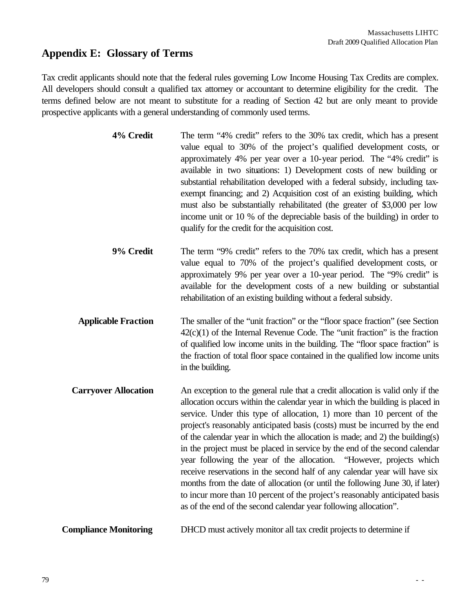# **Appendix E: Glossary of Terms**

Tax credit applicants should note that the federal rules governing Low Income Housing Tax Credits are complex. All developers should consult a qualified tax attorney or accountant to determine eligibility for the credit. The terms defined below are not meant to substitute for a reading of Section 42 but are only meant to provide prospective applicants with a general understanding of commonly used terms.

- **4% Credit** The term "4% credit" refers to the 30% tax credit, which has a present value equal to 30% of the project's qualified development costs, or approximately 4% per year over a 10-year period. The "4% credit" is available in two situations: 1) Development costs of new building or substantial rehabilitation developed with a federal subsidy, including taxexempt financing; and 2) Acquisition cost of an existing building, which must also be substantially rehabilitated (the greater of \$3,000 per low income unit or 10 % of the depreciable basis of the building) in order to qualify for the credit for the acquisition cost.
- **9% Credit** The term "9% credit" refers to the 70% tax credit, which has a present value equal to 70% of the project's qualified development costs, or approximately 9% per year over a 10-year period. The "9% credit" is available for the development costs of a new building or substantial rehabilitation of an existing building without a federal subsidy.
- **Applicable Fraction** The smaller of the "unit fraction" or the "floor space fraction" (see Section  $42(c)(1)$  of the Internal Revenue Code. The "unit fraction" is the fraction of qualified low income units in the building. The "floor space fraction" is the fraction of total floor space contained in the qualified low income units in the building.
- **Carryover Allocation** An exception to the general rule that a credit allocation is valid only if the allocation occurs within the calendar year in which the building is placed in service. Under this type of allocation, 1) more than 10 percent of the project's reasonably anticipated basis (costs) must be incurred by the end of the calendar year in which the allocation is made; and 2) the building(s) in the project must be placed in service by the end of the second calendar year following the year of the allocation. "However, projects which receive reservations in the second half of any calendar year will have six months from the date of allocation (or until the following June 30, if later) to incur more than 10 percent of the project's reasonably anticipated basis as of the end of the second calendar year following allocation".

# **Compliance Monitoring** DHCD must actively monitor all tax credit projects to determine if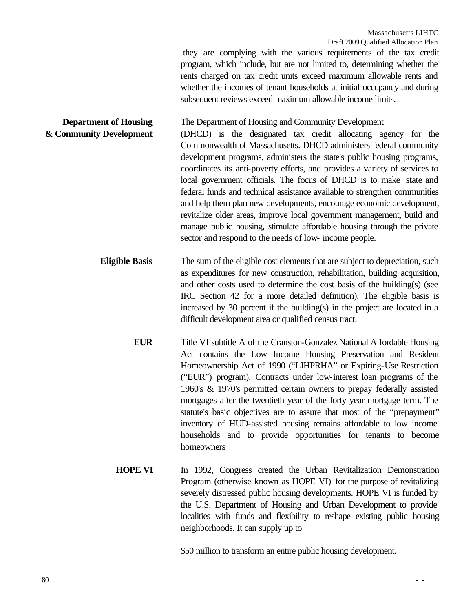they are complying with the various requirements of the tax credit program, which include, but are not limited to, determining whether the rents charged on tax credit units exceed maximum allowable rents and whether the incomes of tenant households at initial occupancy and during subsequent reviews exceed maximum allowable income limits.

**Department of Housing The Department of Housing and Community Development & Community Development** (DHCD) is the designated tax credit allocating agency for the Commonwealth of Massachusetts. DHCD administers federal community development programs, administers the state's public housing programs, coordinates its anti-poverty efforts, and provides a variety of services to local government officials. The focus of DHCD is to make state and federal funds and technical assistance available to strengthen communities and help them plan new developments, encourage economic development, revitalize older areas, improve local government management, build and manage public housing, stimulate affordable housing through the private sector and respond to the needs of low- income people.

> **Eligible Basis** The sum of the eligible cost elements that are subject to depreciation, such as expenditures for new construction, rehabilitation, building acquisition, and other costs used to determine the cost basis of the building(s) (see IRC Section 42 for a more detailed definition). The eligible basis is increased by 30 percent if the building(s) in the project are located in a difficult development area or qualified census tract.

- **EUR** Title VI subtitle A of the Cranston-Gonzalez National Affordable Housing Act contains the Low Income Housing Preservation and Resident Homeownership Act of 1990 ("LIHPRHA" or Expiring-Use Restriction ("EUR") program). Contracts under low-interest loan programs of the 1960's & 1970's permitted certain owners to prepay federally assisted mortgages after the twentieth year of the forty year mortgage term. The statute's basic objectives are to assure that most of the "prepayment" inventory of HUD-assisted housing remains affordable to low income households and to provide opportunities for tenants to become homeowners
- **HOPE VI** In 1992, Congress created the Urban Revitalization Demonstration Program (otherwise known as HOPE VI) for the purpose of revitalizing severely distressed public housing developments. HOPE VI is funded by the U.S. Department of Housing and Urban Development to provide localities with funds and flexibility to reshape existing public housing neighborhoods. It can supply up to

\$50 million to transform an entire public housing development.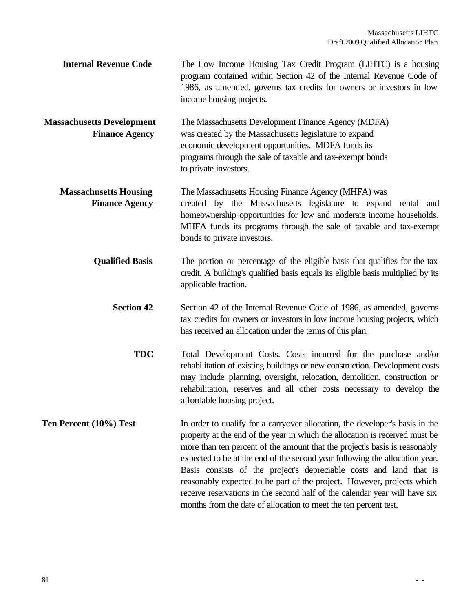| <b>Internal Revenue Code</b>                              | The Low Income Housing Tax Credit Program (LIHTC) is a housing<br>program contained within Section 42 of the Internal Revenue Code of<br>1986, as amended, governs tax credits for owners or investors in low<br>income housing projects.                                                                                                                                                                                                                                                                                                                                                                                  |
|-----------------------------------------------------------|----------------------------------------------------------------------------------------------------------------------------------------------------------------------------------------------------------------------------------------------------------------------------------------------------------------------------------------------------------------------------------------------------------------------------------------------------------------------------------------------------------------------------------------------------------------------------------------------------------------------------|
| <b>Massachusetts Development</b><br><b>Finance Agency</b> | The Massachusetts Development Finance Agency (MDFA)<br>was created by the Massachusetts legislature to expand<br>economic development opportunities. MDFA funds its<br>programs through the sale of taxable and tax-exempt bonds<br>to private investors.                                                                                                                                                                                                                                                                                                                                                                  |
| <b>Massachusetts Housing</b><br><b>Finance Agency</b>     | The Massachusetts Housing Finance Agency (MHFA) was<br>created by the Massachusetts legislature to expand rental and<br>homeownership opportunities for low and moderate income households.<br>MHFA funds its programs through the sale of taxable and tax-exempt<br>bonds to private investors.                                                                                                                                                                                                                                                                                                                           |
| <b>Qualified Basis</b>                                    | The portion or percentage of the eligible basis that qualifies for the tax<br>credit. A building's qualified basis equals its eligible basis multiplied by its<br>applicable fraction.                                                                                                                                                                                                                                                                                                                                                                                                                                     |
| <b>Section 42</b>                                         | Section 42 of the Internal Revenue Code of 1986, as amended, governs<br>tax credits for owners or investors in low income housing projects, which<br>has received an allocation under the terms of this plan.                                                                                                                                                                                                                                                                                                                                                                                                              |
| <b>TDC</b>                                                | Total Development Costs. Costs incurred for the purchase and/or<br>rehabilitation of existing buildings or new construction. Development costs<br>may include planning, oversight, relocation, demolition, construction or<br>rehabilitation, reserves and all other costs necessary to develop the<br>affordable housing project.                                                                                                                                                                                                                                                                                         |
| Ten Percent (10%) Test                                    | In order to qualify for a carryover allocation, the developer's basis in the<br>property at the end of the year in which the allocation is received must be<br>more than ten percent of the amount that the project's basis is reasonably<br>expected to be at the end of the second year following the allocation year.<br>Basis consists of the project's depreciable costs and land that is<br>reasonably expected to be part of the project. However, projects which<br>receive reservations in the second half of the calendar year will have six<br>months from the date of allocation to meet the ten percent test. |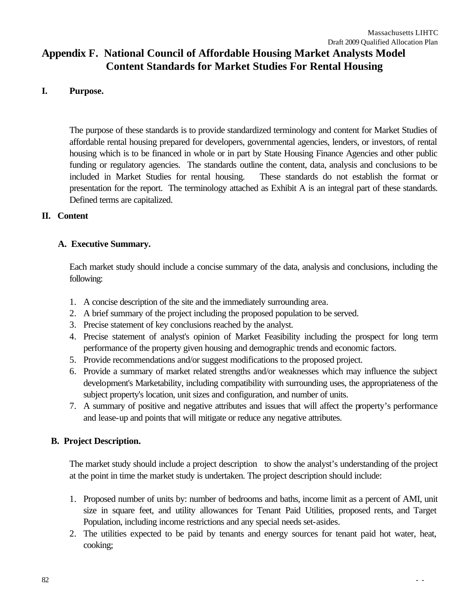Massachusetts LIHTC Draft 2009 Qualified Allocation Plan

# **Appendix F. National Council of Affordable Housing Market Analysts Model Content Standards for Market Studies For Rental Housing**

# **I. Purpose.**

The purpose of these standards is to provide standardized terminology and content for Market Studies of affordable rental housing prepared for developers, governmental agencies, lenders, or investors, of rental housing which is to be financed in whole or in part by State Housing Finance Agencies and other public funding or regulatory agencies. The standards outline the content, data, analysis and conclusions to be included in Market Studies for rental housing. These standards do not establish the format or presentation for the report. The terminology attached as Exhibit A is an integral part of these standards. Defined terms are capitalized.

# **II. Content**

# **A. Executive Summary.**

Each market study should include a concise summary of the data, analysis and conclusions, including the following:

- 1. A concise description of the site and the immediately surrounding area.
- 2. A brief summary of the project including the proposed population to be served.
- 3. Precise statement of key conclusions reached by the analyst.
- 4. Precise statement of analyst's opinion of Market Feasibility including the prospect for long term performance of the property given housing and demographic trends and economic factors.
- 5. Provide recommendations and/or suggest modifications to the proposed project.
- 6. Provide a summary of market related strengths and/or weaknesses which may influence the subject development's Marketability, including compatibility with surrounding uses, the appropriateness of the subject property's location, unit sizes and configuration, and number of units.
- 7. A summary of positive and negative attributes and issues that will affect the property's performance and lease-up and points that will mitigate or reduce any negative attributes.

# **B. Project Description.**

The market study should include a project description to show the analyst's understanding of the project at the point in time the market study is undertaken. The project description should include:

- 1. Proposed number of units by: number of bedrooms and baths, income limit as a percent of AMI, unit size in square feet, and utility allowances for Tenant Paid Utilities, proposed rents, and Target Population, including income restrictions and any special needs set-asides.
- 2. The utilities expected to be paid by tenants and energy sources for tenant paid hot water, heat, cooking;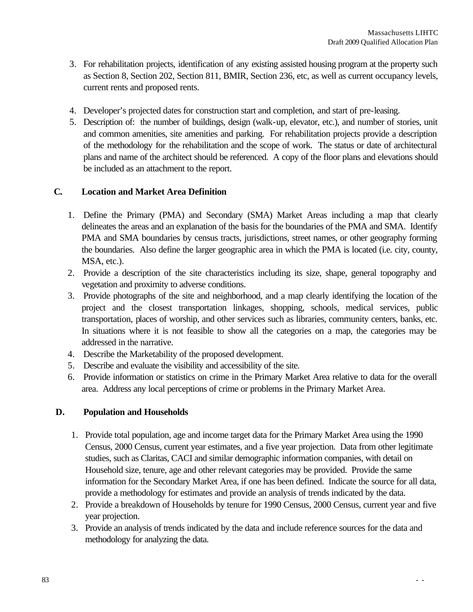- 3. For rehabilitation projects, identification of any existing assisted housing program at the property such as Section 8, Section 202, Section 811, BMIR, Section 236, etc, as well as current occupancy levels, current rents and proposed rents.
- 4. Developer's projected dates for construction start and completion, and start of pre-leasing.
- 5. Description of: the number of buildings, design (walk-up, elevator, etc.), and number of stories, unit and common amenities, site amenities and parking. For rehabilitation projects provide a description of the methodology for the rehabilitation and the scope of work. The status or date of architectural plans and name of the architect should be referenced. A copy of the floor plans and elevations should be included as an attachment to the report.

# **C. Location and Market Area Definition**

- 1. Define the Primary (PMA) and Secondary (SMA) Market Areas including a map that clearly delineates the areas and an explanation of the basis for the boundaries of the PMA and SMA. Identify PMA and SMA boundaries by census tracts, jurisdictions, street names, or other geography forming the boundaries. Also define the larger geographic area in which the PMA is located (i.e. city, county, MSA, etc.).
- 2. Provide a description of the site characteristics including its size, shape, general topography and vegetation and proximity to adverse conditions.
- 3. Provide photographs of the site and neighborhood, and a map clearly identifying the location of the project and the closest transportation linkages, shopping, schools, medical services, public transportation, places of worship, and other services such as libraries, community centers, banks, etc. In situations where it is not feasible to show all the categories on a map, the categories may be addressed in the narrative.
- 4. Describe the Marketability of the proposed development.
- 5. Describe and evaluate the visibility and accessibility of the site.
- 6. Provide information or statistics on crime in the Primary Market Area relative to data for the overall area. Address any local perceptions of crime or problems in the Primary Market Area.

# **D. Population and Households**

- 1. Provide total population, age and income target data for the Primary Market Area using the 1990 Census, 2000 Census, current year estimates, and a five year projection. Data from other legitimate studies, such as Claritas, CACI and similar demographic information companies, with detail on Household size, tenure, age and other relevant categories may be provided. Provide the same information for the Secondary Market Area, if one has been defined. Indicate the source for all data, provide a methodology for estimates and provide an analysis of trends indicated by the data.
- 2. Provide a breakdown of Households by tenure for 1990 Census, 2000 Census, current year and five year projection.
- 3. Provide an analysis of trends indicated by the data and include reference sources for the data and methodology for analyzing the data.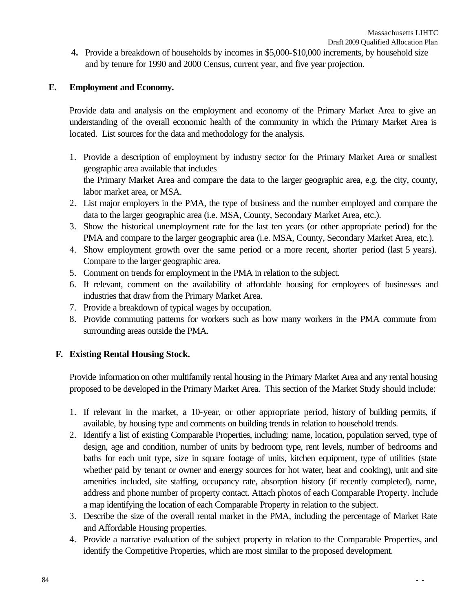**4.** Provide a breakdown of households by incomes in \$5,000-\$10,000 increments, by household size and by tenure for 1990 and 2000 Census, current year, and five year projection.

# **E. Employment and Economy.**

Provide data and analysis on the employment and economy of the Primary Market Area to give an understanding of the overall economic health of the community in which the Primary Market Area is located. List sources for the data and methodology for the analysis.

- 1. Provide a description of employment by industry sector for the Primary Market Area or smallest geographic area available that includes the Primary Market Area and compare the data to the larger geographic area, e.g. the city, county, labor market area, or MSA.
- 2. List major employers in the PMA, the type of business and the number employed and compare the data to the larger geographic area (i.e. MSA, County, Secondary Market Area, etc.).
- 3. Show the historical unemployment rate for the last ten years (or other appropriate period) for the PMA and compare to the larger geographic area (i.e. MSA, County, Secondary Market Area, etc.).
- 4. Show employment growth over the same period or a more recent, shorter period (last 5 years). Compare to the larger geographic area.
- 5. Comment on trends for employment in the PMA in relation to the subject.
- 6. If relevant, comment on the availability of affordable housing for employees of businesses and industries that draw from the Primary Market Area.
- 7. Provide a breakdown of typical wages by occupation.
- 8. Provide commuting patterns for workers such as how many workers in the PMA commute from surrounding areas outside the PMA.

# **F. Existing Rental Housing Stock.**

Provide information on other multifamily rental housing in the Primary Market Area and any rental housing proposed to be developed in the Primary Market Area. This section of the Market Study should include:

- 1. If relevant in the market, a 10-year, or other appropriate period, history of building permits, if available, by housing type and comments on building trends in relation to household trends.
- 2. Identify a list of existing Comparable Properties, including: name, location, population served, type of design, age and condition, number of units by bedroom type, rent levels, number of bedrooms and baths for each unit type, size in square footage of units, kitchen equipment, type of utilities (state whether paid by tenant or owner and energy sources for hot water, heat and cooking), unit and site amenities included, site staffing, occupancy rate, absorption history (if recently completed), name, address and phone number of property contact. Attach photos of each Comparable Property. Include a map identifying the location of each Comparable Property in relation to the subject.
- 3. Describe the size of the overall rental market in the PMA, including the percentage of Market Rate and Affordable Housing properties.
- 4. Provide a narrative evaluation of the subject property in relation to the Comparable Properties, and identify the Competitive Properties, which are most similar to the proposed development.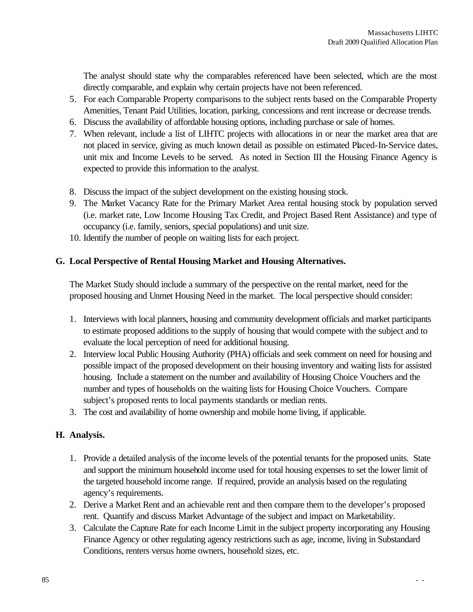The analyst should state why the comparables referenced have been selected, which are the most directly comparable, and explain why certain projects have not been referenced.

- 5. For each Comparable Property comparisons to the subject rents based on the Comparable Property Amenities, Tenant Paid Utilities, location, parking, concessions and rent increase or decrease trends.
- 6. Discuss the availability of affordable housing options, including purchase or sale of homes.
- 7. When relevant, include a list of LIHTC projects with allocations in or near the market area that are not placed in service, giving as much known detail as possible on estimated Placed-In-Service dates, unit mix and Income Levels to be served. As noted in Section III the Housing Finance Agency is expected to provide this information to the analyst.
- 8. Discuss the impact of the subject development on the existing housing stock.
- 9. The Market Vacancy Rate for the Primary Market Area rental housing stock by population served (i.e. market rate, Low Income Housing Tax Credit, and Project Based Rent Assistance) and type of occupancy (i.e. family, seniors, special populations) and unit size.
- 10. Identify the number of people on waiting lists for each project.

# **G. Local Perspective of Rental Housing Market and Housing Alternatives.**

The Market Study should include a summary of the perspective on the rental market, need for the proposed housing and Unmet Housing Need in the market. The local perspective should consider:

- 1. Interviews with local planners, housing and community development officials and market participants to estimate proposed additions to the supply of housing that would compete with the subject and to evaluate the local perception of need for additional housing.
- 2. Interview local Public Housing Authority (PHA) officials and seek comment on need for housing and possible impact of the proposed development on their housing inventory and waiting lists for assisted housing. Include a statement on the number and availability of Housing Choice Vouchers and the number and types of households on the waiting lists for Housing Choice Vouchers. Compare subject's proposed rents to local payments standards or median rents.
- 3. The cost and availability of home ownership and mobile home living, if applicable.

# **H. Analysis.**

- 1. Provide a detailed analysis of the income levels of the potential tenants for the proposed units. State and support the minimum household income used for total housing expenses to set the lower limit of the targeted household income range. If required, provide an analysis based on the regulating agency's requirements.
- 2. Derive a Market Rent and an achievable rent and then compare them to the developer's proposed rent. Quantify and discuss Market Advantage of the subject and impact on Marketability.
- 3. Calculate the Capture Rate for each Income Limit in the subject property incorporating any Housing Finance Agency or other regulating agency restrictions such as age, income, living in Substandard Conditions, renters versus home owners, household sizes, etc.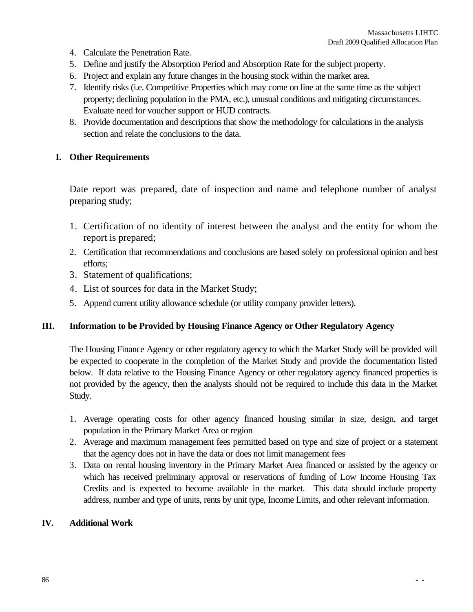- 4. Calculate the Penetration Rate.
- 5. Define and justify the Absorption Period and Absorption Rate for the subject property.
- 6. Project and explain any future changes in the housing stock within the market area.
- 7. Identify risks (i.e. Competitive Properties which may come on line at the same time as the subject property; declining population in the PMA, etc.), unusual conditions and mitigating circumstances. Evaluate need for voucher support or HUD contracts.
- 8. Provide documentation and descriptions that show the methodology for calculations in the analysis section and relate the conclusions to the data.

# **I. Other Requirements**

Date report was prepared, date of inspection and name and telephone number of analyst preparing study;

- 1. Certification of no identity of interest between the analyst and the entity for whom the report is prepared;
- 2. Certification that recommendations and conclusions are based solely on professional opinion and best efforts;
- 3. Statement of qualifications;
- 4. List of sources for data in the Market Study;
- 5. Append current utility allowance schedule (or utility company provider letters).

# **III. Information to be Provided by Housing Finance Agency or Other Regulatory Agency**

The Housing Finance Agency or other regulatory agency to which the Market Study will be provided will be expected to cooperate in the completion of the Market Study and provide the documentation listed below. If data relative to the Housing Finance Agency or other regulatory agency financed properties is not provided by the agency, then the analysts should not be required to include this data in the Market Study.

- 1. Average operating costs for other agency financed housing similar in size, design, and target population in the Primary Market Area or region
- 2. Average and maximum management fees permitted based on type and size of project or a statement that the agency does not in have the data or does not limit management fees
- 3. Data on rental housing inventory in the Primary Market Area financed or assisted by the agency or which has received preliminary approval or reservations of funding of Low Income Housing Tax Credits and is expected to become available in the market. This data should include property address, number and type of units, rents by unit type, Income Limits, and other relevant information.

# **IV. Additional Work**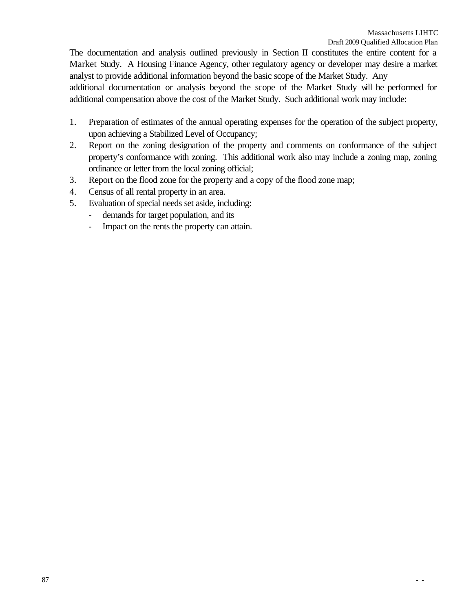The documentation and analysis outlined previously in Section II constitutes the entire content for a Market Study. A Housing Finance Agency, other regulatory agency or developer may desire a market analyst to provide additional information beyond the basic scope of the Market Study. Any

additional documentation or analysis beyond the scope of the Market Study will be performed for additional compensation above the cost of the Market Study. Such additional work may include:

- 1. Preparation of estimates of the annual operating expenses for the operation of the subject property, upon achieving a Stabilized Level of Occupancy;
- 2. Report on the zoning designation of the property and comments on conformance of the subject property's conformance with zoning. This additional work also may include a zoning map, zoning ordinance or letter from the local zoning official;
- 3. Report on the flood zone for the property and a copy of the flood zone map;
- 4. Census of all rental property in an area.
- 5. Evaluation of special needs set aside, including:
	- demands for target population, and its
	- Impact on the rents the property can attain.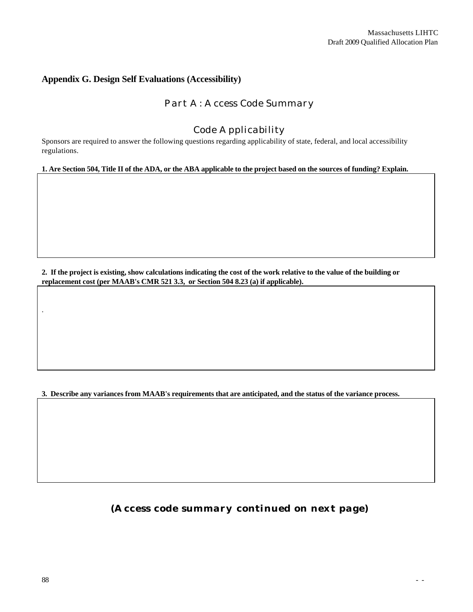# **Appendix G. Design Self Evaluations (Accessibility)**

# Part A: Access Code Summary

# Code Applicability

Sponsors are required to answer the following questions regarding applicability of state, federal, and local accessibility regulations.

#### **1. Are Section 504, Title II of the ADA, or the ABA applicable to the project based on the sources of funding? Explain.**

**2. If the project is existing, show calculations indicating the cost of the work relative to the value of the building or replacement cost (per MAAB's CMR 521 3.3, or Section 504 8.23 (a) if applicable).**

#### **3. Describe any variances from MAAB's requirements that are anticipated, and the status of the variance process.**

**(Access code summary continued on next page)**

.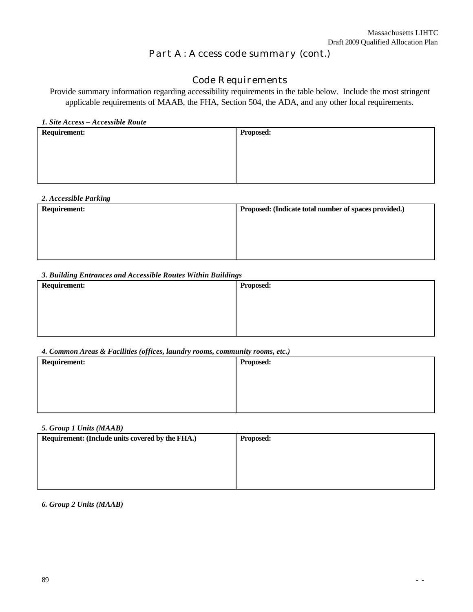# Part A: Access code summary (cont.)

# Code Requirements

Provide summary information regarding accessibility requirements in the table below. Include the most stringent applicable requirements of MAAB, the FHA, Section 504, the ADA, and any other local requirements.

#### *1. Site Access – Accessible Route*

| <b>Requirement:</b> | Proposed: |
|---------------------|-----------|
|                     |           |
|                     |           |
|                     |           |
|                     |           |

#### *2. Accessible Parking*

| <b>Requirement:</b> | Proposed: (Indicate total number of spaces provided.) |
|---------------------|-------------------------------------------------------|
|                     |                                                       |
|                     |                                                       |
|                     |                                                       |
|                     |                                                       |

#### *3. Building Entrances and Accessible Routes Within Buildings*

| <b>Requirement:</b> | <b>Proposed:</b> |
|---------------------|------------------|
|                     |                  |
|                     |                  |
|                     |                  |

#### *4. Common Areas & Facilities (offices, laundry rooms, community rooms, etc.)*

| 7. Common Artas & I acuutes (offices, taunur y rooms, community rooms, cic.) |  |  |  |
|------------------------------------------------------------------------------|--|--|--|
| <b>Proposed:</b>                                                             |  |  |  |
|                                                                              |  |  |  |
|                                                                              |  |  |  |
|                                                                              |  |  |  |
|                                                                              |  |  |  |
|                                                                              |  |  |  |
|                                                                              |  |  |  |
|                                                                              |  |  |  |
|                                                                              |  |  |  |
|                                                                              |  |  |  |

# *5. Group 1 Units (MAAB)* **Requirement: (Include units covered by the FHA.) Proposed:**

#### *6. Group 2 Units (MAAB)*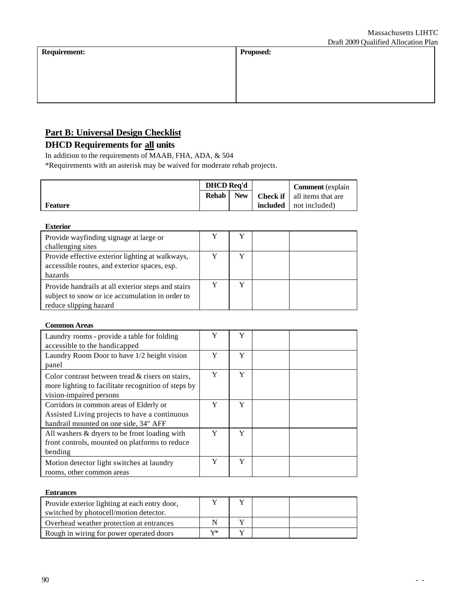| <b>Requirement:</b> | <b>Draft</b> 2009 Quanned Holeanon I<br><b>Proposed:</b> |
|---------------------|----------------------------------------------------------|
|                     |                                                          |
|                     |                                                          |
|                     |                                                          |
|                     |                                                          |

# **Part B: Universal Design Checklist**

# **DHCD Requirements for all units**

In addition to the requirements of MAAB, FHA, ADA, & 504 \*Requirements with an asterisk may be waived for moderate rehab projects.

|         | <b>DHCD Req'd</b> |            | <b>Comment</b> (explain                    |
|---------|-------------------|------------|--------------------------------------------|
|         | <b>Rehab</b>      | <b>New</b> | <b>Check if</b> $\vert$ all items that are |
| Feature |                   |            | <b>included</b> not included)              |

#### **Exterior**

| Provide wayfinding signage at large or<br>challenging sites                                                                     |  |  |
|---------------------------------------------------------------------------------------------------------------------------------|--|--|
| Provide effective exterior lighting at walkways,<br>accessible routes, and exterior spaces, esp.<br>hazards                     |  |  |
| Provide handrails at all exterior steps and stairs<br>subject to snow or ice accumulation in order to<br>reduce slipping hazard |  |  |

#### **Common Areas**

| Laundry rooms - provide a table for folding<br>accessible to the handicapped                                                       | Y | Y |  |
|------------------------------------------------------------------------------------------------------------------------------------|---|---|--|
| Laundry Room Door to have 1/2 height vision<br>panel                                                                               | Y | Y |  |
| Color contrast between tread & risers on stairs,<br>more lighting to facilitate recognition of steps by<br>vision-impaired persons | Y | Y |  |
| Corridors in common areas of Elderly or<br>Assisted Living projects to have a continuous<br>handrail mounted on one side, 34" AFF  | Y | Y |  |
| All washers & dryers to be front loading with<br>front controls, mounted on platforms to reduce<br>bending                         | Y | Y |  |
| Motion detector light switches at laundry<br>rooms, other common areas                                                             | Y | Y |  |

#### **Entrances**

| Provide exterior lighting at each entry door,<br>switched by photocell/motion detector. |    |  |  |
|-----------------------------------------------------------------------------------------|----|--|--|
| Overhead weather protection at entrances                                                |    |  |  |
| Rough in wiring for power operated doors                                                | V* |  |  |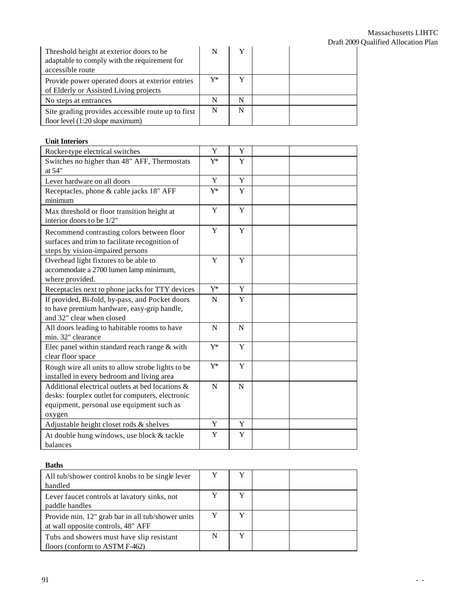| Threshold height at exterior doors to be<br>adaptable to comply with the requirement for<br>accessible route |    |   |  |
|--------------------------------------------------------------------------------------------------------------|----|---|--|
| Provide power operated doors at exterior entries<br>of Elderly or Assisted Living projects                   | V* |   |  |
| No steps at entrances                                                                                        | N  | N |  |
| Site grading provides accessible route up to first<br>floor level $(1:20$ slope maximum)                     |    | N |  |

#### **Unit Interiors**

| Rocker-type electrical switches                   | Y           | Y         |  |
|---------------------------------------------------|-------------|-----------|--|
| Switches no higher than 48" AFF, Thermostats      | $Y^*$       | Y         |  |
| at 54"                                            |             |           |  |
| Lever hardware on all doors                       | Y           | Y         |  |
| Receptacles, phone & cable jacks 18" AFF          | $Y^*$       | Y         |  |
| minimum                                           |             |           |  |
| Max threshold or floor transition height at       | Y           | Y         |  |
| interior doors to be 1/2"                         |             |           |  |
| Recommend contrasting colors between floor        | Y           | Y         |  |
| surfaces and trim to facilitate recognition of    |             |           |  |
| steps by vision-impaired persons                  |             |           |  |
| Overhead light fixtures to be able to             | Y           | Y         |  |
| accommodate a 2700 lumen lamp minimum,            |             |           |  |
| where provided.                                   |             |           |  |
| Receptacles next to phone jacks for TTY devices   | $Y^*$       | Y         |  |
| If provided, Bi-fold, by-pass, and Pocket doors   | $\mathbf N$ | Y         |  |
| to have premium hardware, easy-grip handle,       |             |           |  |
| and 32" clear when closed                         |             |           |  |
| All doors leading to habitable rooms to have      | N           | N         |  |
| min. 32" clearance                                |             |           |  |
| Elec panel within standard reach range $&$ with   | $Y^*$       | Y         |  |
| clear floor space                                 |             |           |  |
| Rough wire all units to allow strobe lights to be | $Y^*$       | Y         |  |
| installed in every bedroom and living area        |             |           |  |
| Additional electrical outlets at bed locations &  | $\mathbf N$ | ${\bf N}$ |  |
| desks: fourplex outlet for computers, electronic  |             |           |  |
| equipment, personal use equipment such as         |             |           |  |
| oxygen                                            |             |           |  |
| Adjustable height closet rods & shelves           | Y           | Y         |  |
| At double hung windows, use block & tackle        | Y           | Y         |  |
| balances                                          |             |           |  |

#### **Baths**

| All tub/shower control knobs to be single lever<br>handled                              |  |  |
|-----------------------------------------------------------------------------------------|--|--|
| Lever faucet controls at lavatory sinks, not<br>paddle handles                          |  |  |
| Provide min. 12" grab bar in all tub/shower units<br>at wall opposite controls, 48" AFF |  |  |
| Tubs and showers must have slip resistant<br>floors (conform to ASTM F-462)             |  |  |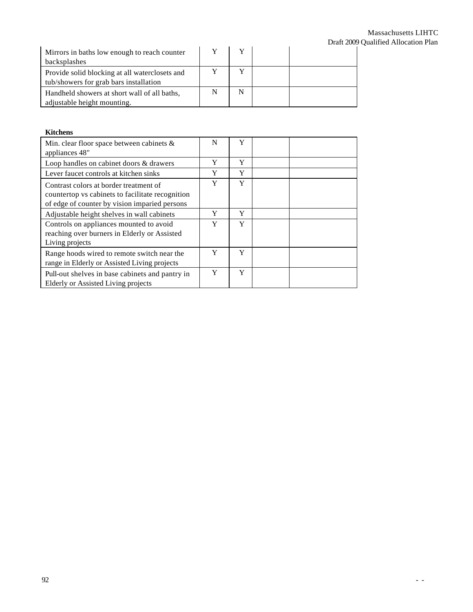#### Massachusetts LIHTC Draft 2009 Qualified Allocation Plan

| Mirrors in baths low enough to reach counter<br>backsplashes                             |   |  |
|------------------------------------------------------------------------------------------|---|--|
| Provide solid blocking at all waterclosets and<br>tub/showers for grab bars installation |   |  |
| Handheld showers at short wall of all baths,<br>adjustable height mounting.              | N |  |

#### **Kitchens**

| Min. clear floor space between cabinets $\&$<br>appliances 48"                                                                              | N | Y |  |
|---------------------------------------------------------------------------------------------------------------------------------------------|---|---|--|
| Loop handles on cabinet doors & drawers                                                                                                     | Y | Y |  |
| Lever faucet controls at kitchen sinks                                                                                                      | Y | Y |  |
| Contrast colors at border treatment of<br>countertop vs cabinets to facilitate recognition<br>of edge of counter by vision imparied persons | Y | Y |  |
| Adjustable height shelves in wall cabinets                                                                                                  | Y | Y |  |
| Controls on appliances mounted to avoid<br>reaching over burners in Elderly or Assisted<br>Living projects                                  | Y | Y |  |
| Range hoods wired to remote switch near the<br>range in Elderly or Assisted Living projects                                                 | Y | Y |  |
| Pull-out shelves in base cabinets and pantry in<br>Elderly or Assisted Living projects                                                      | Y | Y |  |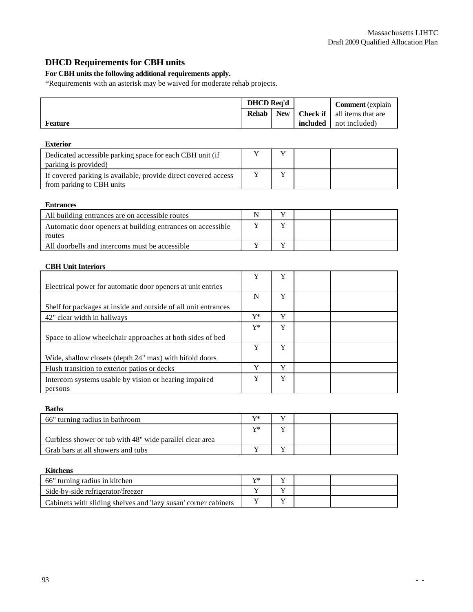# **DHCD Requirements for CBH units**

#### **For CBH units the following additional requirements apply.**

\*Requirements with an asterisk may be waived for moderate rehab projects.

|         | <b>DHCD Rea'd</b> |            | <b>Comment</b> (explain            |
|---------|-------------------|------------|------------------------------------|
|         | <b>Rehab</b>      | <b>New</b> | <b>Check if</b> all items that are |
| Feature |                   |            | <b>included</b>   not included)    |
|         |                   |            |                                    |

#### **Exterior**  Dedicated accessible parking space for each CBH unit (if parking is provided) Y Y If covered parking is available, provide direct covered access from parking to CBH units Y Y

#### **Entrances**

| All building entrances are on accessible routes            |  |  |
|------------------------------------------------------------|--|--|
| Automatic door openers at building entrances on accessible |  |  |
| routes                                                     |  |  |
| All doorbells and intercoms must be accessible             |  |  |

#### **CBH Unit Interiors**

|                                                                | Y  | Y |  |
|----------------------------------------------------------------|----|---|--|
| Electrical power for automatic door openers at unit entries    |    |   |  |
|                                                                | N  | Y |  |
| Shelf for packages at inside and outside of all unit entrances |    |   |  |
| 42" clear width in hallways                                    | Y* | Y |  |
|                                                                | Y* | Y |  |
| Space to allow wheelchair approaches at both sides of bed      |    |   |  |
|                                                                | Y  | Y |  |
| Wide, shallow closets (depth 24" max) with bifold doors        |    |   |  |
| Flush transition to exterior patios or decks                   | v  | v |  |
| Intercom systems usable by vision or hearing impaired          | v  | Y |  |
| persons                                                        |    |   |  |

#### **Baths**

| 66" turning radius in bathroom                           | $V^*$ |  |  |
|----------------------------------------------------------|-------|--|--|
|                                                          | V*    |  |  |
| Curbless shower or tub with 48" wide parallel clear area |       |  |  |
| Grab bars at all showers and tubs                        |       |  |  |

#### **Kitchens**

| 66" turning radius in kitchen                                  | $\nabla^*$ |  |  |
|----------------------------------------------------------------|------------|--|--|
| Side-by-side refrigerator/freezer                              |            |  |  |
| Cabinets with sliding shelves and 'lazy susan' corner cabinets |            |  |  |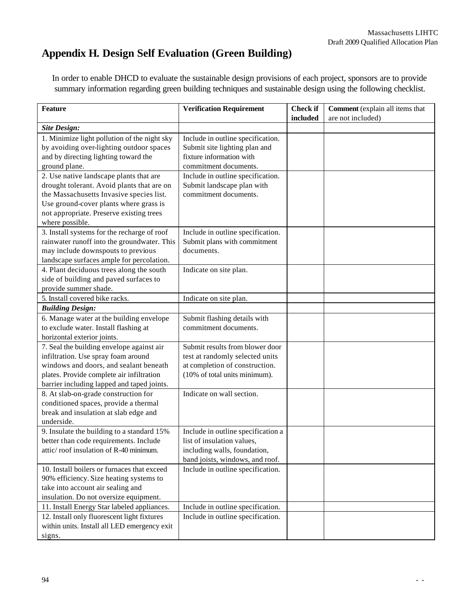# **Appendix H. Design Self Evaluation (Green Building)**

In order to enable DHCD to evaluate the sustainable design provisions of each project, sponsors are to provide summary information regarding green building techniques and sustainable design using the following checklist.

| <b>Feature</b>                                                                                                                                                                                                                             | <b>Verification Requirement</b>                                                                                                       | <b>Check if</b><br>included | <b>Comment</b> (explain all items that<br>are not included) |
|--------------------------------------------------------------------------------------------------------------------------------------------------------------------------------------------------------------------------------------------|---------------------------------------------------------------------------------------------------------------------------------------|-----------------------------|-------------------------------------------------------------|
| <b>Site Design:</b>                                                                                                                                                                                                                        |                                                                                                                                       |                             |                                                             |
| 1. Minimize light pollution of the night sky<br>by avoiding over-lighting outdoor spaces<br>and by directing lighting toward the<br>ground plane.                                                                                          | Include in outline specification.<br>Submit site lighting plan and<br>fixture information with<br>commitment documents.               |                             |                                                             |
| 2. Use native landscape plants that are<br>drought tolerant. Avoid plants that are on<br>the Massachusetts Invasive species list.<br>Use ground-cover plants where grass is<br>not appropriate. Preserve existing trees<br>where possible. | Include in outline specification.<br>Submit landscape plan with<br>commitment documents.                                              |                             |                                                             |
| 3. Install systems for the recharge of roof<br>rainwater runoff into the groundwater. This<br>may include downspouts to previous<br>landscape surfaces ample for percolation.                                                              | Include in outline specification.<br>Submit plans with commitment<br>documents.                                                       |                             |                                                             |
| 4. Plant deciduous trees along the south<br>side of building and paved surfaces to<br>provide summer shade.                                                                                                                                | Indicate on site plan.                                                                                                                |                             |                                                             |
| 5. Install covered bike racks.                                                                                                                                                                                                             | Indicate on site plan.                                                                                                                |                             |                                                             |
| <b>Building Design:</b>                                                                                                                                                                                                                    |                                                                                                                                       |                             |                                                             |
| 6. Manage water at the building envelope<br>to exclude water. Install flashing at<br>horizontal exterior joints.                                                                                                                           | Submit flashing details with<br>commitment documents.                                                                                 |                             |                                                             |
| 7. Seal the building envelope against air<br>infiltration. Use spray foam around<br>windows and doors, and sealant beneath<br>plates. Provide complete air infiltration<br>barrier including lapped and taped joints.                      | Submit results from blower door<br>test at randomly selected units<br>at completion of construction.<br>(10% of total units minimum). |                             |                                                             |
| 8. At slab-on-grade construction for<br>conditioned spaces, provide a thermal<br>break and insulation at slab edge and<br>underside.                                                                                                       | Indicate on wall section.                                                                                                             |                             |                                                             |
| 9. Insulate the building to a standard 15%<br>better than code requirements. Include<br>attic/roof insulation of R-40 minimum.                                                                                                             | Include in outline specification a<br>list of insulation values,<br>including walls, foundation,<br>band joists, windows, and roof.   |                             |                                                             |
| 10. Install boilers or furnaces that exceed<br>90% efficiency. Size heating systems to<br>take into account air sealing and<br>insulation. Do not oversize equipment.                                                                      | Include in outline specification.                                                                                                     |                             |                                                             |
| 11. Install Energy Star labeled appliances.                                                                                                                                                                                                | Include in outline specification.                                                                                                     |                             |                                                             |
| 12. Install only fluorescent light fixtures<br>within units. Install all LED emergency exit<br>signs.                                                                                                                                      | Include in outline specification.                                                                                                     |                             |                                                             |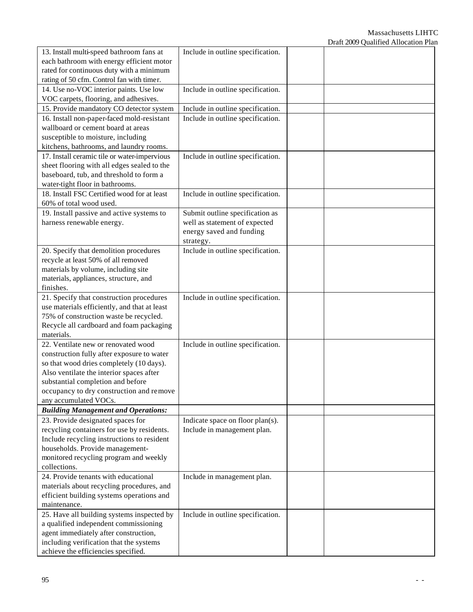| 13. Install multi-speed bathroom fans at                                       | Include in outline specification.                         |  |
|--------------------------------------------------------------------------------|-----------------------------------------------------------|--|
| each bathroom with energy efficient motor                                      |                                                           |  |
| rated for continuous duty with a minimum                                       |                                                           |  |
| rating of 50 cfm. Control fan with timer.                                      |                                                           |  |
| 14. Use no-VOC interior paints. Use low                                        | Include in outline specification.                         |  |
| VOC carpets, flooring, and adhesives.                                          |                                                           |  |
| 15. Provide mandatory CO detector system                                       | Include in outline specification.                         |  |
| 16. Install non-paper-faced mold-resistant                                     | Include in outline specification.                         |  |
| wallboard or cement board at areas                                             |                                                           |  |
| susceptible to moisture, including                                             |                                                           |  |
| kitchens, bathrooms, and laundry rooms.                                        |                                                           |  |
| 17. Install ceramic tile or water-impervious                                   | Include in outline specification.                         |  |
| sheet flooring with all edges sealed to the                                    |                                                           |  |
| baseboard, tub, and threshold to form a                                        |                                                           |  |
| water-tight floor in bathrooms.                                                |                                                           |  |
| 18. Install FSC Certified wood for at least<br>60% of total wood used.         | Include in outline specification.                         |  |
|                                                                                |                                                           |  |
| 19. Install passive and active systems to                                      | Submit outline specification as                           |  |
| harness renewable energy.                                                      | well as statement of expected<br>energy saved and funding |  |
|                                                                                | strategy.                                                 |  |
| 20. Specify that demolition procedures                                         | Include in outline specification.                         |  |
| recycle at least 50% of all removed                                            |                                                           |  |
| materials by volume, including site                                            |                                                           |  |
| materials, appliances, structure, and                                          |                                                           |  |
| finishes.                                                                      |                                                           |  |
| 21. Specify that construction procedures                                       | Include in outline specification.                         |  |
| use materials efficiently, and that at least                                   |                                                           |  |
| 75% of construction waste be recycled.                                         |                                                           |  |
| Recycle all cardboard and foam packaging                                       |                                                           |  |
| materials.                                                                     |                                                           |  |
| 22. Ventilate new or renovated wood                                            | Include in outline specification.                         |  |
| construction fully after exposure to water                                     |                                                           |  |
| so that wood dries completely (10 days).                                       |                                                           |  |
| Also ventilate the interior spaces after                                       |                                                           |  |
| substantial completion and before                                              |                                                           |  |
| occupancy to dry construction and remove                                       |                                                           |  |
| any accumulated VOCs.                                                          |                                                           |  |
| <b>Building Management and Operations:</b>                                     |                                                           |  |
| 23. Provide designated spaces for                                              | Indicate space on floor plan(s).                          |  |
| recycling containers for use by residents.                                     | Include in management plan.                               |  |
| Include recycling instructions to resident                                     |                                                           |  |
| households. Provide management-                                                |                                                           |  |
| monitored recycling program and weekly                                         |                                                           |  |
| collections.                                                                   |                                                           |  |
| 24. Provide tenants with educational                                           | Include in management plan.                               |  |
| materials about recycling procedures, and                                      |                                                           |  |
| efficient building systems operations and                                      |                                                           |  |
| maintenance.                                                                   |                                                           |  |
| 25. Have all building systems inspected by                                     | Include in outline specification.                         |  |
| a qualified independent commissioning<br>agent immediately after construction, |                                                           |  |
| including verification that the systems                                        |                                                           |  |
| achieve the efficiencies specified.                                            |                                                           |  |
|                                                                                |                                                           |  |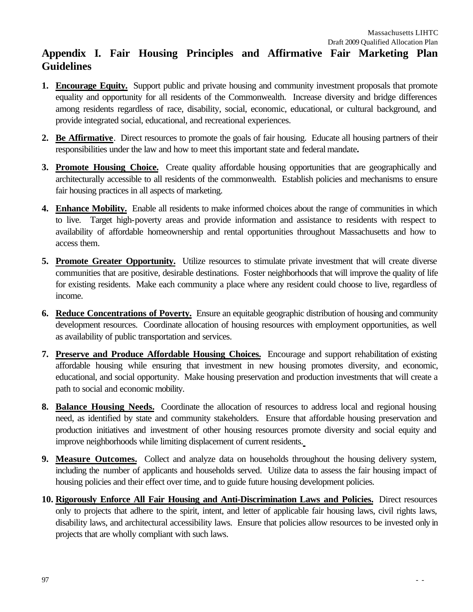Draft 2009 Qualified Allocation Plan

# **Appendix I. Fair Housing Principles and Affirmative Fair Marketing Plan Guidelines**

- **1. Encourage Equity.** Support public and private housing and community investment proposals that promote equality and opportunity for all residents of the Commonwealth. Increase diversity and bridge differences among residents regardless of race, disability, social, economic, educational, or cultural background, and provide integrated social, educational, and recreational experiences.
- **2. Be Affirmative**. Direct resources to promote the goals of fair housing. Educate all housing partners of their responsibilities under the law and how to meet this important state and federal mandate**.**
- **3. Promote Housing Choice.** Create quality affordable housing opportunities that are geographically and architecturally accessible to all residents of the commonwealth. Establish policies and mechanisms to ensure fair housing practices in all aspects of marketing.
- **4. Enhance Mobility.** Enable all residents to make informed choices about the range of communities in which to live. Target high-poverty areas and provide information and assistance to residents with respect to availability of affordable homeownership and rental opportunities throughout Massachusetts and how to access them.
- **5. Promote Greater Opportunity.** Utilize resources to stimulate private investment that will create diverse communities that are positive, desirable destinations. Foster neighborhoods that will improve the quality of life for existing residents. Make each community a place where any resident could choose to live, regardless of income.
- **6. Reduce Concentrations of Poverty.** Ensure an equitable geographic distribution of housing and community development resources. Coordinate allocation of housing resources with employment opportunities, as well as availability of public transportation and services.
- **7. Preserve and Produce Affordable Housing Choices.** Encourage and support rehabilitation of existing affordable housing while ensuring that investment in new housing promotes diversity, and economic, educational, and social opportunity. Make housing preservation and production investments that will create a path to social and economic mobility.
- **8. Balance Housing Needs.** Coordinate the allocation of resources to address local and regional housing need, as identified by state and community stakeholders. Ensure that affordable housing preservation and production initiatives and investment of other housing resources promote diversity and social equity and improve neighborhoods while limiting displacement of current residents.
- **9. Measure Outcomes.** Collect and analyze data on households throughout the housing delivery system, including the number of applicants and households served. Utilize data to assess the fair housing impact of housing policies and their effect over time, and to guide future housing development policies.
- **10. Rigorously Enforce All Fair Housing and Anti-Discrimination Laws and Policies.** Direct resources only to projects that adhere to the spirit, intent, and letter of applicable fair housing laws, civil rights laws, disability laws, and architectural accessibility laws. Ensure that policies allow resources to be invested only in projects that are wholly compliant with such laws.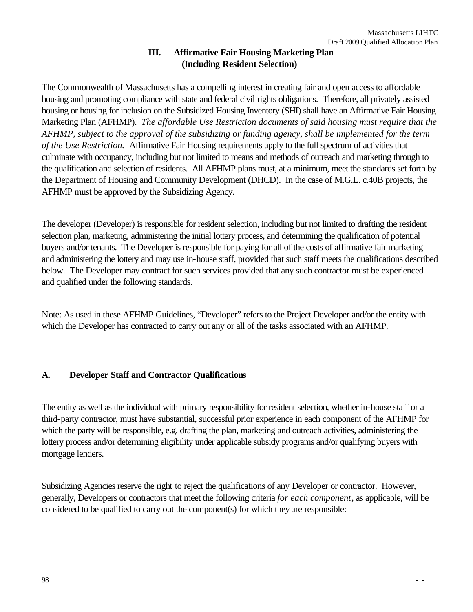# **III. Affirmative Fair Housing Marketing Plan (Including Resident Selection)**

The Commonwealth of Massachusetts has a compelling interest in creating fair and open access to affordable housing and promoting compliance with state and federal civil rights obligations. Therefore, all privately assisted housing or housing for inclusion on the Subsidized Housing Inventory (SHI) shall have an Affirmative Fair Housing Marketing Plan (AFHMP). *The affordable Use Restriction documents of said housing must require that the AFHMP, subject to the approval of the subsidizing or funding agency, shall be implemented for the term of the Use Restriction.* Affirmative Fair Housing requirements apply to the full spectrum of activities that culminate with occupancy, including but not limited to means and methods of outreach and marketing through to the qualification and selection of residents. All AFHMP plans must, at a minimum, meet the standards set forth by the Department of Housing and Community Development (DHCD). In the case of M.G.L. c.40B projects, the AFHMP must be approved by the Subsidizing Agency.

The developer (Developer) is responsible for resident selection, including but not limited to drafting the resident selection plan, marketing, administering the initial lottery process, and determining the qualification of potential buyers and/or tenants. The Developer is responsible for paying for all of the costs of affirmative fair marketing and administering the lottery and may use in-house staff, provided that such staff meets the qualifications described below. The Developer may contract for such services provided that any such contractor must be experienced and qualified under the following standards.

Note: As used in these AFHMP Guidelines, "Developer" refers to the Project Developer and/or the entity with which the Developer has contracted to carry out any or all of the tasks associated with an AFHMP.

# **A. Developer Staff and Contractor Qualifications**

The entity as well as the individual with primary responsibility for resident selection, whether in-house staff or a third-party contractor, must have substantial, successful prior experience in each component of the AFHMP for which the party will be responsible, e.g. drafting the plan, marketing and outreach activities, administering the lottery process and/or determining eligibility under applicable subsidy programs and/or qualifying buyers with mortgage lenders.

Subsidizing Agencies reserve the right to reject the qualifications of any Developer or contractor. However, generally, Developers or contractors that meet the following criteria *for each component*, as applicable, will be considered to be qualified to carry out the component(s) for which they are responsible: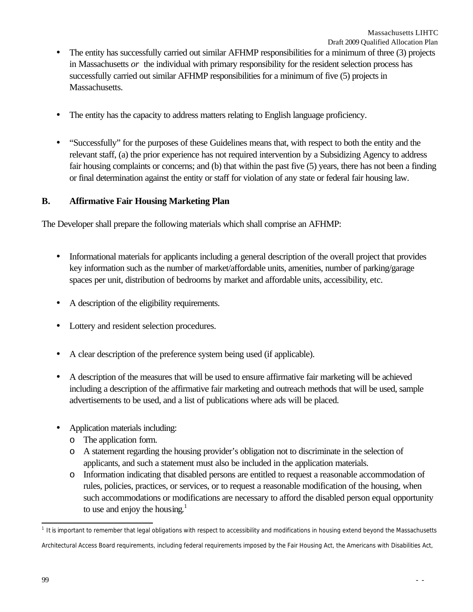- The entity has successfully carried out similar AFHMP responsibilities for a minimum of three (3) projects in Massachusetts *or* the individual with primary responsibility for the resident selection process has successfully carried out similar AFHMP responsibilities for a minimum of five (5) projects in Massachusetts.
- The entity has the capacity to address matters relating to English language proficiency.
- "Successfully" for the purposes of these Guidelines means that, with respect to both the entity and the relevant staff, (a) the prior experience has not required intervention by a Subsidizing Agency to address fair housing complaints or concerns; and (b) that within the past five (5) years, there has not been a finding or final determination against the entity or staff for violation of any state or federal fair housing law.

# **B. Affirmative Fair Housing Marketing Plan**

The Developer shall prepare the following materials which shall comprise an AFHMP:

- Informational materials for applicants including a general description of the overall project that provides key information such as the number of market/affordable units, amenities, number of parking/garage spaces per unit, distribution of bedrooms by market and affordable units, accessibility, etc.
- A description of the eligibility requirements.
- Lottery and resident selection procedures.
- A clear description of the preference system being used (if applicable).
- A description of the measures that will be used to ensure affirmative fair marketing will be achieved including a description of the affirmative fair marketing and outreach methods that will be used, sample advertisements to be used, and a list of publications where ads will be placed.
- Application materials including:
	- o The application form.
	- o A statement regarding the housing provider's obligation not to discriminate in the selection of applicants, and such a statement must also be included in the application materials.
	- o Information indicating that disabled persons are entitled to request a reasonable accommodation of rules, policies, practices, or services, or to request a reasonable modification of the housing, when such accommodations or modifications are necessary to afford the disabled person equal opportunity to use and enjoy the housing.<sup>1</sup>

l

<sup>&</sup>lt;sup>1</sup> It is important to remember that legal obligations with respect to accessibility and modifications in housing extend beyond the Massachusetts

Architectural Access Board requirements, including federal requirements imposed by the Fair Housing Act, the Americans with Disabilities Act,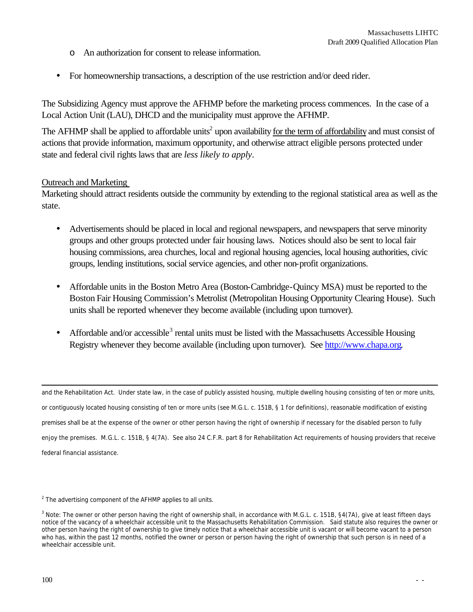- o An authorization for consent to release information.
- For homeownership transactions, a description of the use restriction and/or deed rider.

The Subsidizing Agency must approve the AFHMP before the marketing process commences. In the case of a Local Action Unit (LAU), DHCD and the municipality must approve the AFHMP.

The AFHMP shall be applied to affordable units<sup>2</sup> upon availability for the term of affordability and must consist of actions that provide information, maximum opportunity, and otherwise attract eligible persons protected under state and federal civil rights laws that are *less likely to apply*.

#### Outreach and Marketing

Marketing should attract residents outside the community by extending to the regional statistical area as well as the state.

- Advertisements should be placed in local and regional newspapers, and newspapers that serve minority groups and other groups protected under fair housing laws. Notices should also be sent to local fair housing commissions, area churches, local and regional housing agencies, local housing authorities, civic groups, lending institutions, social service agencies, and other non-profit organizations.
- Affordable units in the Boston Metro Area (Boston-Cambridge-Quincy MSA) must be reported to the Boston Fair Housing Commission's Metrolist (Metropolitan Housing Opportunity Clearing House). Such units shall be reported whenever they become available (including upon turnover).
- Affordable and/or accessible<sup>3</sup> rental units must be listed with the Massachusetts Accessible Housing Registry whenever they become available (including upon turnover). See http://www.chapa.org.

and the Rehabilitation Act. Under state law, in the case of publicly assisted housing, multiple dwelling housing consisting of ten or more units, or contiguously located housing consisting of ten or more units (see M.G.L. c. 151B, § 1 for definitions), reasonable modification of existing premises shall *be at the expense of the owner* or other person having the right of ownership if necessary for the disabled person to fully enjoy the premises. M.G.L. c. 151B, § 4(7A). See also 24 C.F.R. part 8 for Rehabilitation Act requirements of housing providers that receive federal financial assistance.

l

 $2$  The advertising component of the AFHMP applies to all units.

 $3$  Note: The owner or other person having the right of ownership shall, in accordance with M.G.L. c. 151B, §4(7A), give at least fifteen days notice of the vacancy of a wheelchair accessible unit to the Massachusetts Rehabilitation Commission. Said statute also requires the owner or other person having the right of ownership to give timely notice that a wheelchair accessible unit is vacant or will become vacant to a person who has, within the past 12 months, notified the owner or person or person having the right of ownership that such person is in need of a wheelchair accessible unit.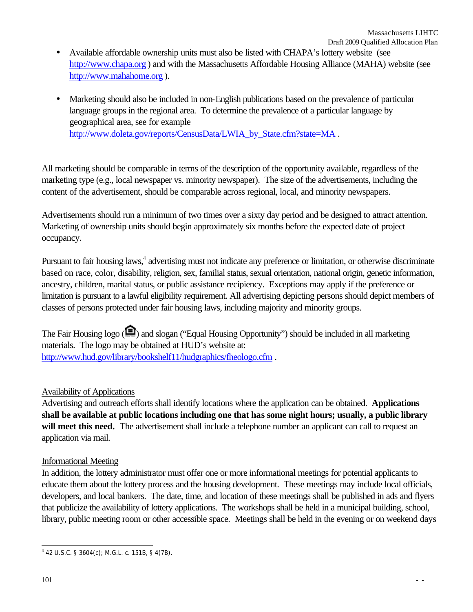- Available affordable ownership units must also be listed with CHAPA's lottery website (see http://www.chapa.org ) and with the Massachusetts Affordable Housing Alliance (MAHA) website (see http://www.mahahome.org ).
- Marketing should also be included in non-English publications based on the prevalence of particular language groups in the regional area. To determine the prevalence of a particular language by geographical area, see for example http://www.doleta.gov/reports/CensusData/LWIA\_by\_State.cfm?state=MA.

All marketing should be comparable in terms of the description of the opportunity available, regardless of the marketing type (e.g., local newspaper vs. minority newspaper). The size of the advertisements, including the content of the advertisement, should be comparable across regional, local, and minority newspapers.

Advertisements should run a minimum of two times over a sixty day period and be designed to attract attention. Marketing of ownership units should begin approximately six months before the expected date of project occupancy.

Pursuant to fair housing laws,<sup>4</sup> advertising must not indicate any preference or limitation, or otherwise discriminate based on race, color, disability, religion, sex, familial status, sexual orientation, national origin, genetic information, ancestry, children, marital status, or public assistance recipiency. Exceptions may apply if the preference or limitation is pursuant to a lawful eligibility requirement. All advertising depicting persons should depict members of classes of persons protected under fair housing laws, including majority and minority groups.

The Fair Housing  $logo$  ( $\bigcirc$ ) and slogan ("Equal Housing Opportunity") should be included in all marketing materials. The logo may be obtained at HUD's website at: http://www.hud.gov/library/bookshelf11/hudgraphics/fheologo.cfm .

# Availability of Applications

Advertising and outreach efforts shall identify locations where the application can be obtained. **Applications shall be available at public locations including one that has some night hours; usually, a public library will meet this need.** The advertisement shall include a telephone number an applicant can call to request an application via mail.

# Informational Meeting

In addition, the lottery administrator must offer one or more informational meetings for potential applicants to educate them about the lottery process and the housing development. These meetings may include local officials, developers, and local bankers. The date, time, and location of these meetings shall be published in ads and flyers that publicize the availability of lottery applications. The workshops shall be held in a municipal building, school, library, public meeting room or other accessible space. Meetings shall be held in the evening or on weekend days

l 4 42 U.S.C. § 3604(c); M.G.L. c. 151B, § 4(7B).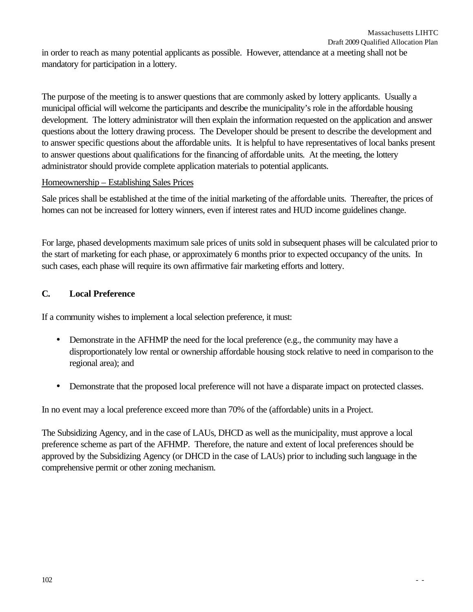in order to reach as many potential applicants as possible. However, attendance at a meeting shall not be mandatory for participation in a lottery.

The purpose of the meeting is to answer questions that are commonly asked by lottery applicants. Usually a municipal official will welcome the participants and describe the municipality's role in the affordable housing development. The lottery administrator will then explain the information requested on the application and answer questions about the lottery drawing process. The Developer should be present to describe the development and to answer specific questions about the affordable units. It is helpful to have representatives of local banks present to answer questions about qualifications for the financing of affordable units. At the meeting, the lottery administrator should provide complete application materials to potential applicants.

# Homeownership – Establishing Sales Prices

Sale prices shall be established at the time of the initial marketing of the affordable units. Thereafter, the prices of homes can not be increased for lottery winners, even if interest rates and HUD income guidelines change.

For large, phased developments maximum sale prices of units sold in subsequent phases will be calculated prior to the start of marketing for each phase, or approximately 6 months prior to expected occupancy of the units. In such cases, each phase will require its own affirmative fair marketing efforts and lottery.

# **C. Local Preference**

If a community wishes to implement a local selection preference, it must:

- Demonstrate in the AFHMP the need for the local preference (e.g., the community may have a disproportionately low rental or ownership affordable housing stock relative to need in comparison to the regional area); and
- Demonstrate that the proposed local preference will not have a disparate impact on protected classes.

In no event may a local preference exceed more than 70% of the (affordable) units in a Project.

The Subsidizing Agency, and in the case of LAUs, DHCD as well as the municipality, must approve a local preference scheme as part of the AFHMP. Therefore, the nature and extent of local preferences should be approved by the Subsidizing Agency (or DHCD in the case of LAUs) prior to including such language in the comprehensive permit or other zoning mechanism.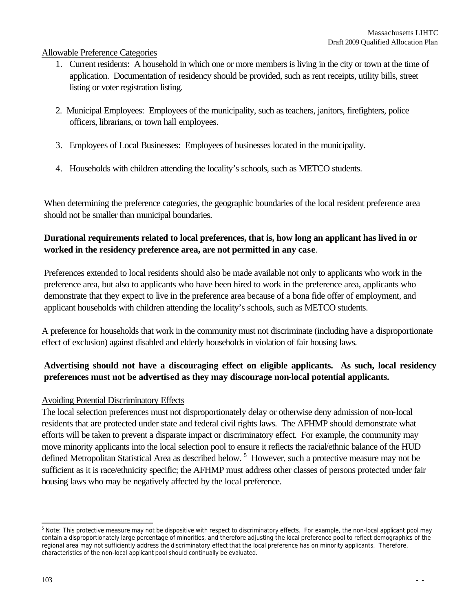# Allowable Preference Categories

- 1. Current residents: A household in which one or more members is living in the city or town at the time of application. Documentation of residency should be provided, such as rent receipts, utility bills, street listing or voter registration listing.
- 2. Municipal Employees: Employees of the municipality, such as teachers, janitors, firefighters, police officers, librarians, or town hall employees.
- 3. Employees of Local Businesses: Employees of businesses located in the municipality.
- 4. Households with children attending the locality's schools, such as METCO students.

When determining the preference categories, the geographic boundaries of the local resident preference area should not be smaller than municipal boundaries.

# **Durational requirements related to local preferences, that is, how long an applicant has lived in or worked in the residency preference area, are not permitted in any case**.

Preferences extended to local residents should also be made available not only to applicants who work in the preference area, but also to applicants who have been hired to work in the preference area, applicants who demonstrate that they expect to live in the preference area because of a bona fide offer of employment, and applicant households with children attending the locality's schools, such as METCO students.

A preference for households that work in the community must not discriminate (including have a disproportionate effect of exclusion) against disabled and elderly households in violation of fair housing laws.

# **Advertising should not have a discouraging effect on eligible applicants. As such, local residency preferences must not be advertised as they may discourage non-local potential applicants.**

# Avoiding Potential Discriminatory Effects

The local selection preferences must not disproportionately delay or otherwise deny admission of non-local residents that are protected under state and federal civil rights laws. The AFHMP should demonstrate what efforts will be taken to prevent a disparate impact or discriminatory effect. For example, the community may move minority applicants into the local selection pool to ensure it reflects the racial/ethnic balance of the HUD defined Metropolitan Statistical Area as described below.<sup>5</sup> However, such a protective measure may not be sufficient as it is race/ethnicity specific; the AFHMP must address other classes of persons protected under fair housing laws who may be negatively affected by the local preference.

l

<sup>&</sup>lt;sup>5</sup> Note: This protective measure may not be dispositive with respect to discriminatory effects. For example, the non-local applicant pool may contain a disproportionately large percentage of minorities, and therefore adjusting the local preference pool to reflect demographics of the regional area may not sufficiently address the discriminatory effect that the local preference has on minority applicants. Therefore, characteristics of the non-local applicant pool should continually be evaluated.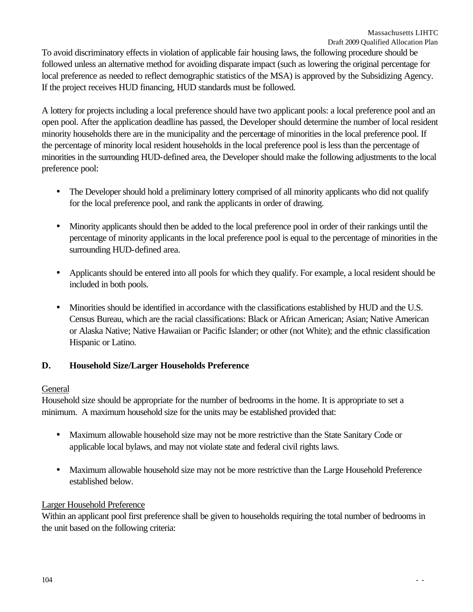To avoid discriminatory effects in violation of applicable fair housing laws, the following procedure should be followed unless an alternative method for avoiding disparate impact (such as lowering the original percentage for local preference as needed to reflect demographic statistics of the MSA) is approved by the Subsidizing Agency. If the project receives HUD financing, HUD standards must be followed.

A lottery for projects including a local preference should have two applicant pools: a local preference pool and an open pool. After the application deadline has passed, the Developer should determine the number of local resident minority households there are in the municipality and the percentage of minorities in the local preference pool. If the percentage of minority local resident households in the local preference pool is less than the percentage of minorities in the surrounding HUD-defined area, the Developer should make the following adjustments to the local preference pool:

- The Developer should hold a preliminary lottery comprised of all minority applicants who did not qualify for the local preference pool, and rank the applicants in order of drawing.
- Minority applicants should then be added to the local preference pool in order of their rankings until the percentage of minority applicants in the local preference pool is equal to the percentage of minorities in the surrounding HUD-defined area.
- Applicants should be entered into all pools for which they qualify. For example, a local resident should be included in both pools.
- Minorities should be identified in accordance with the classifications established by HUD and the U.S. Census Bureau, which are the racial classifications: Black or African American; Asian; Native American or Alaska Native; Native Hawaiian or Pacific Islander; or other (not White); and the ethnic classification Hispanic or Latino.

# **D. Household Size/Larger Households Preference**

# General

Household size should be appropriate for the number of bedrooms in the home. It is appropriate to set a minimum. A maximum household size for the units may be established provided that:

- Maximum allowable household size may not be more restrictive than the State Sanitary Code or applicable local bylaws, and may not violate state and federal civil rights laws.
- Maximum allowable household size may not be more restrictive than the Large Household Preference established below.

# Larger Household Preference

Within an applicant pool first preference shall be given to households requiring the total number of bedrooms in the unit based on the following criteria: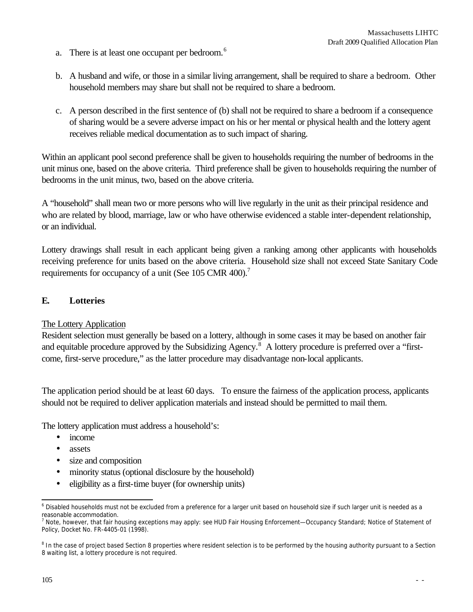- a. There is at least one occupant per bedroom.<sup>6</sup>
- b. A husband and wife, or those in a similar living arrangement, shall be required to share a bedroom. Other household members may share but shall not be required to share a bedroom.
- c. A person described in the first sentence of (b) shall not be required to share a bedroom if a consequence of sharing would be a severe adverse impact on his or her mental or physical health and the lottery agent receives reliable medical documentation as to such impact of sharing.

Within an applicant pool second preference shall be given to households requiring the number of bedrooms in the unit minus one, based on the above criteria. Third preference shall be given to households requiring the number of bedrooms in the unit minus, two, based on the above criteria.

A "household" shall mean two or more persons who will live regularly in the unit as their principal residence and who are related by blood, marriage, law or who have otherwise evidenced a stable inter-dependent relationship, or an individual.

Lottery drawings shall result in each applicant being given a ranking among other applicants with households receiving preference for units based on the above criteria.Household size shall not exceed State Sanitary Code requirements for occupancy of a unit (See 105 CMR 400).<sup>7</sup>

# **E. Lotteries**

# The Lottery Application

Resident selection must generally be based on a lottery, although in some cases it may be based on another fair and equitable procedure approved by the Subsidizing Agency.<sup>8</sup> A lottery procedure is preferred over a "firstcome, first-serve procedure," as the latter procedure may disadvantage non-local applicants.

The application period should be at least 60 days. To ensure the fairness of the application process, applicants should not be required to deliver application materials and instead should be permitted to mail them.

The lottery application must address a household's:

- income
- assets
- size and composition
- minority status (optional disclosure by the household)
- eligibility as a first-time buyer (for ownership units)

l  $^6$  Disabled households must not be excluded from a preference for a larger unit based on household size if such larger unit is needed as a reasonable accommodation.

<sup>&</sup>lt;sup>7</sup> Note, however, that fair housing exceptions may apply: see HUD Fair Housing Enforcement—Occupancy Standard; Notice of Statement of Policy, Docket No. FR-4405-01 (1998).

<sup>&</sup>lt;sup>8</sup> In the case of project based Section 8 properties where resident selection is to be performed by the housing authority pursuant to a Section 8 waiting list, a lottery procedure is not required.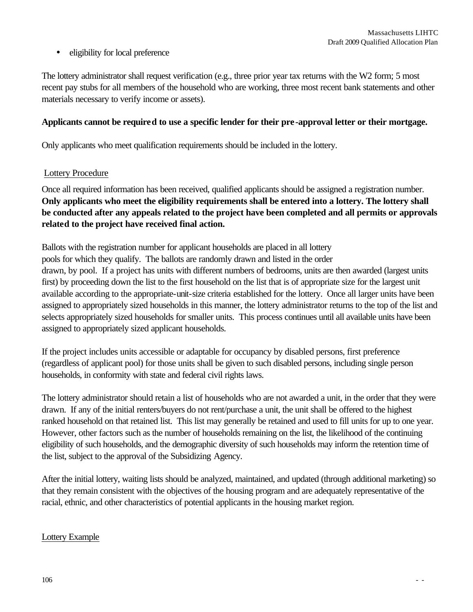• eligibility for local preference

The lottery administrator shall request verification (e.g., three prior year tax returns with the W2 form; 5 most recent pay stubs for all members of the household who are working, three most recent bank statements and other materials necessary to verify income or assets).

# **Applicants cannot be required to use a specific lender for their pre-approval letter or their mortgage.**

Only applicants who meet qualification requirements should be included in the lottery.

#### Lottery Procedure

Once all required information has been received, qualified applicants should be assigned a registration number. **Only applicants who meet the eligibility requirements shall be entered into a lottery. The lottery shall be conducted after any appeals related to the project have been completed and all permits or approvals related to the project have received final action.**

Ballots with the registration number for applicant households are placed in all lottery pools for which they qualify. The ballots are randomly drawn and listed in the order drawn, by pool. If a project has units with different numbers of bedrooms, units are then awarded (largest units first) by proceeding down the list to the first household on the list that is of appropriate size for the largest unit available according to the appropriate-unit-size criteria established for the lottery. Once all larger units have been assigned to appropriately sized households in this manner, the lottery administrator returns to the top of the list and selects appropriately sized households for smaller units. This process continues until all available units have been assigned to appropriately sized applicant households.

If the project includes units accessible or adaptable for occupancy by disabled persons, first preference (regardless of applicant pool) for those units shall be given to such disabled persons, including single person households, in conformity with state and federal civil rights laws.

The lottery administrator should retain a list of households who are not awarded a unit, in the order that they were drawn. If any of the initial renters/buyers do not rent/purchase a unit, the unit shall be offered to the highest ranked household on that retained list. This list may generally be retained and used to fill units for up to one year. However, other factors such as the number of households remaining on the list, the likelihood of the continuing eligibility of such households, and the demographic diversity of such households may inform the retention time of the list, subject to the approval of the Subsidizing Agency.

After the initial lottery, waiting lists should be analyzed, maintained, and updated (through additional marketing) so that they remain consistent with the objectives of the housing program and are adequately representative of the racial, ethnic, and other characteristics of potential applicants in the housing market region.

#### Lottery Example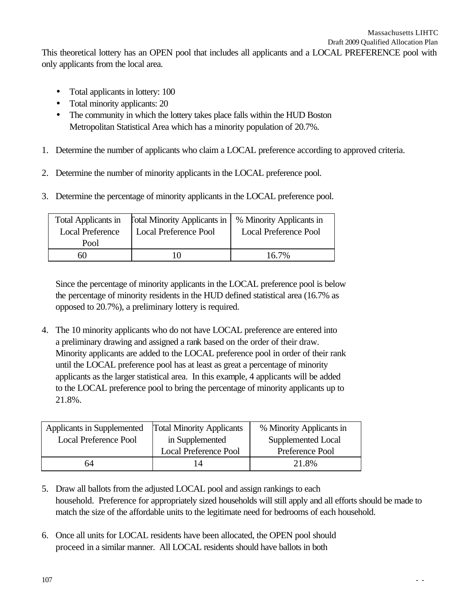This theoretical lottery has an OPEN pool that includes all applicants and a LOCAL PREFERENCE pool with only applicants from the local area.

- Total applicants in lottery: 100
- Total minority applicants: 20
- The community in which the lottery takes place falls within the HUD Boston Metropolitan Statistical Area which has a minority population of 20.7%.
- 1. Determine the number of applicants who claim a LOCAL preference according to approved criteria.
- 2. Determine the number of minority applicants in the LOCAL preference pool.
- 3. Determine the percentage of minority applicants in the LOCAL preference pool.

| Total Applicants in     | <b>Total Minority Applicants in</b> | % Minority Applicants in     |
|-------------------------|-------------------------------------|------------------------------|
| <b>Local Preference</b> | <b>Local Preference Pool</b>        | <b>Local Preference Pool</b> |
| Pool                    |                                     |                              |
| 60                      |                                     | 16.7%                        |

Since the percentage of minority applicants in the LOCAL preference pool is below the percentage of minority residents in the HUD defined statistical area (16.7% as opposed to 20.7%), a preliminary lottery is required.

4. The 10 minority applicants who do not have LOCAL preference are entered into a preliminary drawing and assigned a rank based on the order of their draw. Minority applicants are added to the LOCAL preference pool in order of their rank until the LOCAL preference pool has at least as great a percentage of minority applicants as the larger statistical area. In this example, 4 applicants will be added to the LOCAL preference pool to bring the percentage of minority applicants up to 21.8%.

| Applicants in Supplemented   | <b>Total Minority Applicants</b> | % Minority Applicants in |
|------------------------------|----------------------------------|--------------------------|
| <b>Local Preference Pool</b> | in Supplemented                  | Supplemented Local       |
|                              | <b>Local Preference Pool</b>     | Preference Pool          |
| 64                           |                                  | 21.8%                    |

- 5. Draw all ballots from the adjusted LOCAL pool and assign rankings to each household. Preference for appropriately sized households will still apply and all efforts should be made to match the size of the affordable units to the legitimate need for bedrooms of each household.
- 6. Once all units for LOCAL residents have been allocated, the OPEN pool should proceed in a similar manner. All LOCAL residents should have ballots in both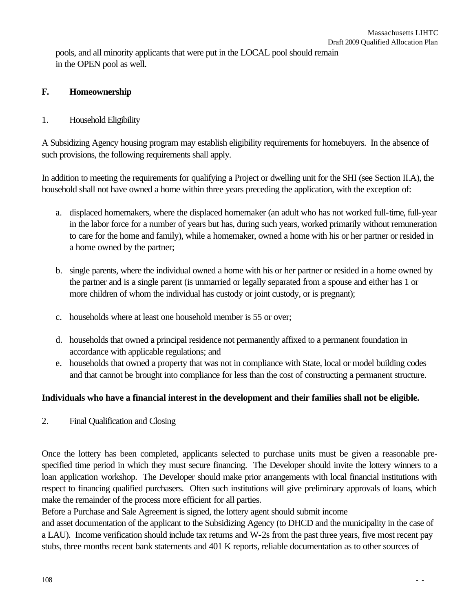pools, and all minority applicants that were put in the LOCAL pool should remain in the OPEN pool as well.

# **F. Homeownership**

# 1. Household Eligibility

A Subsidizing Agency housing program may establish eligibility requirements for homebuyers. In the absence of such provisions, the following requirements shall apply.

In addition to meeting the requirements for qualifying a Project or dwelling unit for the SHI (see Section II.A), the household shall not have owned a home within three years preceding the application, with the exception of:

- a. displaced homemakers, where the displaced homemaker (an adult who has not worked full-time, full-year in the labor force for a number of years but has, during such years, worked primarily without remuneration to care for the home and family), while a homemaker, owned a home with his or her partner or resided in a home owned by the partner;
- b. single parents, where the individual owned a home with his or her partner or resided in a home owned by the partner and is a single parent (is unmarried or legally separated from a spouse and either has 1 or more children of whom the individual has custody or joint custody, or is pregnant);
- c. households where at least one household member is 55 or over;
- d. households that owned a principal residence not permanently affixed to a permanent foundation in accordance with applicable regulations; and
- e. households that owned a property that was not in compliance with State, local or model building codes and that cannot be brought into compliance for less than the cost of constructing a permanent structure.

# **Individuals who have a financial interest in the development and their families shall not be eligible.**

2. Final Qualification and Closing

Once the lottery has been completed, applicants selected to purchase units must be given a reasonable prespecified time period in which they must secure financing. The Developer should invite the lottery winners to a loan application workshop. The Developer should make prior arrangements with local financial institutions with respect to financing qualified purchasers. Often such institutions will give preliminary approvals of loans, which make the remainder of the process more efficient for all parties.

Before a Purchase and Sale Agreement is signed, the lottery agent should submit income

and asset documentation of the applicant to the Subsidizing Agency (to DHCD and the municipality in the case of a LAU). Income verification should include tax returns and W-2s from the past three years, five most recent pay stubs, three months recent bank statements and 401 K reports, reliable documentation as to other sources of